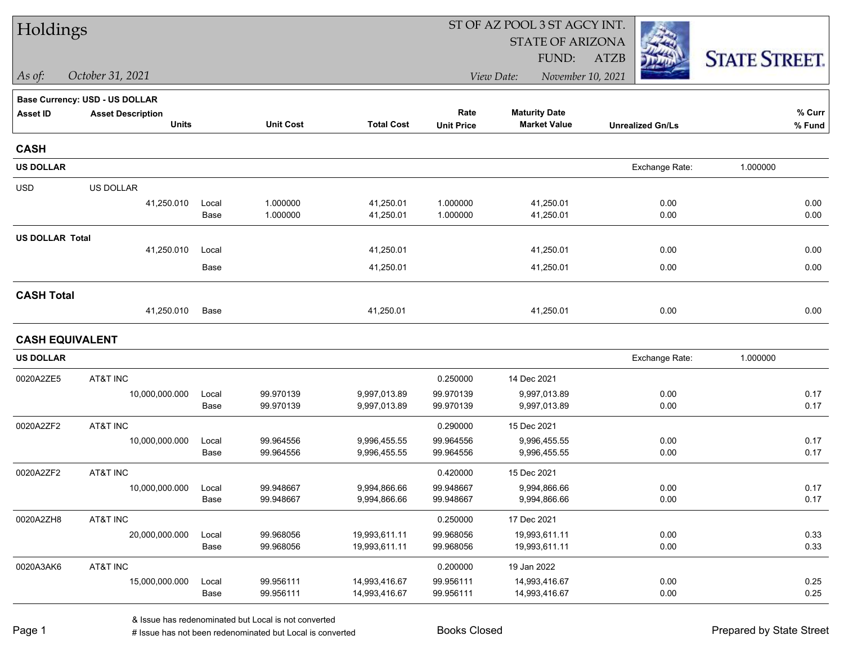| Holdings               |                                       |       |                  |                   | ST OF AZ POOL 3 ST AGCY INT. |                                 |                         |                      |
|------------------------|---------------------------------------|-------|------------------|-------------------|------------------------------|---------------------------------|-------------------------|----------------------|
|                        |                                       |       |                  |                   |                              | <b>STATE OF ARIZONA</b>         |                         |                      |
|                        |                                       |       |                  |                   |                              | FUND:                           | <b>ATZB</b>             | <b>STATE STREET.</b> |
| $\vert$ As of:         | October 31, 2021                      |       |                  |                   |                              | View Date:<br>November 10, 2021 |                         |                      |
|                        | <b>Base Currency: USD - US DOLLAR</b> |       |                  |                   |                              |                                 |                         |                      |
| <b>Asset ID</b>        | <b>Asset Description</b>              |       |                  |                   | Rate                         | <b>Maturity Date</b>            |                         | % Curr               |
|                        | <b>Units</b>                          |       | <b>Unit Cost</b> | <b>Total Cost</b> | <b>Unit Price</b>            | <b>Market Value</b>             | <b>Unrealized Gn/Ls</b> | % Fund               |
| <b>CASH</b>            |                                       |       |                  |                   |                              |                                 |                         |                      |
| <b>US DOLLAR</b>       |                                       |       |                  |                   |                              |                                 | Exchange Rate:          | 1.000000             |
| <b>USD</b>             | US DOLLAR                             |       |                  |                   |                              |                                 |                         |                      |
|                        | 41,250.010                            | Local | 1.000000         | 41,250.01         | 1.000000                     | 41,250.01                       | 0.00                    | 0.00                 |
|                        |                                       | Base  | 1.000000         | 41,250.01         | 1.000000                     | 41,250.01                       | 0.00                    | 0.00                 |
| <b>US DOLLAR Total</b> |                                       |       |                  |                   |                              |                                 |                         |                      |
|                        | 41,250.010                            | Local |                  | 41,250.01         |                              | 41,250.01                       | 0.00                    | 0.00                 |
|                        |                                       | Base  |                  | 41,250.01         |                              | 41,250.01                       | 0.00                    | 0.00                 |
| <b>CASH Total</b>      |                                       |       |                  |                   |                              |                                 |                         |                      |
|                        | 41,250.010                            | Base  |                  | 41,250.01         |                              | 41,250.01                       | 0.00                    | 0.00                 |
|                        | <b>CASH EQUIVALENT</b>                |       |                  |                   |                              |                                 |                         |                      |
| <b>US DOLLAR</b>       |                                       |       |                  |                   |                              |                                 | Exchange Rate:          | 1.000000             |
| 0020A2ZE5              | AT&T INC                              |       |                  |                   | 0.250000                     | 14 Dec 2021                     |                         |                      |
|                        | 10,000,000.000                        | Local | 99.970139        | 9,997,013.89      | 99.970139                    | 9,997,013.89                    | 0.00                    | 0.17                 |
|                        |                                       | Base  | 99.970139        | 9,997,013.89      | 99.970139                    | 9,997,013.89                    | 0.00                    | 0.17                 |
| 0020A2ZF2              | AT&T INC                              |       |                  |                   | 0.290000                     | 15 Dec 2021                     |                         |                      |
|                        | 10,000,000.000                        | Local | 99.964556        | 9,996,455.55      | 99.964556                    | 9,996,455.55                    | 0.00                    | 0.17                 |
|                        |                                       | Base  | 99.964556        | 9,996,455.55      | 99.964556                    | 9,996,455.55                    | 0.00                    | 0.17                 |
| 0020A2ZF2              | AT&T INC                              |       |                  |                   | 0.420000                     | 15 Dec 2021                     |                         |                      |
|                        | 10,000,000.000                        | Local | 99.948667        | 9,994,866.66      | 99.948667                    | 9,994,866.66                    | 0.00                    | 0.17                 |
|                        |                                       | Base  | 99.948667        | 9,994,866.66      | 99.948667                    | 9,994,866.66                    | 0.00                    | 0.17                 |
| 0020A2ZH8              | AT&T INC                              |       |                  |                   | 0.250000                     | 17 Dec 2021                     |                         |                      |
|                        | 20,000,000.000                        | Local | 99.968056        | 19,993,611.11     | 99.968056                    | 19,993,611.11                   | 0.00                    | 0.33                 |
|                        |                                       | Base  | 99.968056        | 19,993,611.11     | 99.968056                    | 19,993,611.11                   | 0.00                    | 0.33                 |
| 0020A3AK6              | AT&T INC                              |       |                  |                   | 0.200000                     | 19 Jan 2022                     |                         |                      |
|                        | 15,000,000.000                        | Local | 99.956111        | 14,993,416.67     | 99.956111                    | 14,993,416.67                   | 0.00                    | 0.25                 |
|                        |                                       | Base  | 99.956111        | 14,993,416.67     | 99.956111                    | 14,993,416.67                   | 0.00                    | 0.25                 |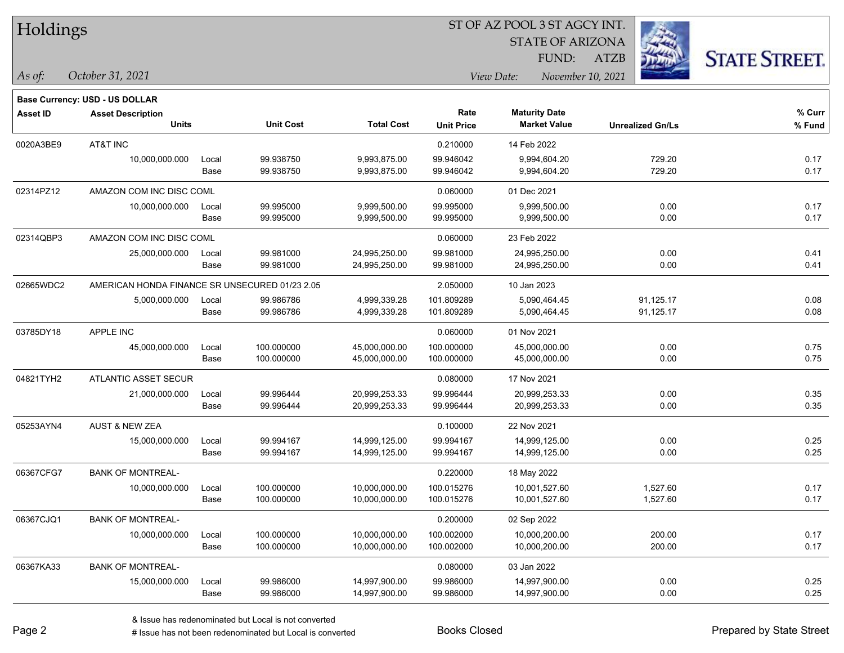| Holdings |
|----------|
|----------|

STATE OF ARIZONA

ATZB



**Base Currency: USD - US DOLLAR**

*October 31, 2021 As of: View Date: November 10, 2021* FUND:

| <b>Asset ID</b> | <b>Asset Description</b>                       |       |                  |                   | Rate              | <b>Maturity Date</b> |                         | % Curr   |
|-----------------|------------------------------------------------|-------|------------------|-------------------|-------------------|----------------------|-------------------------|----------|
|                 | <b>Units</b>                                   |       | <b>Unit Cost</b> | <b>Total Cost</b> | <b>Unit Price</b> | <b>Market Value</b>  | <b>Unrealized Gn/Ls</b> | $%$ Fund |
| 0020A3BE9       | AT&T INC                                       |       |                  |                   | 0.210000          | 14 Feb 2022          |                         |          |
|                 | 10,000,000.000                                 | Local | 99.938750        | 9,993,875.00      | 99.946042         | 9,994,604.20         | 729.20                  | 0.17     |
|                 |                                                | Base  | 99.938750        | 9,993,875.00      | 99.946042         | 9,994,604.20         | 729.20                  | 0.17     |
| 02314PZ12       | AMAZON COM INC DISC COML                       |       |                  |                   | 0.060000          | 01 Dec 2021          |                         |          |
|                 | 10,000,000.000                                 | Local | 99.995000        | 9,999,500.00      | 99.995000         | 9,999,500.00         | 0.00                    | 0.17     |
|                 |                                                | Base  | 99.995000        | 9,999,500.00      | 99.995000         | 9,999,500.00         | 0.00                    | 0.17     |
| 02314QBP3       | AMAZON COM INC DISC COML                       |       |                  |                   | 0.060000          | 23 Feb 2022          |                         |          |
|                 | 25,000,000.000                                 | Local | 99.981000        | 24,995,250.00     | 99.981000         | 24,995,250.00        | 0.00                    | 0.41     |
|                 |                                                | Base  | 99.981000        | 24,995,250.00     | 99.981000         | 24,995,250.00        | 0.00                    | 0.41     |
| 02665WDC2       | AMERICAN HONDA FINANCE SR UNSECURED 01/23 2.05 |       |                  |                   | 2.050000          | 10 Jan 2023          |                         |          |
|                 | 5,000,000.000                                  | Local | 99.986786        | 4,999,339.28      | 101.809289        | 5,090,464.45         | 91,125.17               | 0.08     |
|                 |                                                | Base  | 99.986786        | 4,999,339.28      | 101.809289        | 5,090,464.45         | 91,125.17               | 0.08     |
| 03785DY18       | APPLE INC                                      |       |                  |                   | 0.060000          | 01 Nov 2021          |                         |          |
|                 | 45,000,000.000                                 | Local | 100.000000       | 45,000,000.00     | 100.000000        | 45,000,000.00        | 0.00                    | 0.75     |
|                 |                                                | Base  | 100.000000       | 45,000,000.00     | 100.000000        | 45,000,000.00        | 0.00                    | 0.75     |
| 04821TYH2       | <b>ATLANTIC ASSET SECUR</b>                    |       |                  |                   | 0.080000          | 17 Nov 2021          |                         |          |
|                 | 21,000,000.000                                 | Local | 99.996444        | 20,999,253.33     | 99.996444         | 20,999,253.33        | 0.00                    | 0.35     |
|                 |                                                | Base  | 99.996444        | 20,999,253.33     | 99.996444         | 20,999,253.33        | 0.00                    | 0.35     |
| 05253AYN4       | <b>AUST &amp; NEW ZEA</b>                      |       |                  |                   | 0.100000          | 22 Nov 2021          |                         |          |
|                 | 15,000,000.000                                 | Local | 99.994167        | 14,999,125.00     | 99.994167         | 14,999,125.00        | 0.00                    | 0.25     |
|                 |                                                | Base  | 99.994167        | 14,999,125.00     | 99.994167         | 14,999,125.00        | 0.00                    | 0.25     |
| 06367CFG7       | <b>BANK OF MONTREAL-</b>                       |       |                  |                   | 0.220000          | 18 May 2022          |                         |          |
|                 | 10,000,000.000                                 | Local | 100.000000       | 10,000,000.00     | 100.015276        | 10,001,527.60        | 1,527.60                | 0.17     |
|                 |                                                | Base  | 100.000000       | 10,000,000.00     | 100.015276        | 10,001,527.60        | 1,527.60                | 0.17     |
| 06367CJQ1       | <b>BANK OF MONTREAL-</b>                       |       |                  |                   | 0.200000          | 02 Sep 2022          |                         |          |
|                 | 10,000,000.000                                 | Local | 100.000000       | 10,000,000.00     | 100.002000        | 10,000,200.00        | 200.00                  | 0.17     |
|                 |                                                | Base  | 100.000000       | 10,000,000.00     | 100.002000        | 10,000,200.00        | 200.00                  | 0.17     |
| 06367KA33       | <b>BANK OF MONTREAL-</b>                       |       |                  |                   | 0.080000          | 03 Jan 2022          |                         |          |
|                 | 15,000,000.000                                 | Local | 99.986000        | 14,997,900.00     | 99.986000         | 14,997,900.00        | 0.00                    | 0.25     |
|                 |                                                | Base  | 99.986000        | 14,997,900.00     | 99.986000         | 14,997,900.00        | 0.00                    | 0.25     |

# Issue has not been redenominated but Local is converted Books Closed Prepared by State Street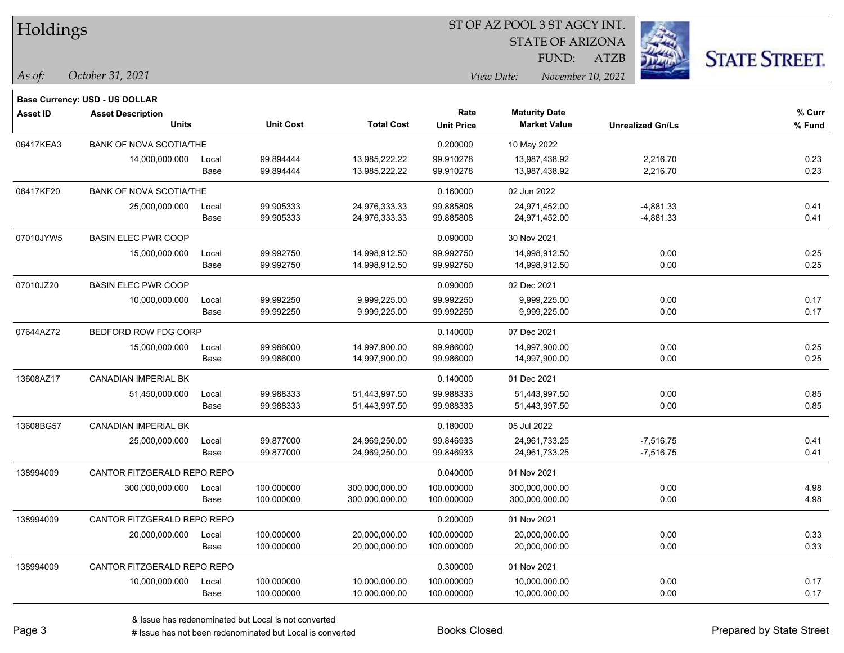| Holdings |  |
|----------|--|
|----------|--|

**Base Currency: USD - US DOLLAR**

#### ST OF AZ POOL 3 ST AGCY INT.

STATE OF ARIZONA

ATZB



*October 31, 2021 As of: View Date: November 10, 2021* FUND:

| <b>Asset ID</b> | <b>Asset Description</b><br><b>Units</b> |               | <b>Unit Cost</b>         | <b>Total Cost</b>                | Rate<br><b>Unit Price</b> | <b>Maturity Date</b><br><b>Market Value</b> | <b>Unrealized Gn/Ls</b>    | % Curr<br>$%$ Fund |
|-----------------|------------------------------------------|---------------|--------------------------|----------------------------------|---------------------------|---------------------------------------------|----------------------------|--------------------|
| 06417KEA3       | <b>BANK OF NOVA SCOTIA/THE</b>           |               |                          |                                  | 0.200000                  | 10 May 2022                                 |                            |                    |
|                 | 14,000,000.000                           | Local<br>Base | 99.894444<br>99.894444   | 13,985,222.22<br>13,985,222.22   | 99.910278<br>99.910278    | 13,987,438.92<br>13,987,438.92              | 2,216.70<br>2,216.70       | 0.23<br>0.23       |
| 06417KF20       | <b>BANK OF NOVA SCOTIA/THE</b>           |               |                          |                                  | 0.160000                  | 02 Jun 2022                                 |                            |                    |
|                 | 25,000,000.000                           | Local<br>Base | 99.905333<br>99.905333   | 24,976,333.33<br>24,976,333.33   | 99.885808<br>99.885808    | 24,971,452.00<br>24,971,452.00              | $-4,881.33$<br>$-4,881.33$ | 0.41<br>0.41       |
| 07010JYW5       | <b>BASIN ELEC PWR COOP</b>               |               |                          |                                  | 0.090000                  | 30 Nov 2021                                 |                            |                    |
|                 | 15,000,000.000                           | Local<br>Base | 99.992750<br>99.992750   | 14,998,912.50<br>14,998,912.50   | 99.992750<br>99.992750    | 14,998,912.50<br>14,998,912.50              | 0.00<br>0.00               | 0.25<br>0.25       |
| 07010JZ20       | <b>BASIN ELEC PWR COOP</b>               |               |                          |                                  | 0.090000                  | 02 Dec 2021                                 |                            |                    |
|                 | 10,000,000.000                           | Local<br>Base | 99.992250<br>99.992250   | 9,999,225.00<br>9,999,225.00     | 99.992250<br>99.992250    | 9,999,225.00<br>9,999,225.00                | 0.00<br>0.00               | 0.17<br>0.17       |
| 07644AZ72       | BEDFORD ROW FDG CORP                     |               |                          |                                  | 0.140000                  | 07 Dec 2021                                 |                            |                    |
|                 | 15,000,000.000                           | Local<br>Base | 99.986000<br>99.986000   | 14,997,900.00<br>14,997,900.00   | 99.986000<br>99.986000    | 14,997,900.00<br>14,997,900.00              | 0.00<br>0.00               | 0.25<br>0.25       |
| 13608AZ17       | CANADIAN IMPERIAL BK                     |               |                          |                                  | 0.140000                  | 01 Dec 2021                                 |                            |                    |
|                 | 51,450,000.000                           | Local<br>Base | 99.988333<br>99.988333   | 51,443,997.50<br>51,443,997.50   | 99.988333<br>99.988333    | 51,443,997.50<br>51,443,997.50              | 0.00<br>0.00               | 0.85<br>0.85       |
| 13608BG57       | <b>CANADIAN IMPERIAL BK</b>              |               |                          |                                  | 0.180000                  | 05 Jul 2022                                 |                            |                    |
|                 | 25,000,000.000                           | Local<br>Base | 99.877000<br>99.877000   | 24,969,250.00<br>24,969,250.00   | 99.846933<br>99.846933    | 24,961,733.25<br>24,961,733.25              | $-7,516.75$<br>$-7,516.75$ | 0.41<br>0.41       |
| 138994009       | CANTOR FITZGERALD REPO REPO              |               |                          |                                  | 0.040000                  | 01 Nov 2021                                 |                            |                    |
|                 | 300,000,000.000                          | Local<br>Base | 100.000000<br>100.000000 | 300,000,000.00<br>300,000,000.00 | 100.000000<br>100.000000  | 300,000,000.00<br>300,000,000.00            | 0.00<br>0.00               | 4.98<br>4.98       |
| 138994009       | CANTOR FITZGERALD REPO REPO              |               |                          |                                  | 0.200000                  | 01 Nov 2021                                 |                            |                    |
|                 | 20,000,000.000                           | Local<br>Base | 100.000000<br>100.000000 | 20,000,000.00<br>20,000,000.00   | 100.000000<br>100.000000  | 20,000,000.00<br>20,000,000.00              | 0.00<br>0.00               | 0.33<br>0.33       |
| 138994009       | CANTOR FITZGERALD REPO REPO              |               |                          |                                  | 0.300000                  | 01 Nov 2021                                 |                            |                    |
|                 | 10,000,000.000                           | Local<br>Base | 100.000000<br>100.000000 | 10,000,000.00<br>10,000,000.00   | 100.000000<br>100.000000  | 10,000,000.00<br>10,000,000.00              | 0.00<br>0.00               | 0.17<br>0.17       |

# Issue has not been redenominated but Local is converted Books Closed Prepared by State Street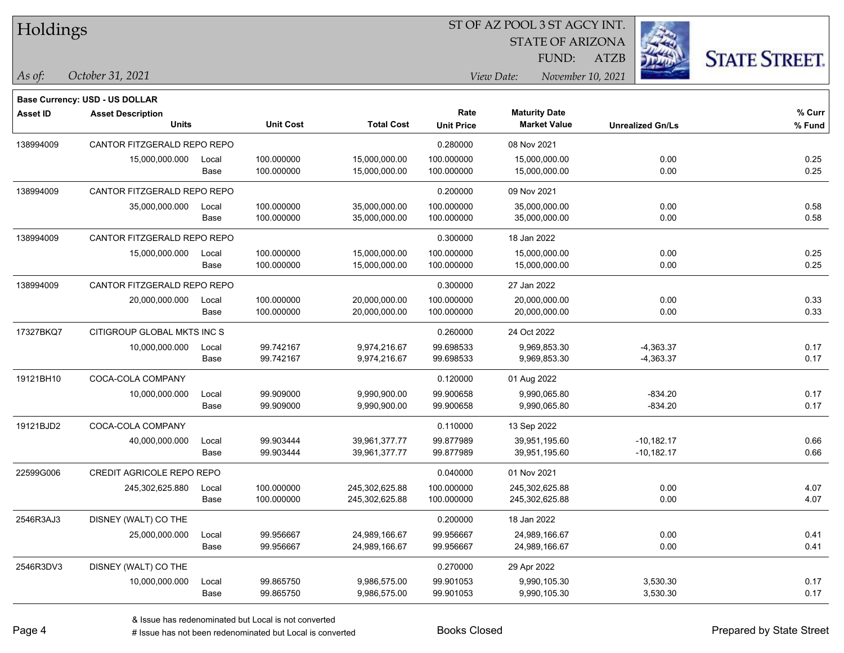| Holdings |
|----------|
|          |

STATE OF ARIZONA

ATZB



**Base Currency: USD - US DOLLAR**

| <b>Asset ID</b> | <b>Asset Description</b><br><b>Units</b> |               | <b>Unit Cost</b>         | <b>Total Cost</b>              | Rate<br><b>Unit Price</b> | <b>Maturity Date</b><br><b>Market Value</b> | <b>Unrealized Gn/Ls</b> | % Curr<br>% Fund |
|-----------------|------------------------------------------|---------------|--------------------------|--------------------------------|---------------------------|---------------------------------------------|-------------------------|------------------|
|                 |                                          |               |                          |                                |                           |                                             |                         |                  |
| 138994009       | CANTOR FITZGERALD REPO REPO              |               |                          |                                | 0.280000                  | 08 Nov 2021                                 |                         |                  |
|                 | 15,000,000.000                           | Local<br>Base | 100.000000<br>100.000000 | 15,000,000.00<br>15,000,000.00 | 100.000000<br>100.000000  | 15,000,000.00<br>15,000,000.00              | 0.00<br>0.00            | 0.25<br>0.25     |
|                 |                                          |               |                          |                                |                           |                                             |                         |                  |
| 138994009       | CANTOR FITZGERALD REPO REPO              |               |                          |                                | 0.200000                  | 09 Nov 2021                                 |                         |                  |
|                 | 35,000,000.000                           | Local         | 100.000000               | 35,000,000.00                  | 100.000000                | 35,000,000.00                               | 0.00                    | 0.58             |
|                 |                                          | Base          | 100.000000               | 35,000,000.00                  | 100.000000                | 35,000,000.00                               | 0.00                    | 0.58             |
| 138994009       | CANTOR FITZGERALD REPO REPO              |               |                          |                                | 0.300000                  | 18 Jan 2022                                 |                         |                  |
|                 | 15,000,000.000                           | Local         | 100.000000               | 15,000,000.00                  | 100.000000                | 15,000,000.00                               | 0.00                    | 0.25             |
|                 |                                          | Base          | 100.000000               | 15,000,000.00                  | 100.000000                | 15,000,000.00                               | 0.00                    | 0.25             |
| 138994009       | CANTOR FITZGERALD REPO REPO              |               |                          |                                | 0.300000                  | 27 Jan 2022                                 |                         |                  |
|                 | 20,000,000.000                           | Local         | 100.000000               | 20,000,000.00                  | 100.000000                | 20,000,000.00                               | 0.00                    | 0.33             |
|                 |                                          | Base          | 100.000000               | 20,000,000.00                  | 100.000000                | 20,000,000.00                               | 0.00                    | 0.33             |
| 17327BKQ7       | CITIGROUP GLOBAL MKTS INC S              |               |                          |                                | 0.260000                  | 24 Oct 2022                                 |                         |                  |
|                 | 10,000,000.000                           | Local         | 99.742167                | 9,974,216.67                   | 99.698533                 | 9,969,853.30                                | $-4,363.37$             | 0.17             |
|                 |                                          | Base          | 99.742167                | 9,974,216.67                   | 99.698533                 | 9,969,853.30                                | $-4,363.37$             | 0.17             |
| 19121BH10       | COCA-COLA COMPANY                        |               |                          |                                | 0.120000                  | 01 Aug 2022                                 |                         |                  |
|                 | 10,000,000.000                           | Local         | 99.909000                | 9,990,900.00                   | 99.900658                 | 9,990,065.80                                | $-834.20$               | 0.17             |
|                 |                                          | Base          | 99.909000                | 9,990,900.00                   | 99.900658                 | 9,990,065.80                                | $-834.20$               | 0.17             |
| 19121BJD2       | COCA-COLA COMPANY                        |               |                          |                                | 0.110000                  | 13 Sep 2022                                 |                         |                  |
|                 | 40,000,000.000                           | Local         | 99.903444                | 39,961,377.77                  | 99.877989                 | 39,951,195.60                               | $-10,182.17$            | 0.66             |
|                 |                                          | Base          | 99.903444                | 39,961,377.77                  | 99.877989                 | 39,951,195.60                               | $-10,182.17$            | 0.66             |
| 22599G006       | CREDIT AGRICOLE REPO REPO                |               |                          |                                | 0.040000                  | 01 Nov 2021                                 |                         |                  |
|                 | 245,302,625.880                          | Local         | 100.000000               | 245,302,625.88                 | 100.000000                | 245,302,625.88                              | 0.00                    | 4.07             |
|                 |                                          | Base          | 100.000000               | 245,302,625.88                 | 100.000000                | 245,302,625.88                              | 0.00                    | 4.07             |
| 2546R3AJ3       | DISNEY (WALT) CO THE                     |               |                          |                                | 0.200000                  | 18 Jan 2022                                 |                         |                  |
|                 | 25,000,000.000                           | Local         | 99.956667                | 24,989,166.67                  | 99.956667                 | 24,989,166.67                               | 0.00                    | 0.41             |
|                 |                                          | Base          | 99.956667                | 24,989,166.67                  | 99.956667                 | 24,989,166.67                               | 0.00                    | 0.41             |
| 2546R3DV3       | DISNEY (WALT) CO THE                     |               |                          |                                | 0.270000                  | 29 Apr 2022                                 |                         |                  |
|                 | 10,000,000.000                           | Local         | 99.865750                | 9,986,575.00                   | 99.901053                 | 9,990,105.30                                | 3,530.30                | 0.17             |
|                 |                                          | Base          | 99.865750                | 9,986,575.00                   | 99.901053                 | 9,990,105.30                                | 3,530.30                | 0.17             |
|                 |                                          |               |                          |                                |                           |                                             |                         |                  |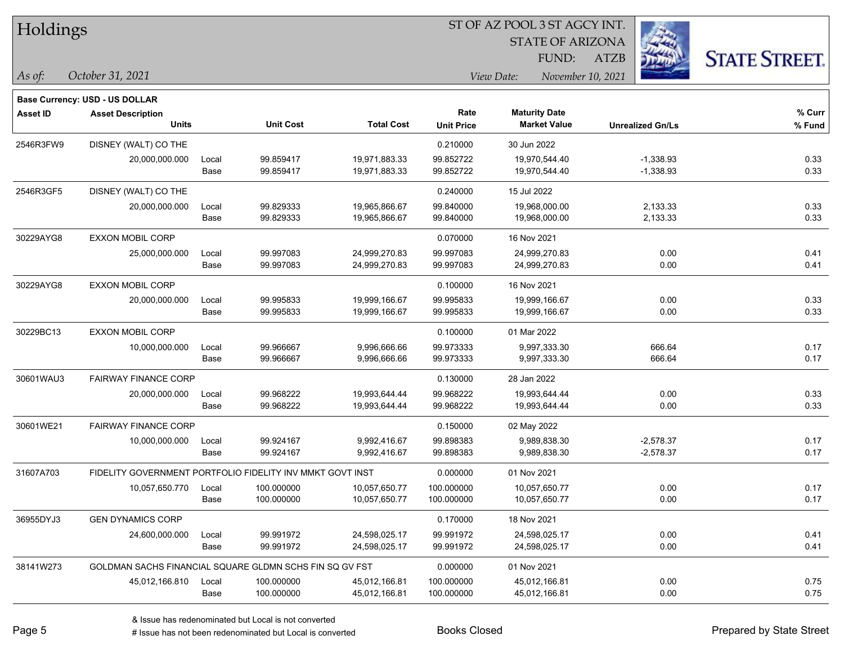| Holdings |
|----------|
|          |

**Base Currency: USD - US DOLLAR**

#### ST OF AZ POOL 3 ST AGCY INT.

STATE OF ARIZONA

ATZB



| Asset ID  | <b>Asset Description</b><br><b>Units</b>                  |       | <b>Unit Cost</b> | <b>Total Cost</b> | Rate<br><b>Unit Price</b> | <b>Maturity Date</b><br><b>Market Value</b> | <b>Unrealized Gn/Ls</b> | % Curr<br>% Fund |
|-----------|-----------------------------------------------------------|-------|------------------|-------------------|---------------------------|---------------------------------------------|-------------------------|------------------|
|           |                                                           |       |                  |                   |                           |                                             |                         |                  |
| 2546R3FW9 | DISNEY (WALT) CO THE                                      |       |                  |                   | 0.210000                  | 30 Jun 2022                                 |                         |                  |
|           | 20,000,000.000                                            | Local | 99.859417        | 19,971,883.33     | 99.852722                 | 19,970,544.40                               | $-1,338.93$             | 0.33             |
|           |                                                           | Base  | 99.859417        | 19,971,883.33     | 99.852722                 | 19,970,544.40                               | $-1,338.93$             | 0.33             |
| 2546R3GF5 | DISNEY (WALT) CO THE                                      |       |                  |                   | 0.240000                  | 15 Jul 2022                                 |                         |                  |
|           | 20,000,000.000                                            | Local | 99.829333        | 19,965,866.67     | 99.840000                 | 19,968,000.00                               | 2,133.33                | 0.33             |
|           |                                                           | Base  | 99.829333        | 19,965,866.67     | 99.840000                 | 19,968,000.00                               | 2,133.33                | 0.33             |
| 30229AYG8 | <b>EXXON MOBIL CORP</b>                                   |       |                  |                   | 0.070000                  | 16 Nov 2021                                 |                         |                  |
|           | 25,000,000.000                                            | Local | 99.997083        | 24,999,270.83     | 99.997083                 | 24,999,270.83                               | 0.00                    | 0.41             |
|           |                                                           | Base  | 99.997083        | 24,999,270.83     | 99.997083                 | 24,999,270.83                               | 0.00                    | 0.41             |
| 30229AYG8 | <b>EXXON MOBIL CORP</b>                                   |       |                  |                   | 0.100000                  | 16 Nov 2021                                 |                         |                  |
|           | 20,000,000.000                                            | Local | 99.995833        | 19,999,166.67     | 99.995833                 | 19,999,166.67                               | 0.00                    | 0.33             |
|           |                                                           | Base  | 99.995833        | 19,999,166.67     | 99.995833                 | 19,999,166.67                               | 0.00                    | 0.33             |
| 30229BC13 | <b>EXXON MOBIL CORP</b>                                   |       |                  |                   | 0.100000                  | 01 Mar 2022                                 |                         |                  |
|           | 10,000,000.000                                            | Local | 99.966667        | 9,996,666.66      | 99.973333                 | 9,997,333.30                                | 666.64                  | 0.17             |
|           |                                                           | Base  | 99.966667        | 9,996,666.66      | 99.973333                 | 9,997,333.30                                | 666.64                  | 0.17             |
| 30601WAU3 | <b>FAIRWAY FINANCE CORP</b>                               |       |                  |                   | 0.130000                  | 28 Jan 2022                                 |                         |                  |
|           | 20,000,000.000                                            | Local | 99.968222        | 19,993,644.44     | 99.968222                 | 19,993,644.44                               | 0.00                    | 0.33             |
|           |                                                           | Base  | 99.968222        | 19,993,644.44     | 99.968222                 | 19,993,644.44                               | 0.00                    | 0.33             |
| 30601WE21 | <b>FAIRWAY FINANCE CORP</b>                               |       |                  |                   | 0.150000                  | 02 May 2022                                 |                         |                  |
|           | 10,000,000.000                                            | Local | 99.924167        | 9,992,416.67      | 99.898383                 | 9,989,838.30                                | $-2,578.37$             | 0.17             |
|           |                                                           | Base  | 99.924167        | 9,992,416.67      | 99.898383                 | 9,989,838.30                                | $-2,578.37$             | 0.17             |
| 31607A703 | FIDELITY GOVERNMENT PORTFOLIO FIDELITY INV MMKT GOVT INST |       |                  |                   | 0.000000                  | 01 Nov 2021                                 |                         |                  |
|           | 10,057,650.770                                            | Local | 100.000000       | 10,057,650.77     | 100.000000                | 10,057,650.77                               | 0.00                    | 0.17             |
|           |                                                           | Base  | 100.000000       | 10,057,650.77     | 100.000000                | 10,057,650.77                               | 0.00                    | 0.17             |
| 36955DYJ3 | <b>GEN DYNAMICS CORP</b>                                  |       |                  |                   | 0.170000                  | 18 Nov 2021                                 |                         |                  |
|           | 24,600,000.000                                            | Local | 99.991972        | 24,598,025.17     | 99.991972                 | 24,598,025.17                               | 0.00                    | 0.41             |
|           |                                                           | Base  | 99.991972        | 24,598,025.17     | 99.991972                 | 24,598,025.17                               | 0.00                    | 0.41             |
| 38141W273 | GOLDMAN SACHS FINANCIAL SQUARE GLDMN SCHS FIN SQ GV FST   |       |                  |                   | 0.000000                  | 01 Nov 2021                                 |                         |                  |
|           | 45,012,166.810                                            | Local | 100.000000       | 45,012,166.81     | 100.000000                | 45,012,166.81                               | 0.00                    | 0.75             |
|           |                                                           | Base  | 100.000000       | 45,012,166.81     | 100.000000                | 45,012,166.81                               | 0.00                    | 0.75             |
|           |                                                           |       |                  |                   |                           |                                             |                         |                  |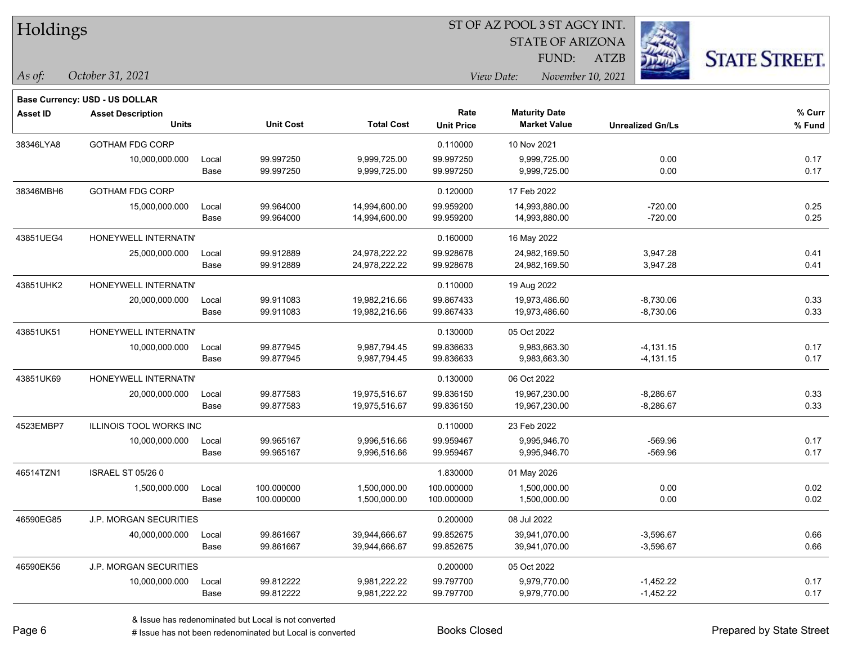| Holdings |
|----------|
|          |

STATE OF ARIZONA

FUND:

ATZB



*As of: View Date: November 10, 2021*

| As of: | October 31, 2021 |  |
|--------|------------------|--|
|        |                  |  |

|                 | <b>Base Currency: USD - US DOLLAR</b> |       |                  |                   |                   |                      |                         |        |
|-----------------|---------------------------------------|-------|------------------|-------------------|-------------------|----------------------|-------------------------|--------|
| <b>Asset ID</b> | <b>Asset Description</b>              |       |                  |                   | Rate              | <b>Maturity Date</b> |                         | % Curr |
|                 | <b>Units</b>                          |       | <b>Unit Cost</b> | <b>Total Cost</b> | <b>Unit Price</b> | <b>Market Value</b>  | <b>Unrealized Gn/Ls</b> | % Fund |
| 38346LYA8       | <b>GOTHAM FDG CORP</b>                |       |                  |                   | 0.110000          | 10 Nov 2021          |                         |        |
|                 | 10,000,000.000                        | Local | 99.997250        | 9,999,725.00      | 99.997250         | 9,999,725.00         | 0.00                    | 0.17   |
|                 |                                       | Base  | 99.997250        | 9,999,725.00      | 99.997250         | 9,999,725.00         | 0.00                    | 0.17   |
| 38346MBH6       | <b>GOTHAM FDG CORP</b>                |       |                  |                   | 0.120000          | 17 Feb 2022          |                         |        |
|                 | 15,000,000.000                        | Local | 99.964000        | 14,994,600.00     | 99.959200         | 14,993,880.00        | $-720.00$               | 0.25   |
|                 |                                       | Base  | 99.964000        | 14,994,600.00     | 99.959200         | 14,993,880.00        | $-720.00$               | 0.25   |
| 43851UEG4       | HONEYWELL INTERNATN'                  |       |                  |                   | 0.160000          | 16 May 2022          |                         |        |
|                 | 25,000,000.000                        | Local | 99.912889        | 24,978,222.22     | 99.928678         | 24,982,169.50        | 3,947.28                | 0.41   |
|                 |                                       | Base  | 99.912889        | 24,978,222.22     | 99.928678         | 24,982,169.50        | 3,947.28                | 0.41   |
| 43851UHK2       | HONEYWELL INTERNATN'                  |       |                  |                   | 0.110000          | 19 Aug 2022          |                         |        |
|                 | 20,000,000.000                        | Local | 99.911083        | 19,982,216.66     | 99.867433         | 19,973,486.60        | $-8,730.06$             | 0.33   |
|                 |                                       | Base  | 99.911083        | 19,982,216.66     | 99.867433         | 19,973,486.60        | $-8,730.06$             | 0.33   |
| 43851UK51       | HONEYWELL INTERNATN'                  |       |                  |                   | 0.130000          | 05 Oct 2022          |                         |        |
|                 | 10,000,000.000                        | Local | 99.877945        | 9,987,794.45      | 99.836633         | 9,983,663.30         | $-4,131.15$             | 0.17   |
|                 |                                       | Base  | 99.877945        | 9,987,794.45      | 99.836633         | 9,983,663.30         | $-4,131.15$             | 0.17   |
| 43851UK69       | HONEYWELL INTERNATN'                  |       |                  |                   | 0.130000          | 06 Oct 2022          |                         |        |
|                 | 20,000,000.000                        | Local | 99.877583        | 19,975,516.67     | 99.836150         | 19,967,230.00        | $-8,286.67$             | 0.33   |
|                 |                                       | Base  | 99.877583        | 19,975,516.67     | 99.836150         | 19,967,230.00        | $-8,286.67$             | 0.33   |
| 4523EMBP7       | <b>ILLINOIS TOOL WORKS INC</b>        |       |                  |                   | 0.110000          | 23 Feb 2022          |                         |        |
|                 | 10,000,000.000                        | Local | 99.965167        | 9,996,516.66      | 99.959467         | 9,995,946.70         | $-569.96$               | 0.17   |
|                 |                                       | Base  | 99.965167        | 9,996,516.66      | 99.959467         | 9,995,946.70         | $-569.96$               | 0.17   |
| 46514TZN1       | <b>ISRAEL ST 05/26 0</b>              |       |                  |                   | 1.830000          | 01 May 2026          |                         |        |
|                 | 1,500,000.000                         | Local | 100.000000       | 1,500,000.00      | 100.000000        | 1,500,000.00         | 0.00                    | 0.02   |
|                 |                                       | Base  | 100.000000       | 1,500,000.00      | 100.000000        | 1,500,000.00         | 0.00                    | 0.02   |
| 46590EG85       | J.P. MORGAN SECURITIES                |       |                  |                   | 0.200000          | 08 Jul 2022          |                         |        |
|                 | 40,000,000.000                        | Local | 99.861667        | 39,944,666.67     | 99.852675         | 39,941,070.00        | $-3,596.67$             | 0.66   |
|                 |                                       | Base  | 99.861667        | 39,944,666.67     | 99.852675         | 39,941,070.00        | $-3,596.67$             | 0.66   |
| 46590EK56       | J.P. MORGAN SECURITIES                |       |                  |                   | 0.200000          | 05 Oct 2022          |                         |        |
|                 | 10,000,000.000                        | Local | 99.812222        | 9,981,222.22      | 99.797700         | 9,979,770.00         | $-1,452.22$             | 0.17   |
|                 |                                       | Base  | 99.812222        | 9,981,222.22      | 99.797700         | 9,979,770.00         | $-1,452.22$             | 0.17   |
|                 |                                       |       |                  |                   |                   |                      |                         |        |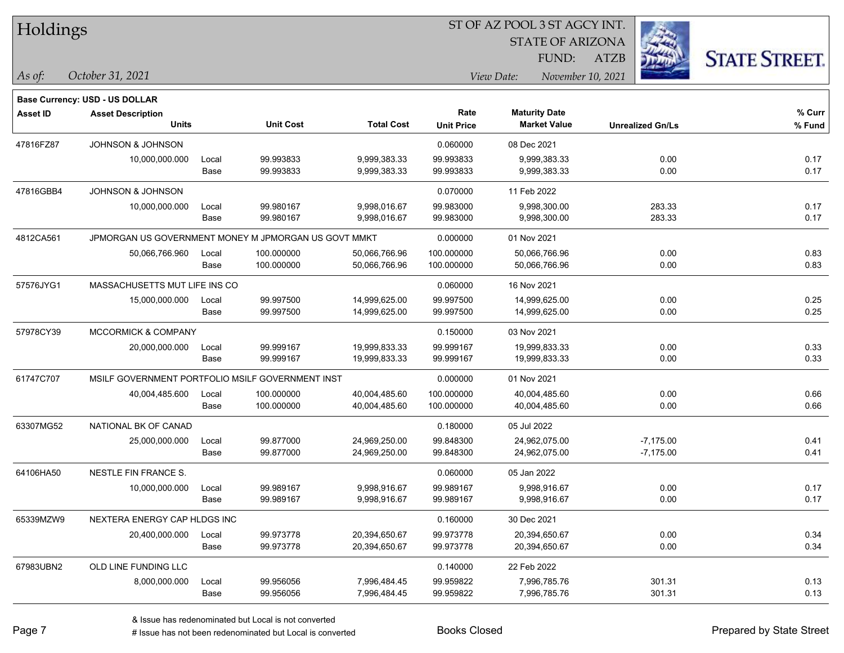| Holdings        |                                                      |       |                  | ST OF AZ POOL 3 ST AGCY INT. |                   |                                 |                         |                      |  |  |  |
|-----------------|------------------------------------------------------|-------|------------------|------------------------------|-------------------|---------------------------------|-------------------------|----------------------|--|--|--|
|                 |                                                      |       |                  |                              |                   | <b>STATE OF ARIZONA</b>         |                         |                      |  |  |  |
|                 |                                                      |       |                  |                              |                   | FUND:                           | <b>ATZB</b>             | <b>STATE STREET.</b> |  |  |  |
| $\vert$ As of:  | October 31, 2021                                     |       |                  |                              |                   | View Date:<br>November 10, 2021 |                         |                      |  |  |  |
|                 | <b>Base Currency: USD - US DOLLAR</b>                |       |                  |                              |                   |                                 |                         |                      |  |  |  |
| <b>Asset ID</b> | <b>Asset Description</b>                             |       |                  |                              | Rate              | <b>Maturity Date</b>            |                         | $%$ Curr             |  |  |  |
|                 | <b>Units</b>                                         |       | <b>Unit Cost</b> | <b>Total Cost</b>            | <b>Unit Price</b> | <b>Market Value</b>             | <b>Unrealized Gn/Ls</b> | % Fund               |  |  |  |
| 47816FZ87       | <b>JOHNSON &amp; JOHNSON</b>                         |       |                  |                              | 0.060000          | 08 Dec 2021                     |                         |                      |  |  |  |
|                 | 10,000,000.000                                       | Local | 99.993833        | 9,999,383.33                 | 99.993833         | 9,999,383.33                    | 0.00                    | 0.17                 |  |  |  |
|                 |                                                      | Base  | 99.993833        | 9,999,383.33                 | 99.993833         | 9,999,383.33                    | 0.00                    | 0.17                 |  |  |  |
| 47816GBB4       | <b>JOHNSON &amp; JOHNSON</b>                         |       |                  |                              | 0.070000          | 11 Feb 2022                     |                         |                      |  |  |  |
|                 | 10,000,000.000                                       | Local | 99.980167        | 9,998,016.67                 | 99.983000         | 9,998,300.00                    | 283.33                  | 0.17                 |  |  |  |
|                 |                                                      | Base  | 99.980167        | 9,998,016.67                 | 99.983000         | 9,998,300.00                    | 283.33                  | 0.17                 |  |  |  |
| 4812CA561       | JPMORGAN US GOVERNMENT MONEY M JPMORGAN US GOVT MMKT |       |                  |                              | 0.000000          | 01 Nov 2021                     |                         |                      |  |  |  |
|                 | 50,066,766.960                                       | Local | 100.000000       | 50,066,766.96                | 100.000000        | 50,066,766.96                   | 0.00                    | 0.83                 |  |  |  |
|                 |                                                      | Base  | 100.000000       | 50,066,766.96                | 100.000000        | 50,066,766.96                   | 0.00                    | 0.83                 |  |  |  |
| 57576JYG1       | MASSACHUSETTS MUT LIFE INS CO                        |       |                  |                              | 0.060000          | 16 Nov 2021                     |                         |                      |  |  |  |
|                 | 15,000,000.000                                       | Local | 99.997500        | 14,999,625.00                | 99.997500         | 14,999,625.00                   | 0.00                    | 0.25                 |  |  |  |
|                 |                                                      | Base  | 99.997500        | 14,999,625.00                | 99.997500         | 14,999,625.00                   | 0.00                    | 0.25                 |  |  |  |
| 57978CY39       | <b>MCCORMICK &amp; COMPANY</b>                       |       |                  |                              | 0.150000          | 03 Nov 2021                     |                         |                      |  |  |  |
|                 | 20,000,000.000                                       | Local | 99.999167        | 19,999,833.33                | 99.999167         | 19,999,833.33                   | 0.00                    | 0.33                 |  |  |  |
|                 |                                                      | Base  | 99.999167        | 19,999,833.33                | 99.999167         | 19,999,833.33                   | 0.00                    | 0.33                 |  |  |  |
| 61747C707       | MSILF GOVERNMENT PORTFOLIO MSILF GOVERNMENT INST     |       |                  |                              | 0.000000          | 01 Nov 2021                     |                         |                      |  |  |  |
|                 | 40,004,485.600                                       | Local | 100.000000       | 40,004,485.60                | 100.000000        | 40,004,485.60                   | 0.00                    | 0.66                 |  |  |  |
|                 |                                                      | Base  | 100.000000       | 40,004,485.60                | 100.000000        | 40,004,485.60                   | 0.00                    | 0.66                 |  |  |  |
| 63307MG52       | NATIONAL BK OF CANAD                                 |       |                  |                              | 0.180000          | 05 Jul 2022                     |                         |                      |  |  |  |
|                 | 25,000,000.000                                       | Local | 99.877000        | 24,969,250.00                | 99.848300         | 24,962,075.00                   | $-7,175.00$             | 0.41                 |  |  |  |
|                 |                                                      | Base  | 99.877000        | 24,969,250.00                | 99.848300         | 24,962,075.00                   | $-7,175.00$             | 0.41                 |  |  |  |
| 64106HA50       | NESTLE FIN FRANCE S.                                 |       |                  |                              | 0.060000          | 05 Jan 2022                     |                         |                      |  |  |  |
|                 | 10,000,000.000                                       | Local | 99.989167        | 9,998,916.67                 | 99.989167         | 9,998,916.67                    | 0.00                    | 0.17                 |  |  |  |
|                 |                                                      | Base  | 99.989167        | 9,998,916.67                 | 99.989167         | 9,998,916.67                    | 0.00                    | 0.17                 |  |  |  |
| 65339MZW9       | NEXTERA ENERGY CAP HLDGS INC                         |       |                  |                              | 0.160000          | 30 Dec 2021                     |                         |                      |  |  |  |
|                 | 20,400,000.000                                       | Local | 99.973778        | 20,394,650.67                | 99.973778         | 20,394,650.67                   | 0.00                    | 0.34                 |  |  |  |
|                 |                                                      | Base  | 99.973778        | 20,394,650.67                | 99.973778         | 20,394,650.67                   | 0.00                    | 0.34                 |  |  |  |
| 67983UBN2       | OLD LINE FUNDING LLC                                 |       |                  |                              | 0.140000          | 22 Feb 2022                     |                         |                      |  |  |  |
|                 | 8,000,000.000                                        | Local | 99.956056        | 7,996,484.45                 | 99.959822         | 7,996,785.76                    | 301.31                  | 0.13                 |  |  |  |
|                 |                                                      | Base  | 99.956056        | 7,996,484.45                 | 99.959822         | 7,996,785.76                    | 301.31                  | 0.13                 |  |  |  |

ST OF AZ POOL 3 ST AGCY INT.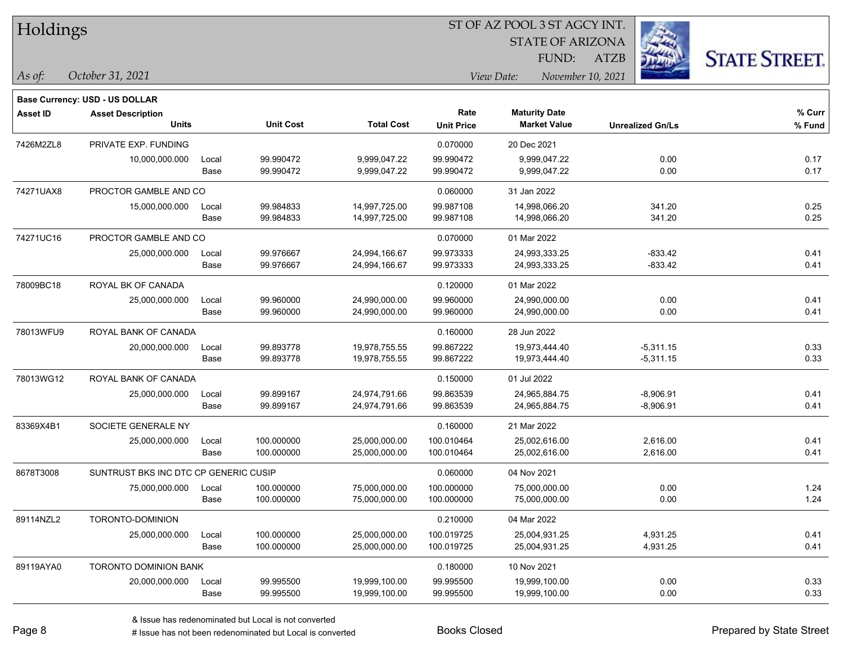|  | <b>Holdings</b> |
|--|-----------------|
|  |                 |

*October 31, 2021*

#### ST OF AZ POOL 3 ST AGCY INT.

STATE OF ARIZONA FUND:

ATZB



*As of: View Date: November 10, 2021*

| Rate<br><b>Maturity Date</b><br><b>Asset ID</b><br><b>Asset Description</b><br><b>Units</b><br><b>Unit Cost</b><br><b>Total Cost</b><br><b>Market Value</b><br><b>Unit Price</b><br>PRIVATE EXP. FUNDING<br>7426M2ZL8<br>0.070000<br>20 Dec 2021<br>99.990472<br>9,999,047.22<br>99.990472<br>9,999,047.22<br>10,000,000.000<br>Local<br>9,999,047.22<br>Base<br>99.990472<br>9,999,047.22<br>99.990472<br>PROCTOR GAMBLE AND CO<br>74271UAX8<br>0.060000<br>31 Jan 2022<br>99.984833<br>14,997,725.00<br>99.987108<br>14,998,066.20<br>15,000,000.000<br>Local<br>99.984833<br>14,998,066.20<br>Base<br>14,997,725.00<br>99.987108<br>74271UC16<br>PROCTOR GAMBLE AND CO<br>0.070000<br>01 Mar 2022<br>99.973333<br>25,000,000.000<br>99.976667<br>24,994,166.67<br>24,993,333.25<br>Local<br>99.976667<br>24,994,166.67<br>99.973333<br>24,993,333.25<br>Base<br>78009BC18<br>ROYAL BK OF CANADA<br>0.120000<br>01 Mar 2022<br>99.960000<br>24,990,000.00<br>99.960000<br>25,000,000.000<br>Local<br>24,990,000.00<br>99.960000<br>99.960000<br>Base<br>24,990,000.00<br>24,990,000.00<br>78013WFU9 | <b>Unrealized Gn/Ls</b><br>0.00<br>0.00 | % Curr<br>% Fund |
|-------------------------------------------------------------------------------------------------------------------------------------------------------------------------------------------------------------------------------------------------------------------------------------------------------------------------------------------------------------------------------------------------------------------------------------------------------------------------------------------------------------------------------------------------------------------------------------------------------------------------------------------------------------------------------------------------------------------------------------------------------------------------------------------------------------------------------------------------------------------------------------------------------------------------------------------------------------------------------------------------------------------------------------------------------------------------------------------------------|-----------------------------------------|------------------|
|                                                                                                                                                                                                                                                                                                                                                                                                                                                                                                                                                                                                                                                                                                                                                                                                                                                                                                                                                                                                                                                                                                       |                                         |                  |
|                                                                                                                                                                                                                                                                                                                                                                                                                                                                                                                                                                                                                                                                                                                                                                                                                                                                                                                                                                                                                                                                                                       |                                         |                  |
|                                                                                                                                                                                                                                                                                                                                                                                                                                                                                                                                                                                                                                                                                                                                                                                                                                                                                                                                                                                                                                                                                                       |                                         |                  |
|                                                                                                                                                                                                                                                                                                                                                                                                                                                                                                                                                                                                                                                                                                                                                                                                                                                                                                                                                                                                                                                                                                       |                                         | 0.17             |
|                                                                                                                                                                                                                                                                                                                                                                                                                                                                                                                                                                                                                                                                                                                                                                                                                                                                                                                                                                                                                                                                                                       |                                         | 0.17             |
|                                                                                                                                                                                                                                                                                                                                                                                                                                                                                                                                                                                                                                                                                                                                                                                                                                                                                                                                                                                                                                                                                                       |                                         |                  |
|                                                                                                                                                                                                                                                                                                                                                                                                                                                                                                                                                                                                                                                                                                                                                                                                                                                                                                                                                                                                                                                                                                       | 341.20                                  | 0.25             |
|                                                                                                                                                                                                                                                                                                                                                                                                                                                                                                                                                                                                                                                                                                                                                                                                                                                                                                                                                                                                                                                                                                       | 341.20                                  | 0.25             |
|                                                                                                                                                                                                                                                                                                                                                                                                                                                                                                                                                                                                                                                                                                                                                                                                                                                                                                                                                                                                                                                                                                       |                                         |                  |
|                                                                                                                                                                                                                                                                                                                                                                                                                                                                                                                                                                                                                                                                                                                                                                                                                                                                                                                                                                                                                                                                                                       | $-833.42$                               | 0.41             |
|                                                                                                                                                                                                                                                                                                                                                                                                                                                                                                                                                                                                                                                                                                                                                                                                                                                                                                                                                                                                                                                                                                       | $-833.42$                               | 0.41             |
|                                                                                                                                                                                                                                                                                                                                                                                                                                                                                                                                                                                                                                                                                                                                                                                                                                                                                                                                                                                                                                                                                                       |                                         |                  |
|                                                                                                                                                                                                                                                                                                                                                                                                                                                                                                                                                                                                                                                                                                                                                                                                                                                                                                                                                                                                                                                                                                       | 0.00                                    | 0.41             |
|                                                                                                                                                                                                                                                                                                                                                                                                                                                                                                                                                                                                                                                                                                                                                                                                                                                                                                                                                                                                                                                                                                       | 0.00                                    | 0.41             |
| ROYAL BANK OF CANADA<br>0.160000<br>28 Jun 2022                                                                                                                                                                                                                                                                                                                                                                                                                                                                                                                                                                                                                                                                                                                                                                                                                                                                                                                                                                                                                                                       |                                         |                  |
| Local<br>99.893778<br>19,978,755.55<br>99.867222<br>19,973,444.40<br>20,000,000.000                                                                                                                                                                                                                                                                                                                                                                                                                                                                                                                                                                                                                                                                                                                                                                                                                                                                                                                                                                                                                   | $-5,311.15$                             | 0.33             |
| Base<br>99.893778<br>19,978,755.55<br>99.867222<br>19,973,444.40                                                                                                                                                                                                                                                                                                                                                                                                                                                                                                                                                                                                                                                                                                                                                                                                                                                                                                                                                                                                                                      | $-5,311.15$                             | 0.33             |
| 78013WG12<br>ROYAL BANK OF CANADA<br>0.150000<br>01 Jul 2022                                                                                                                                                                                                                                                                                                                                                                                                                                                                                                                                                                                                                                                                                                                                                                                                                                                                                                                                                                                                                                          |                                         |                  |
| 99.899167<br>24,974,791.66<br>99.863539<br>24,965,884.75<br>25,000,000.000<br>Local                                                                                                                                                                                                                                                                                                                                                                                                                                                                                                                                                                                                                                                                                                                                                                                                                                                                                                                                                                                                                   | $-8,906.91$                             | 0.41             |
| 99.899167<br>99.863539<br>24,965,884.75<br>Base<br>24,974,791.66                                                                                                                                                                                                                                                                                                                                                                                                                                                                                                                                                                                                                                                                                                                                                                                                                                                                                                                                                                                                                                      | $-8,906.91$                             | 0.41             |
| 83369X4B1<br>SOCIETE GENERALE NY<br>0.160000<br>21 Mar 2022                                                                                                                                                                                                                                                                                                                                                                                                                                                                                                                                                                                                                                                                                                                                                                                                                                                                                                                                                                                                                                           |                                         |                  |
| 100.000000<br>25,000,000.000<br>Local<br>25,000,000.00<br>100.010464<br>25,002,616.00                                                                                                                                                                                                                                                                                                                                                                                                                                                                                                                                                                                                                                                                                                                                                                                                                                                                                                                                                                                                                 | 2,616.00                                | 0.41             |
| 100.000000<br>25,000,000.00<br>100.010464<br>25,002,616.00<br>Base                                                                                                                                                                                                                                                                                                                                                                                                                                                                                                                                                                                                                                                                                                                                                                                                                                                                                                                                                                                                                                    | 2,616.00                                | 0.41             |
| 8678T3008<br>SUNTRUST BKS INC DTC CP GENERIC CUSIP<br>0.060000<br>04 Nov 2021                                                                                                                                                                                                                                                                                                                                                                                                                                                                                                                                                                                                                                                                                                                                                                                                                                                                                                                                                                                                                         |                                         |                  |
| 100.000000<br>75,000,000.00<br>100.000000<br>75,000,000.00<br>75,000,000.000<br>Local                                                                                                                                                                                                                                                                                                                                                                                                                                                                                                                                                                                                                                                                                                                                                                                                                                                                                                                                                                                                                 | 0.00                                    | 1.24             |
| 100.000000<br>100.000000<br>75,000,000.00<br>Base<br>75,000,000.00                                                                                                                                                                                                                                                                                                                                                                                                                                                                                                                                                                                                                                                                                                                                                                                                                                                                                                                                                                                                                                    | 0.00                                    | 1.24             |
| 89114NZL2<br>TORONTO-DOMINION<br>0.210000<br>04 Mar 2022                                                                                                                                                                                                                                                                                                                                                                                                                                                                                                                                                                                                                                                                                                                                                                                                                                                                                                                                                                                                                                              |                                         |                  |
| 100.000000<br>25,000,000.00<br>100.019725<br>25,004,931.25<br>25,000,000.000<br>Local                                                                                                                                                                                                                                                                                                                                                                                                                                                                                                                                                                                                                                                                                                                                                                                                                                                                                                                                                                                                                 | 4,931.25                                | 0.41             |
| 100.000000<br>100.019725<br>25,004,931.25<br>Base<br>25,000,000.00                                                                                                                                                                                                                                                                                                                                                                                                                                                                                                                                                                                                                                                                                                                                                                                                                                                                                                                                                                                                                                    | 4,931.25                                | 0.41             |
| 89119AYA0<br><b>TORONTO DOMINION BANK</b><br>0.180000<br>10 Nov 2021                                                                                                                                                                                                                                                                                                                                                                                                                                                                                                                                                                                                                                                                                                                                                                                                                                                                                                                                                                                                                                  |                                         |                  |
| 20,000,000.000<br>99.995500<br>19,999,100.00<br>99.995500<br>19,999,100.00<br>Local                                                                                                                                                                                                                                                                                                                                                                                                                                                                                                                                                                                                                                                                                                                                                                                                                                                                                                                                                                                                                   |                                         |                  |
| 99.995500<br>19,999,100.00<br>99.995500<br>Base<br>19,999,100.00                                                                                                                                                                                                                                                                                                                                                                                                                                                                                                                                                                                                                                                                                                                                                                                                                                                                                                                                                                                                                                      | 0.00                                    | 0.33<br>0.33     |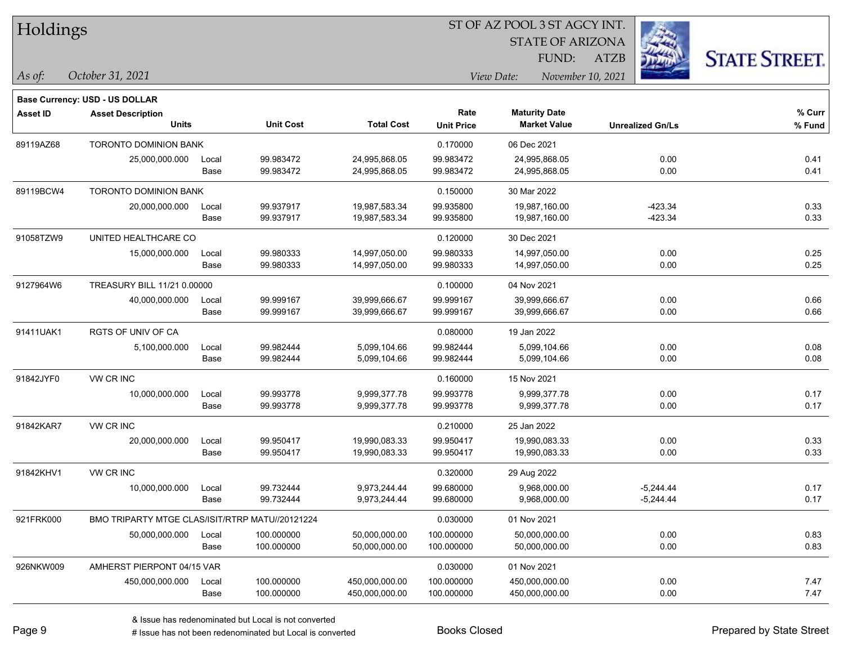| Holdings        |                                                 |               |                          |                                 | ST OF AZ POOL 3 ST AGCY INT. |                                             |                            |                      |  |  |
|-----------------|-------------------------------------------------|---------------|--------------------------|---------------------------------|------------------------------|---------------------------------------------|----------------------------|----------------------|--|--|
|                 |                                                 |               |                          |                                 |                              | <b>STATE OF ARIZONA</b>                     |                            |                      |  |  |
|                 |                                                 |               |                          |                                 |                              | FUND:                                       | ATZB                       | <b>STATE STREET.</b> |  |  |
| As of:          | October 31, 2021                                |               |                          | View Date:<br>November 10, 2021 |                              |                                             |                            |                      |  |  |
|                 | <b>Base Currency: USD - US DOLLAR</b>           |               |                          |                                 |                              |                                             |                            |                      |  |  |
| <b>Asset ID</b> | <b>Asset Description</b><br><b>Units</b>        |               | <b>Unit Cost</b>         | <b>Total Cost</b>               | Rate<br><b>Unit Price</b>    | <b>Maturity Date</b><br><b>Market Value</b> | <b>Unrealized Gn/Ls</b>    | % Curr<br>% Fund     |  |  |
| 89119AZ68       | <b>TORONTO DOMINION BANK</b>                    |               |                          |                                 | 0.170000                     | 06 Dec 2021                                 |                            |                      |  |  |
|                 | 25,000,000.000                                  | Local<br>Base | 99.983472<br>99.983472   | 24,995,868.05<br>24,995,868.05  | 99.983472<br>99.983472       | 24,995,868.05<br>24,995,868.05              | 0.00<br>0.00               | 0.41<br>0.41         |  |  |
| 89119BCW4       | <b>TORONTO DOMINION BANK</b>                    |               |                          |                                 | 0.150000                     | 30 Mar 2022                                 |                            |                      |  |  |
|                 | 20,000,000.000                                  | Local<br>Base | 99.937917<br>99.937917   | 19,987,583.34<br>19,987,583.34  | 99.935800<br>99.935800       | 19,987,160.00<br>19,987,160.00              | $-423.34$<br>$-423.34$     | 0.33<br>0.33         |  |  |
| 91058TZW9       | UNITED HEALTHCARE CO                            |               |                          |                                 | 0.120000                     | 30 Dec 2021                                 |                            |                      |  |  |
|                 | 15,000,000.000                                  | Local<br>Base | 99.980333<br>99.980333   | 14,997,050.00<br>14,997,050.00  | 99.980333<br>99.980333       | 14,997,050.00<br>14,997,050.00              | 0.00<br>0.00               | 0.25<br>0.25         |  |  |
| 9127964W6       | TREASURY BILL 11/21 0.00000                     |               |                          |                                 | 0.100000                     | 04 Nov 2021                                 |                            |                      |  |  |
|                 | 40,000,000.000                                  | Local<br>Base | 99.999167<br>99.999167   | 39,999,666.67<br>39,999,666.67  | 99.999167<br>99.999167       | 39,999,666.67<br>39,999,666.67              | 0.00<br>0.00               | 0.66<br>0.66         |  |  |
| 91411UAK1       | <b>RGTS OF UNIV OF CA</b>                       |               |                          |                                 | 0.080000                     | 19 Jan 2022                                 |                            |                      |  |  |
|                 | 5,100,000.000                                   | Local<br>Base | 99.982444<br>99.982444   | 5,099,104.66<br>5,099,104.66    | 99.982444<br>99.982444       | 5,099,104.66<br>5,099,104.66                | 0.00<br>0.00               | 0.08<br>0.08         |  |  |
| 91842JYF0       | VW CR INC                                       |               |                          |                                 | 0.160000                     | 15 Nov 2021                                 |                            |                      |  |  |
|                 | 10,000,000.000                                  | Local<br>Base | 99.993778<br>99.993778   | 9,999,377.78<br>9,999,377.78    | 99.993778<br>99.993778       | 9,999,377.78<br>9,999,377.78                | 0.00<br>0.00               | 0.17<br>0.17         |  |  |
| 91842KAR7       | VW CR INC                                       |               |                          |                                 | 0.210000                     | 25 Jan 2022                                 |                            |                      |  |  |
|                 | 20,000,000.000                                  | Local<br>Base | 99.950417<br>99.950417   | 19,990,083.33<br>19,990,083.33  | 99.950417<br>99.950417       | 19,990,083.33<br>19,990,083.33              | 0.00<br>0.00               | 0.33<br>0.33         |  |  |
| 91842KHV1       | VW CR INC                                       |               |                          |                                 | 0.320000                     | 29 Aug 2022                                 |                            |                      |  |  |
|                 | 10,000,000.000                                  | Local<br>Base | 99.732444<br>99.732444   | 9,973,244.44<br>9,973,244.44    | 99.680000<br>99.680000       | 9,968,000.00<br>9,968,000.00                | $-5,244.44$<br>$-5,244.44$ | 0.17<br>0.17         |  |  |
| 921FRK000       | BMO TRIPARTY MTGE CLAS/ISIT/RTRP MATU//20121224 |               |                          |                                 | 0.030000                     | 01 Nov 2021                                 |                            |                      |  |  |
|                 | 50,000,000.000                                  | Local<br>Base | 100.000000<br>100.000000 | 50,000,000.00<br>50,000,000.00  | 100.000000<br>100.000000     | 50,000,000.00<br>50,000,000.00              | 0.00<br>0.00               | 0.83<br>0.83         |  |  |
| 926NKW009       | AMHERST PIERPONT 04/15 VAR                      |               |                          |                                 | 0.030000                     | 01 Nov 2021                                 |                            |                      |  |  |

450,000,000.000 Local 100.000000 450,000,000.00 100.000000 450,000,000.00 0.00 7.47

Base 100.000000 450,000,000.00 100.000000 450,000,000.00 0.00 7.47

ST OF AZ POOL 3 ST AGCY INT.

# Issue has not been redenominated but Local is converted Books Closed Prepared by State Street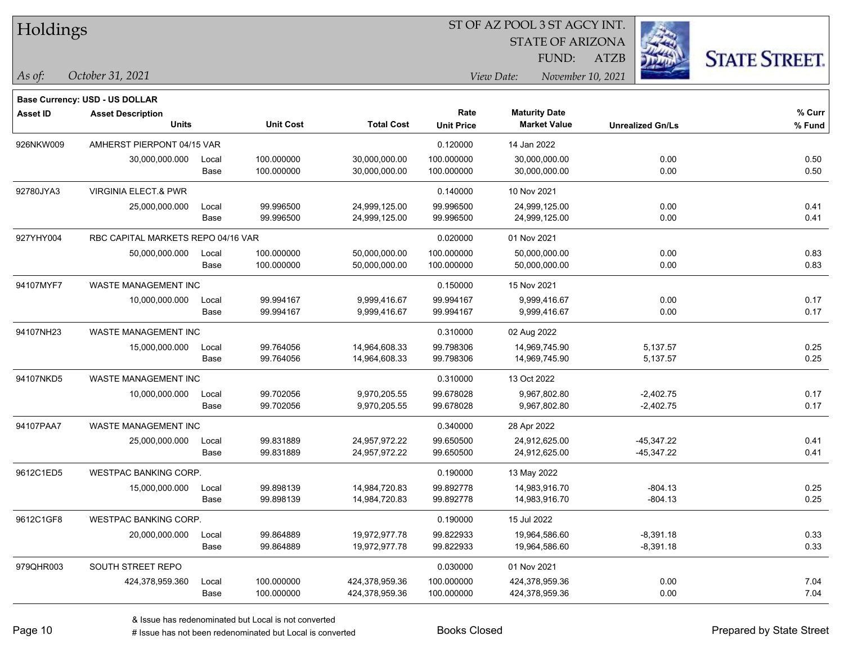| Holdings |
|----------|
|          |

*October 31, 2021*

#### ST OF AZ POOL 3 ST AGCY INT.

STATE OF ARIZONA

FUND:

ATZB



*As of: View Date: November 10, 2021*

|                 | <b>Base Currency: USD - US DOLLAR</b>    |               |                          |                                |                           |                                             |                            |                  |
|-----------------|------------------------------------------|---------------|--------------------------|--------------------------------|---------------------------|---------------------------------------------|----------------------------|------------------|
| <b>Asset ID</b> | <b>Asset Description</b><br><b>Units</b> |               | <b>Unit Cost</b>         | <b>Total Cost</b>              | Rate<br><b>Unit Price</b> | <b>Maturity Date</b><br><b>Market Value</b> | <b>Unrealized Gn/Ls</b>    | % Curr<br>% Fund |
| 926NKW009       | AMHERST PIERPONT 04/15 VAR               |               |                          |                                | 0.120000                  | 14 Jan 2022                                 |                            |                  |
|                 | 30,000,000.000                           | Local<br>Base | 100.000000<br>100.000000 | 30,000,000.00<br>30,000,000.00 | 100.000000<br>100.000000  | 30,000,000.00<br>30,000,000.00              | 0.00<br>0.00               | 0.50<br>0.50     |
| 92780JYA3       | <b>VIRGINIA ELECT.&amp; PWR</b>          |               |                          |                                | 0.140000                  | 10 Nov 2021                                 |                            |                  |
|                 | 25,000,000.000                           | Local<br>Base | 99.996500<br>99.996500   | 24,999,125.00<br>24,999,125.00 | 99.996500<br>99.996500    | 24,999,125.00<br>24,999,125.00              | 0.00<br>0.00               | 0.41<br>0.41     |
| 927YHY004       | RBC CAPITAL MARKETS REPO 04/16 VAR       |               |                          |                                | 0.020000                  | 01 Nov 2021                                 |                            |                  |
|                 | 50,000,000.000                           | Local<br>Base | 100.000000<br>100.000000 | 50,000,000.00<br>50,000,000.00 | 100.000000<br>100.000000  | 50,000,000.00<br>50,000,000.00              | 0.00<br>0.00               | 0.83<br>0.83     |
| 94107MYF7       | WASTE MANAGEMENT INC                     |               |                          |                                | 0.150000                  | 15 Nov 2021                                 |                            |                  |
|                 | 10,000,000.000                           | Local<br>Base | 99.994167<br>99.994167   | 9,999,416.67<br>9,999,416.67   | 99.994167<br>99.994167    | 9,999,416.67<br>9,999,416.67                | 0.00<br>0.00               | 0.17<br>0.17     |
| 94107NH23       | <b>WASTE MANAGEMENT INC</b>              |               |                          |                                | 0.310000                  | 02 Aug 2022                                 |                            |                  |
|                 | 15,000,000.000                           | Local<br>Base | 99.764056<br>99.764056   | 14,964,608.33<br>14,964,608.33 | 99.798306<br>99.798306    | 14,969,745.90<br>14,969,745.90              | 5,137.57<br>5,137.57       | 0.25<br>0.25     |
| 94107NKD5       | <b>WASTE MANAGEMENT INC</b>              |               |                          |                                | 0.310000                  | 13 Oct 2022                                 |                            |                  |
|                 | 10,000,000.000                           | Local<br>Base | 99.702056<br>99.702056   | 9,970,205.55<br>9,970,205.55   | 99.678028<br>99.678028    | 9,967,802.80<br>9,967,802.80                | $-2,402.75$<br>$-2,402.75$ | 0.17<br>0.17     |
| 94107PAA7       | <b>WASTE MANAGEMENT INC</b>              |               |                          |                                | 0.340000                  | 28 Apr 2022                                 |                            |                  |

25,000,000.000 Local 99.831889 24,957,972.22 99.650500 24,912,625.00 -45,347.22 0.41

|           |                       | Base          | 99.831889                | 24,957,972.22                    | 99.650500                | 24.912.625.00                    | -45.347.22                 | 0.41         |
|-----------|-----------------------|---------------|--------------------------|----------------------------------|--------------------------|----------------------------------|----------------------------|--------------|
| 9612C1ED5 | WESTPAC BANKING CORP. |               |                          |                                  | 0.190000                 | 13 May 2022                      |                            |              |
|           | 15,000,000.000        | Local<br>Base | 99.898139<br>99.898139   | 14,984,720.83<br>14,984,720.83   | 99.892778<br>99.892778   | 14,983,916.70<br>14.983.916.70   | $-804.13$<br>$-804.13$     | 0.25<br>0.25 |
| 9612C1GF8 | WESTPAC BANKING CORP. |               |                          |                                  | 0.190000                 | 15 Jul 2022                      |                            |              |
|           | 20,000,000.000        | Local<br>Base | 99.864889<br>99.864889   | 19.972.977.78<br>19.972.977.78   | 99.822933<br>99.822933   | 19,964,586.60<br>19,964,586.60   | $-8.391.18$<br>$-8.391.18$ | 0.33<br>0.33 |
| 979QHR003 | SOUTH STREET REPO     |               |                          |                                  | 0.030000                 | 01 Nov 2021                      |                            |              |
|           | 424,378,959.360       | Local<br>Base | 100.000000<br>100.000000 | 424,378,959.36<br>424,378,959.36 | 100.000000<br>100.000000 | 424,378,959.36<br>424,378,959.36 | 0.00<br>0.00               | 7.04<br>7.04 |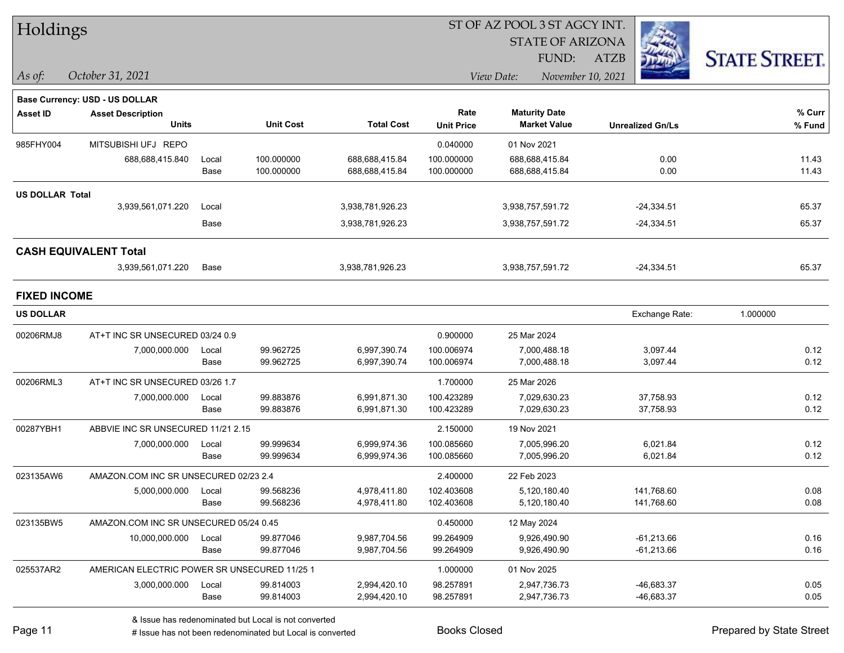| Holdings            |                                              |       |                  |                   |                   | 51 OF AZ POOL 3 51 AGCY INT. |                                             |              |                         |                      |        |
|---------------------|----------------------------------------------|-------|------------------|-------------------|-------------------|------------------------------|---------------------------------------------|--------------|-------------------------|----------------------|--------|
|                     |                                              |       |                  |                   |                   |                              | <b>STATE OF ARIZONA</b>                     |              |                         |                      |        |
|                     |                                              |       |                  |                   |                   |                              | FUND:                                       | <b>ATZB</b>  |                         | <b>STATE STREET.</b> |        |
| As of:              | October 31, 2021                             |       |                  |                   |                   | View Date:                   | November 10, 2021                           |              |                         |                      |        |
|                     |                                              |       |                  |                   |                   |                              |                                             |              |                         |                      |        |
|                     | Base Currency: USD - US DOLLAR               |       |                  |                   |                   |                              |                                             |              |                         |                      |        |
| <b>Asset ID</b>     | <b>Asset Description</b><br><b>Units</b>     |       | <b>Unit Cost</b> | <b>Total Cost</b> | Rate              |                              | <b>Maturity Date</b><br><b>Market Value</b> |              |                         |                      | % Curr |
|                     |                                              |       |                  |                   | <b>Unit Price</b> |                              |                                             |              | <b>Unrealized Gn/Ls</b> |                      | % Fund |
| 985FHY004           | MITSUBISHI UFJ REPO                          |       |                  |                   | 0.040000          | 01 Nov 2021                  |                                             |              |                         |                      |        |
|                     | 688,688,415.840                              | Local | 100.000000       | 688,688,415.84    | 100.000000        |                              | 688,688,415.84                              |              | 0.00                    |                      | 11.43  |
|                     |                                              | Base  | 100.000000       | 688,688,415.84    | 100.000000        |                              | 688,688,415.84                              |              | 0.00                    |                      | 11.43  |
| US DOLLAR Total     |                                              |       |                  |                   |                   |                              |                                             |              |                         |                      |        |
|                     | 3,939,561,071.220                            | Local |                  | 3,938,781,926.23  |                   | 3,938,757,591.72             |                                             |              | $-24,334.51$            |                      | 65.37  |
|                     |                                              | Base  |                  | 3,938,781,926.23  |                   | 3,938,757,591.72             |                                             |              | $-24,334.51$            |                      | 65.37  |
|                     | <b>CASH EQUIVALENT Total</b>                 |       |                  |                   |                   |                              |                                             |              |                         |                      |        |
|                     | 3,939,561,071.220                            | Base  |                  | 3,938,781,926.23  |                   | 3,938,757,591.72             |                                             |              | $-24,334.51$            |                      | 65.37  |
| <b>FIXED INCOME</b> |                                              |       |                  |                   |                   |                              |                                             |              |                         |                      |        |
| <b>US DOLLAR</b>    |                                              |       |                  |                   |                   |                              |                                             |              | Exchange Rate:          | 1.000000             |        |
| 00206RMJ8           | AT+T INC SR UNSECURED 03/24 0.9              |       |                  |                   | 0.900000          | 25 Mar 2024                  |                                             |              |                         |                      |        |
|                     | 7,000,000.000                                | Local | 99.962725        | 6,997,390.74      | 100.006974        |                              | 7,000,488.18                                |              | 3,097.44                |                      | 0.12   |
|                     |                                              | Base  | 99.962725        | 6,997,390.74      | 100.006974        |                              | 7,000,488.18                                |              | 3,097.44                |                      | 0.12   |
| 00206RML3           | AT+T INC SR UNSECURED 03/26 1.7              |       |                  |                   | 1.700000          | 25 Mar 2026                  |                                             |              |                         |                      |        |
|                     | 7,000,000.000                                | Local | 99.883876        | 6,991,871.30      | 100.423289        |                              | 7,029,630.23                                |              | 37,758.93               |                      | 0.12   |
|                     |                                              | Base  | 99.883876        | 6,991,871.30      | 100.423289        |                              | 7,029,630.23                                |              | 37,758.93               |                      | 0.12   |
| 00287YBH1           | ABBVIE INC SR UNSECURED 11/21 2.15           |       |                  |                   | 2.150000          | 19 Nov 2021                  |                                             |              |                         |                      |        |
|                     | 7,000,000.000                                | Local | 99.999634        | 6,999,974.36      | 100.085660        |                              | 7,005,996.20                                |              | 6,021.84                |                      | 0.12   |
|                     |                                              | Base  | 99.999634        | 6,999,974.36      | 100.085660        |                              | 7,005,996.20                                |              | 6,021.84                |                      | 0.12   |
| 023135AW6           | AMAZON.COM INC SR UNSECURED 02/23 2.4        |       |                  |                   | 2.400000          | 22 Feb 2023                  |                                             |              |                         |                      |        |
|                     | 5,000,000.000                                | Local | 99.568236        | 4,978,411.80      | 102.403608        |                              | 5,120,180.40                                |              | 141,768.60              |                      | 0.08   |
|                     |                                              | Base  | 99.568236        | 4,978,411.80      | 102.403608        |                              | 5,120,180.40                                |              | 141,768.60              |                      | 0.08   |
| 023135BW5           | AMAZON.COM INC SR UNSECURED 05/24 0.45       |       |                  |                   | 0.450000          | 12 May 2024                  |                                             |              |                         |                      |        |
|                     | 10,000,000.000                               | Local | 99.877046        | 9,987,704.56      | 99.264909         | 9,926,490.90                 |                                             | $-61,213.66$ |                         | 0.16                 |        |
|                     |                                              | Base  | 99.877046        | 9,987,704.56      | 99.264909         |                              | 9,926,490.90                                |              | $-61,213.66$            |                      | 0.16   |
| 025537AR2           | AMERICAN ELECTRIC POWER SR UNSECURED 11/25 1 |       |                  |                   | 1.000000          | 01 Nov 2025                  |                                             |              |                         |                      |        |
|                     | 3,000,000.000                                | Local | 99.814003        | 2,994,420.10      | 98.257891         |                              | 2,947,736.73                                |              | -46,683.37              |                      | 0.05   |
|                     |                                              | Base  | 99.814003        | 2,994,420.10      | 98.257891         |                              | 2,947,736.73                                |              | -46,683.37              |                      | 0.05   |

 $\overline{S}$  of  $\overline{S}$  of  $\overline{S}$   $\overline{S}$   $\overline{S}$   $\overline{S}$   $\overline{S}$   $\overline{S}$   $\overline{S}$   $\overline{S}$   $\overline{S}$   $\overline{S}$   $\overline{S}$   $\overline{S}$   $\overline{S}$   $\overline{S}$   $\overline{S}$   $\overline{S}$   $\overline{S}$   $\overline{S}$   $\overline{S}$   $\overline{S}$   $\overline{S}$   $\overline{S}$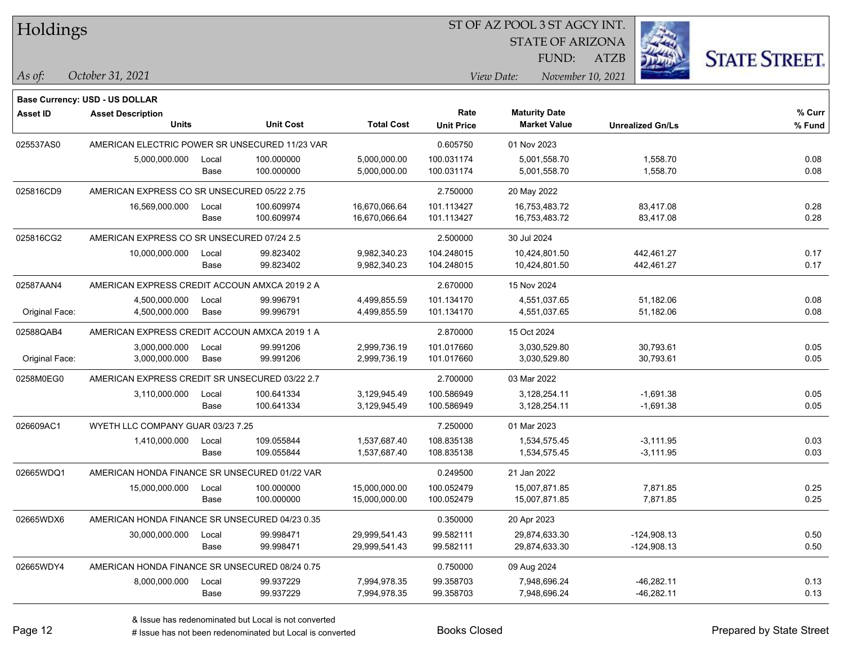#### ST OF AZ POOL 3 ST AGCY INT.

STATE OF ARIZONA

ATZB



**Base Currency: USD - US DOLLAR**

| <b>Asset ID</b>                                            | <b>Asset Description</b>                       |       |                  |                   | Rate              | <b>Maturity Date</b> |                         | % Curr |
|------------------------------------------------------------|------------------------------------------------|-------|------------------|-------------------|-------------------|----------------------|-------------------------|--------|
|                                                            | <b>Units</b>                                   |       | <b>Unit Cost</b> | <b>Total Cost</b> | <b>Unit Price</b> | <b>Market Value</b>  | <b>Unrealized Gn/Ls</b> | % Fund |
| 025537AS0                                                  | AMERICAN ELECTRIC POWER SR UNSECURED 11/23 VAR |       |                  | 0.605750          | 01 Nov 2023       |                      |                         |        |
|                                                            | 5,000,000.000                                  | Local | 100.000000       | 5,000,000.00      | 100.031174        | 5,001,558.70         | 1,558.70                | 0.08   |
|                                                            |                                                | Base  | 100.000000       | 5,000,000.00      | 100.031174        | 5,001,558.70         | 1,558.70                | 0.08   |
| 025816CD9                                                  | AMERICAN EXPRESS CO SR UNSECURED 05/22 2.75    |       |                  |                   | 2.750000          | 20 May 2022          |                         |        |
|                                                            | 16,569,000.000                                 | Local | 100.609974       | 16,670,066.64     | 101.113427        | 16,753,483.72        | 83,417.08               | 0.28   |
|                                                            |                                                | Base  | 100.609974       | 16,670,066.64     | 101.113427        | 16,753,483.72        | 83,417.08               | 0.28   |
| 025816CG2                                                  | AMERICAN EXPRESS CO SR UNSECURED 07/24 2.5     |       |                  |                   | 2.500000          | 30 Jul 2024          |                         |        |
|                                                            | 10,000,000.000                                 | Local | 99.823402        | 9,982,340.23      | 104.248015        | 10,424,801.50        | 442,461.27              | 0.17   |
|                                                            |                                                | Base  | 99.823402        | 9,982,340.23      | 104.248015        | 10,424,801.50        | 442,461.27              | 0.17   |
| 02587AAN4<br>AMERICAN EXPRESS CREDIT ACCOUN AMXCA 2019 2 A |                                                |       |                  |                   | 2.670000          | 15 Nov 2024          |                         |        |
|                                                            | 4,500,000.000                                  | Local | 99.996791        | 4,499,855.59      | 101.134170        | 4,551,037.65         | 51,182.06               | 0.08   |
| Original Face:                                             | 4,500,000.000                                  | Base  | 99.996791        | 4,499,855.59      | 101.134170        | 4,551,037.65         | 51,182.06               | 0.08   |
| 02588QAB4                                                  | AMERICAN EXPRESS CREDIT ACCOUN AMXCA 2019 1 A  |       |                  |                   | 2.870000          | 15 Oct 2024          |                         |        |
|                                                            | 3,000,000.000                                  | Local | 99.991206        | 2,999,736.19      | 101.017660        | 3,030,529.80         | 30,793.61               | 0.05   |
| Original Face:                                             | 3,000,000.000                                  | Base  | 99.991206        | 2,999,736.19      | 101.017660        | 3,030,529.80         | 30,793.61               | 0.05   |
| 0258M0EG0                                                  | AMERICAN EXPRESS CREDIT SR UNSECURED 03/22 2.7 |       |                  |                   | 2.700000          | 03 Mar 2022          |                         |        |
|                                                            | 3,110,000.000                                  | Local | 100.641334       | 3,129,945.49      | 100.586949        | 3,128,254.11         | $-1,691.38$             | 0.05   |
|                                                            |                                                | Base  | 100.641334       | 3,129,945.49      | 100.586949        | 3,128,254.11         | $-1,691.38$             | 0.05   |
| 026609AC1                                                  | WYETH LLC COMPANY GUAR 03/23 7.25              |       |                  |                   | 7.250000          | 01 Mar 2023          |                         |        |
|                                                            | 1,410,000.000                                  | Local | 109.055844       | 1,537,687.40      | 108.835138        | 1,534,575.45         | $-3,111.95$             | 0.03   |
|                                                            |                                                | Base  | 109.055844       | 1,537,687.40      | 108.835138        | 1,534,575.45         | $-3,111.95$             | 0.03   |
| 02665WDQ1                                                  | AMERICAN HONDA FINANCE SR UNSECURED 01/22 VAR  |       |                  |                   | 0.249500          | 21 Jan 2022          |                         |        |
|                                                            | 15,000,000.000                                 | Local | 100.000000       | 15,000,000.00     | 100.052479        | 15,007,871.85        | 7,871.85                | 0.25   |
|                                                            |                                                | Base  | 100.000000       | 15,000,000.00     | 100.052479        | 15,007,871.85        | 7,871.85                | 0.25   |
| 02665WDX6                                                  | AMERICAN HONDA FINANCE SR UNSECURED 04/23 0.35 |       |                  |                   | 0.350000          | 20 Apr 2023          |                         |        |
|                                                            | 30,000,000.000                                 | Local | 99.998471        | 29,999,541.43     | 99.582111         | 29,874,633.30        | $-124,908.13$           | 0.50   |
|                                                            |                                                | Base  | 99.998471        | 29,999,541.43     | 99.582111         | 29,874,633.30        | $-124,908.13$           | 0.50   |
| 02665WDY4                                                  | AMERICAN HONDA FINANCE SR UNSECURED 08/24 0.75 |       |                  |                   | 0.750000          | 09 Aug 2024          |                         |        |
|                                                            | 8,000,000.000                                  | Local | 99.937229        | 7,994,978.35      | 99.358703         | 7,948,696.24         | $-46,282.11$            | 0.13   |
|                                                            |                                                | Base  | 99.937229        | 7,994,978.35      | 99.358703         | 7,948,696.24         | $-46,282.11$            | 0.13   |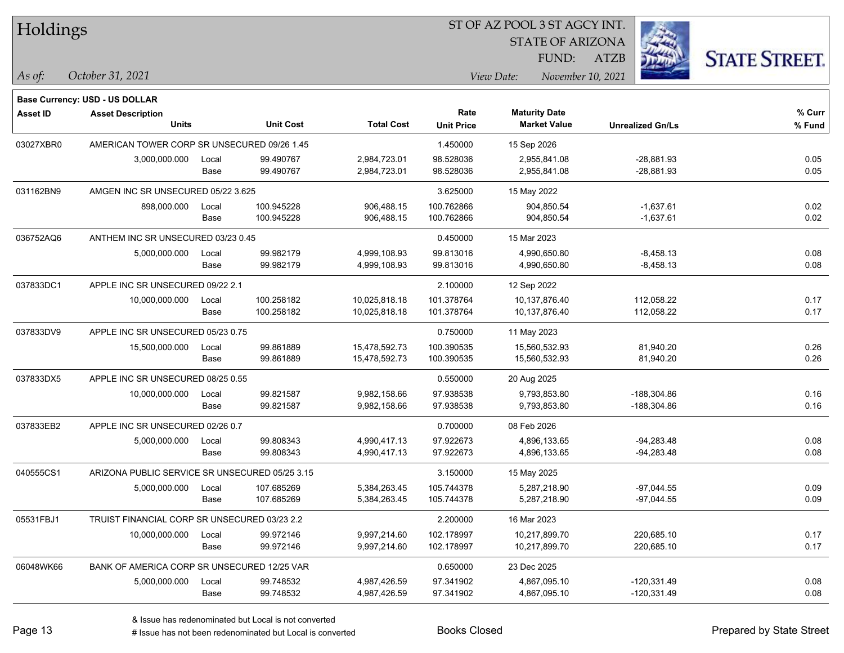| Holdings |  |
|----------|--|
|----------|--|

STATE OF ARIZONA

ATZB



**Base Currency: USD - US DOLLAR**

| <b>Asset ID</b> | <b>Asset Description</b>                       |                  |            |                   | Rate              | <b>Maturity Date</b> |                         | % Curr |
|-----------------|------------------------------------------------|------------------|------------|-------------------|-------------------|----------------------|-------------------------|--------|
|                 | <b>Units</b>                                   | <b>Unit Cost</b> |            | <b>Total Cost</b> | <b>Unit Price</b> | <b>Market Value</b>  | <b>Unrealized Gn/Ls</b> | % Fund |
| 03027XBR0       | AMERICAN TOWER CORP SR UNSECURED 09/26 1.45    |                  |            |                   | 1.450000          | 15 Sep 2026          |                         |        |
|                 | 3,000,000.000                                  | Local            | 99.490767  | 2,984,723.01      | 98.528036         | 2,955,841.08         | $-28,881.93$            | 0.05   |
|                 |                                                | Base             | 99.490767  | 2,984,723.01      | 98.528036         | 2,955,841.08         | $-28,881.93$            | 0.05   |
| 031162BN9       | AMGEN INC SR UNSECURED 05/22 3.625             |                  |            |                   | 3.625000          | 15 May 2022          |                         |        |
|                 | 898,000.000                                    | Local            | 100.945228 | 906,488.15        | 100.762866        | 904,850.54           | $-1,637.61$             | 0.02   |
|                 |                                                | Base             | 100.945228 | 906,488.15        | 100.762866        | 904,850.54           | $-1,637.61$             | 0.02   |
| 036752AQ6       | ANTHEM INC SR UNSECURED 03/23 0.45             |                  |            |                   | 0.450000          | 15 Mar 2023          |                         |        |
|                 | 5,000,000.000                                  | Local            | 99.982179  | 4,999,108.93      | 99.813016         | 4,990,650.80         | $-8,458.13$             | 0.08   |
|                 |                                                | Base             | 99.982179  | 4,999,108.93      | 99.813016         | 4,990,650.80         | $-8,458.13$             | 0.08   |
| 037833DC1       | APPLE INC SR UNSECURED 09/22 2.1               |                  |            | 2.100000          | 12 Sep 2022       |                      |                         |        |
|                 | 10,000,000.000                                 | Local            | 100.258182 | 10,025,818.18     | 101.378764        | 10,137,876.40        | 112,058.22              | 0.17   |
|                 |                                                | Base             | 100.258182 | 10,025,818.18     | 101.378764        | 10,137,876.40        | 112,058.22              | 0.17   |
| 037833DV9       | APPLE INC SR UNSECURED 05/23 0.75              |                  |            |                   | 0.750000          | 11 May 2023          |                         |        |
|                 | 15,500,000.000                                 | Local            | 99.861889  | 15,478,592.73     | 100.390535        | 15,560,532.93        | 81,940.20               | 0.26   |
|                 |                                                | Base             | 99.861889  | 15,478,592.73     | 100.390535        | 15,560,532.93        | 81,940.20               | 0.26   |
| 037833DX5       | APPLE INC SR UNSECURED 08/25 0.55              |                  |            |                   | 0.550000          | 20 Aug 2025          |                         |        |
|                 | 10,000,000.000                                 | Local            | 99.821587  | 9,982,158.66      | 97.938538         | 9,793,853.80         | $-188,304.86$           | 0.16   |
|                 |                                                | Base             | 99.821587  | 9,982,158.66      | 97.938538         | 9,793,853.80         | -188,304.86             | 0.16   |
| 037833EB2       | APPLE INC SR UNSECURED 02/26 0.7               |                  |            |                   | 0.700000          | 08 Feb 2026          |                         |        |
|                 | 5,000,000.000                                  | Local            | 99.808343  | 4,990,417.13      | 97.922673         | 4,896,133.65         | $-94,283.48$            | 0.08   |
|                 |                                                | Base             | 99.808343  | 4,990,417.13      | 97.922673         | 4,896,133.65         | $-94,283.48$            | 0.08   |
| 040555CS1       | ARIZONA PUBLIC SERVICE SR UNSECURED 05/25 3.15 |                  |            |                   | 3.150000          | 15 May 2025          |                         |        |
|                 | 5,000,000.000                                  | Local            | 107.685269 | 5,384,263.45      | 105.744378        | 5,287,218.90         | $-97,044.55$            | 0.09   |
|                 |                                                | Base             | 107.685269 | 5,384,263.45      | 105.744378        | 5,287,218.90         | $-97,044.55$            | 0.09   |
| 05531FBJ1       | TRUIST FINANCIAL CORP SR UNSECURED 03/23 2.2   |                  |            |                   | 2.200000          | 16 Mar 2023          |                         |        |
|                 | 10,000,000.000                                 | Local            | 99.972146  | 9,997,214.60      | 102.178997        | 10,217,899.70        | 220,685.10              | 0.17   |
|                 |                                                | Base             | 99.972146  | 9,997,214.60      | 102.178997        | 10,217,899.70        | 220,685.10              | 0.17   |
| 06048WK66       | BANK OF AMERICA CORP SR UNSECURED 12/25 VAR    |                  |            |                   | 0.650000          | 23 Dec 2025          |                         |        |
|                 | 5,000,000.000                                  | Local            | 99.748532  | 4,987,426.59      | 97.341902         | 4,867,095.10         | $-120,331.49$           | 0.08   |
|                 |                                                | Base             | 99.748532  | 4,987,426.59      | 97.341902         | 4,867,095.10         | $-120,331.49$           | 0.08   |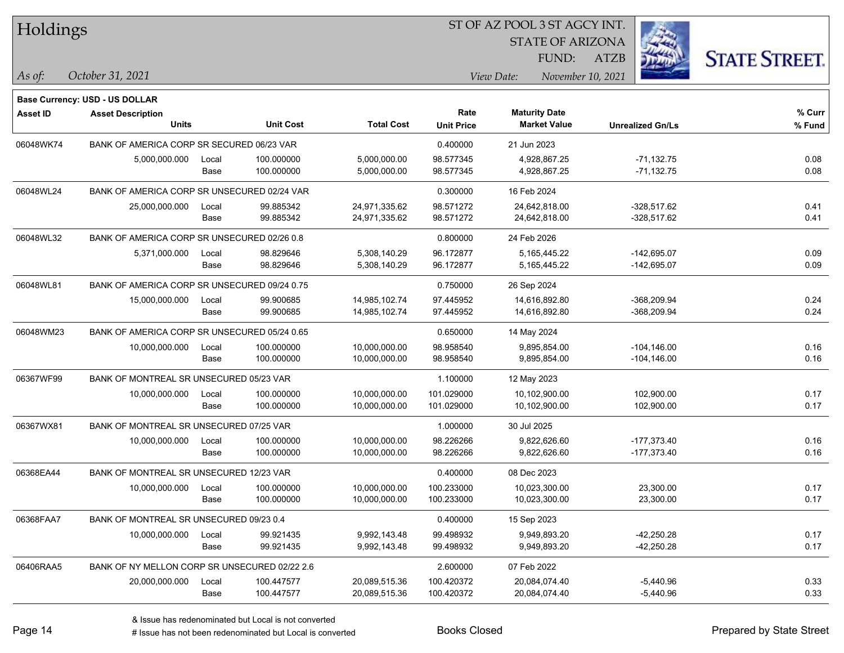| Holdings        |                                               |       |                  |                   | ST OF AZ POOL 3 ST AGCY INT. |                                             |                         |                      |
|-----------------|-----------------------------------------------|-------|------------------|-------------------|------------------------------|---------------------------------------------|-------------------------|----------------------|
|                 |                                               |       |                  |                   |                              | <b>STATE OF ARIZONA</b>                     |                         |                      |
|                 |                                               |       |                  |                   |                              | FUND:                                       | <b>ATZB</b>             | <b>STATE STREET.</b> |
| $\vert$ As of:  | October 31, 2021                              |       |                  |                   |                              | View Date:                                  | November 10, 2021       |                      |
|                 |                                               |       |                  |                   |                              |                                             |                         |                      |
|                 | Base Currency: USD - US DOLLAR                |       |                  |                   |                              |                                             |                         |                      |
| <b>Asset ID</b> | <b>Asset Description</b><br><b>Units</b>      |       | <b>Unit Cost</b> | <b>Total Cost</b> | Rate<br><b>Unit Price</b>    | <b>Maturity Date</b><br><b>Market Value</b> | <b>Unrealized Gn/Ls</b> | % Curr<br>% Fund     |
| 06048WK74       | BANK OF AMERICA CORP SR SECURED 06/23 VAR     |       |                  |                   | 0.400000                     | 21 Jun 2023                                 |                         |                      |
|                 | 5,000,000.000                                 | Local | 100.000000       | 5,000,000.00      | 98.577345                    | 4,928,867.25                                | $-71,132.75$            | 0.08                 |
|                 |                                               | Base  | 100.000000       | 5,000,000.00      | 98.577345                    | 4,928,867.25                                | $-71,132.75$            | 0.08                 |
| 06048WL24       | BANK OF AMERICA CORP SR UNSECURED 02/24 VAR   |       |                  |                   | 0.300000                     | 16 Feb 2024                                 |                         |                      |
|                 | 25,000,000.000                                | Local | 99.885342        | 24,971,335.62     | 98.571272                    | 24,642,818.00                               | $-328,517.62$           | 0.41                 |
|                 |                                               | Base  | 99.885342        | 24,971,335.62     | 98.571272                    | 24,642,818.00                               | $-328,517.62$           | 0.41                 |
| 06048WL32       | BANK OF AMERICA CORP SR UNSECURED 02/26 0.8   |       |                  |                   | 0.800000                     | 24 Feb 2026                                 |                         |                      |
|                 | 5,371,000.000                                 | Local | 98.829646        | 5,308,140.29      | 96.172877                    | 5,165,445.22                                | -142,695.07             | 0.09                 |
|                 |                                               | Base  | 98.829646        | 5,308,140.29      | 96.172877                    | 5,165,445.22                                | $-142,695.07$           | 0.09                 |
| 06048WL81       | BANK OF AMERICA CORP SR UNSECURED 09/24 0.75  |       |                  |                   | 0.750000                     | 26 Sep 2024                                 |                         |                      |
|                 | 15,000,000.000                                | Local | 99.900685        | 14,985,102.74     | 97.445952                    | 14,616,892.80                               | -368,209.94             | 0.24                 |
|                 |                                               | Base  | 99.900685        | 14,985,102.74     | 97.445952                    | 14,616,892.80                               | -368,209.94             | 0.24                 |
| 06048WM23       | BANK OF AMERICA CORP SR UNSECURED 05/24 0.65  |       |                  |                   | 0.650000                     | 14 May 2024                                 |                         |                      |
|                 | 10,000,000.000                                | Local | 100.000000       | 10,000,000.00     | 98.958540                    | 9,895,854.00                                | $-104, 146.00$          | 0.16                 |
|                 |                                               | Base  | 100.000000       | 10,000,000.00     | 98.958540                    | 9,895,854.00                                | $-104, 146.00$          | 0.16                 |
| 06367WF99       | BANK OF MONTREAL SR UNSECURED 05/23 VAR       |       |                  |                   | 1.100000                     | 12 May 2023                                 |                         |                      |
|                 | 10,000,000.000                                | Local | 100.000000       | 10,000,000.00     | 101.029000                   | 10,102,900.00                               | 102,900.00              | 0.17                 |
|                 |                                               | Base  | 100.000000       | 10,000,000.00     | 101.029000                   | 10,102,900.00                               | 102,900.00              | 0.17                 |
| 06367WX81       | BANK OF MONTREAL SR UNSECURED 07/25 VAR       |       |                  |                   | 1.000000                     | 30 Jul 2025                                 |                         |                      |
|                 | 10,000,000.000                                | Local | 100.000000       | 10,000,000.00     | 98.226266                    | 9,822,626.60                                | $-177,373.40$           | 0.16                 |
|                 |                                               | Base  | 100.000000       | 10,000,000.00     | 98.226266                    | 9,822,626.60                                | -177,373.40             | 0.16                 |
| 06368EA44       | BANK OF MONTREAL SR UNSECURED 12/23 VAR       |       |                  |                   | 0.400000                     | 08 Dec 2023                                 |                         |                      |
|                 | 10,000,000.000                                | Local | 100.000000       | 10,000,000.00     | 100.233000                   | 10,023,300.00                               | 23,300.00               | 0.17                 |
|                 |                                               | Base  | 100.000000       | 10,000,000.00     | 100.233000                   | 10,023,300.00                               | 23,300.00               | 0.17                 |
| 06368FAA7       | BANK OF MONTREAL SR UNSECURED 09/23 0.4       |       |                  |                   | 0.400000                     | 15 Sep 2023                                 |                         |                      |
|                 | 10,000,000.000                                | Local | 99.921435        | 9,992,143.48      | 99.498932                    | 9,949,893.20                                | $-42,250.28$            | 0.17                 |
|                 |                                               | Base  | 99.921435        | 9,992,143.48      | 99.498932                    | 9,949,893.20                                | $-42,250.28$            | 0.17                 |
| 06406RAA5       | BANK OF NY MELLON CORP SR UNSECURED 02/22 2.6 |       |                  |                   | 2.600000                     | 07 Feb 2022                                 |                         |                      |
|                 | 20,000,000.000                                | Local | 100.447577       | 20,089,515.36     | 100.420372                   | 20,084,074.40                               | $-5,440.96$             | 0.33                 |
|                 |                                               | Base  | 100.447577       | 20,089,515.36     | 100.420372                   | 20,084,074.40                               | $-5,440.96$             | 0.33                 |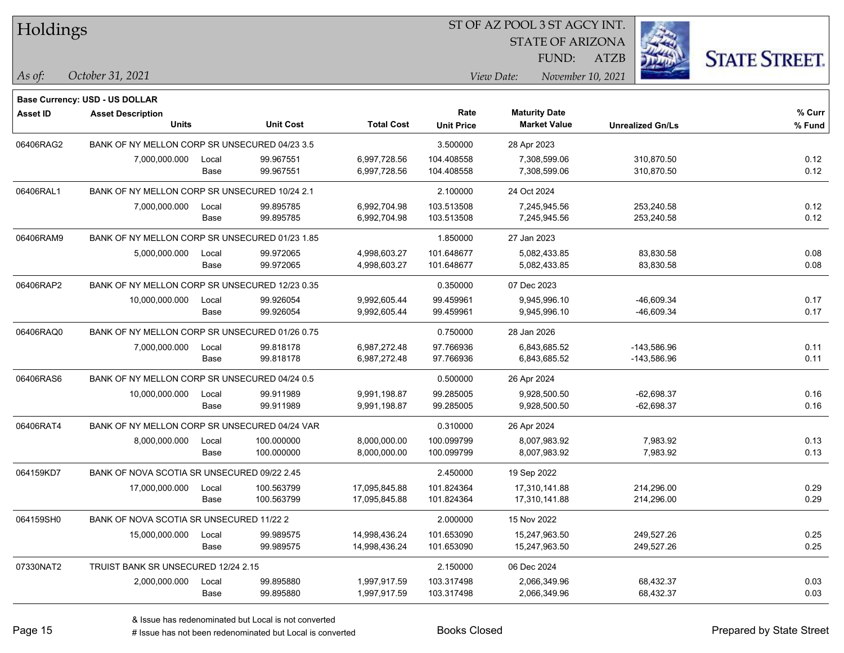| Holdings |
|----------|
|----------|

STATE OF ARIZONA

ATZB



**Base Currency: USD - US DOLLAR**

| Asset ID  | <b>Asset Description</b>                       |       |                  |                   | Rate              | <b>Maturity Date</b> |                         | % Curr |
|-----------|------------------------------------------------|-------|------------------|-------------------|-------------------|----------------------|-------------------------|--------|
|           | <b>Units</b>                                   |       | <b>Unit Cost</b> | <b>Total Cost</b> | <b>Unit Price</b> | <b>Market Value</b>  | <b>Unrealized Gn/Ls</b> | % Fund |
| 06406RAG2 | BANK OF NY MELLON CORP SR UNSECURED 04/23 3.5  |       |                  |                   | 3.500000          | 28 Apr 2023          |                         |        |
|           | 7,000,000.000                                  | Local | 99.967551        | 6,997,728.56      | 104.408558        | 7,308,599.06         | 310,870.50              | 0.12   |
|           |                                                | Base  | 99.967551        | 6,997,728.56      | 104.408558        | 7,308,599.06         | 310,870.50              | 0.12   |
| 06406RAL1 | BANK OF NY MELLON CORP SR UNSECURED 10/24 2.1  |       |                  |                   | 2.100000          | 24 Oct 2024          |                         |        |
|           | 7,000,000.000                                  | Local | 99.895785        | 6,992,704.98      | 103.513508        | 7,245,945.56         | 253,240.58              | 0.12   |
|           |                                                | Base  | 99.895785        | 6,992,704.98      | 103.513508        | 7,245,945.56         | 253,240.58              | 0.12   |
| 06406RAM9 | BANK OF NY MELLON CORP SR UNSECURED 01/23 1.85 |       |                  |                   | 1.850000          | 27 Jan 2023          |                         |        |
|           | 5,000,000.000                                  | Local | 99.972065        | 4,998,603.27      | 101.648677        | 5,082,433.85         | 83,830.58               | 0.08   |
|           |                                                | Base  | 99.972065        | 4,998,603.27      | 101.648677        | 5,082,433.85         | 83,830.58               | 0.08   |
| 06406RAP2 | BANK OF NY MELLON CORP SR UNSECURED 12/23 0.35 |       |                  |                   | 0.350000          | 07 Dec 2023          |                         |        |
|           | 10,000,000.000                                 | Local | 99.926054        | 9,992,605.44      | 99.459961         | 9,945,996.10         | -46,609.34              | 0.17   |
|           |                                                | Base  | 99.926054        | 9,992,605.44      | 99.459961         | 9,945,996.10         | -46,609.34              | 0.17   |
| 06406RAQ0 | BANK OF NY MELLON CORP SR UNSECURED 01/26 0.75 |       |                  |                   | 0.750000          | 28 Jan 2026          |                         |        |
|           | 7,000,000.000                                  | Local | 99.818178        | 6,987,272.48      | 97.766936         | 6,843,685.52         | -143,586.96             | 0.11   |
|           |                                                | Base  | 99.818178        | 6,987,272.48      | 97.766936         | 6,843,685.52         | -143,586.96             | 0.11   |
| 06406RAS6 | BANK OF NY MELLON CORP SR UNSECURED 04/24 0.5  |       |                  |                   | 0.500000          | 26 Apr 2024          |                         |        |
|           | 10,000,000.000                                 | Local | 99.911989        | 9,991,198.87      | 99.285005         | 9,928,500.50         | $-62,698.37$            | 0.16   |
|           |                                                | Base  | 99.911989        | 9,991,198.87      | 99.285005         | 9,928,500.50         | $-62,698.37$            | 0.16   |
| 06406RAT4 | BANK OF NY MELLON CORP SR UNSECURED 04/24 VAR  |       |                  |                   | 0.310000          | 26 Apr 2024          |                         |        |
|           | 8,000,000.000                                  | Local | 100.000000       | 8,000,000.00      | 100.099799        | 8,007,983.92         | 7,983.92                | 0.13   |
|           |                                                | Base  | 100.000000       | 8,000,000.00      | 100.099799        | 8,007,983.92         | 7,983.92                | 0.13   |
| 064159KD7 | BANK OF NOVA SCOTIA SR UNSECURED 09/22 2.45    |       |                  |                   | 2.450000          | 19 Sep 2022          |                         |        |
|           | 17,000,000.000                                 | Local | 100.563799       | 17,095,845.88     | 101.824364        | 17,310,141.88        | 214,296.00              | 0.29   |
|           |                                                | Base  | 100.563799       | 17,095,845.88     | 101.824364        | 17,310,141.88        | 214,296.00              | 0.29   |
| 064159SH0 | BANK OF NOVA SCOTIA SR UNSECURED 11/22 2       |       |                  |                   | 2.000000          | 15 Nov 2022          |                         |        |
|           | 15,000,000.000                                 | Local | 99.989575        | 14,998,436.24     | 101.653090        | 15,247,963.50        | 249,527.26              | 0.25   |
|           |                                                | Base  | 99.989575        | 14,998,436.24     | 101.653090        | 15,247,963.50        | 249,527.26              | 0.25   |
| 07330NAT2 | TRUIST BANK SR UNSECURED 12/24 2.15            |       |                  |                   | 2.150000          | 06 Dec 2024          |                         |        |
|           | 2,000,000.000                                  | Local | 99.895880        | 1,997,917.59      | 103.317498        | 2,066,349.96         | 68,432.37               | 0.03   |
|           |                                                | Base  | 99.895880        | 1,997,917.59      | 103.317498        | 2,066,349.96         | 68,432.37               | 0.03   |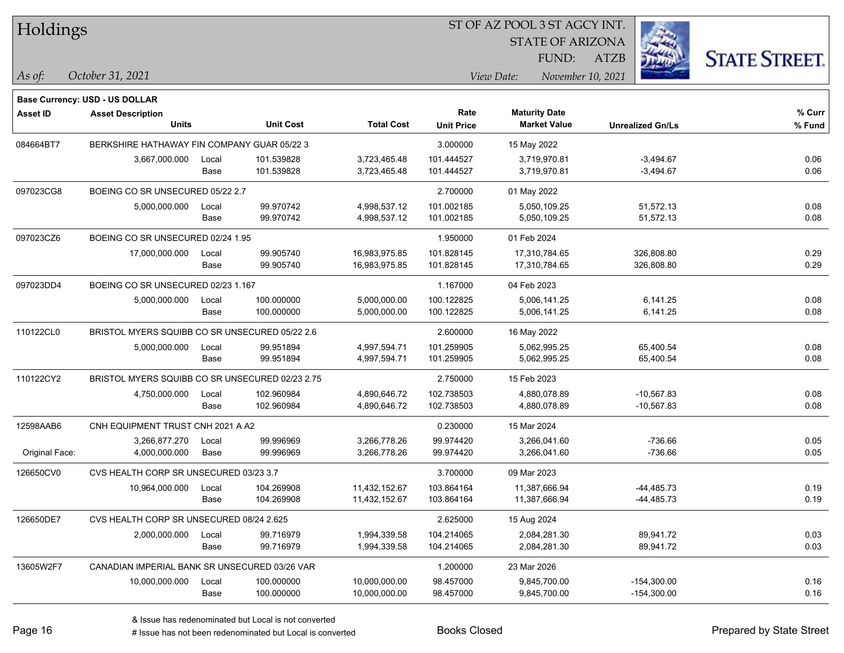| Holdings |
|----------|
|          |

STATE OF ARIZONA

ATZB



**Base Currency: USD - US DOLLAR**

| <b>Asset ID</b> | <b>Asset Description</b>                        |       |                  |                   | Rate              | <b>Maturity Date</b> |                         | % Curr |  |
|-----------------|-------------------------------------------------|-------|------------------|-------------------|-------------------|----------------------|-------------------------|--------|--|
|                 | <b>Units</b>                                    |       | <b>Unit Cost</b> | <b>Total Cost</b> | <b>Unit Price</b> | <b>Market Value</b>  | <b>Unrealized Gn/Ls</b> | % Fund |  |
| 084664BT7       | BERKSHIRE HATHAWAY FIN COMPANY GUAR 05/22 3     |       |                  | 3.000000          | 15 May 2022       |                      |                         |        |  |
|                 | 3,667,000.000                                   | Local | 101.539828       | 3,723,465.48      | 101.444527        | 3,719,970.81         | $-3,494.67$             | 0.06   |  |
|                 |                                                 | Base  | 101.539828       | 3,723,465.48      | 101.444527        | 3,719,970.81         | $-3,494.67$             | 0.06   |  |
| 097023CG8       | BOEING CO SR UNSECURED 05/22 2.7                |       |                  |                   | 2.700000          | 01 May 2022          |                         |        |  |
|                 | 5,000,000.000                                   | Local | 99.970742        | 4,998,537.12      | 101.002185        | 5,050,109.25         | 51,572.13               | 0.08   |  |
|                 |                                                 | Base  | 99.970742        | 4,998,537.12      | 101.002185        | 5,050,109.25         | 51,572.13               | 0.08   |  |
| 097023CZ6       | BOEING CO SR UNSECURED 02/24 1.95               |       |                  |                   | 1.950000          | 01 Feb 2024          |                         |        |  |
|                 | 17,000,000.000                                  | Local | 99.905740        | 16,983,975.85     | 101.828145        | 17,310,784.65        | 326,808.80              | 0.29   |  |
|                 |                                                 | Base  | 99.905740        | 16,983,975.85     | 101.828145        | 17,310,784.65        | 326,808.80              | 0.29   |  |
| 097023DD4       | BOEING CO SR UNSECURED 02/23 1.167              |       |                  |                   | 1.167000          | 04 Feb 2023          |                         |        |  |
|                 | 5,000,000.000                                   | Local | 100.000000       | 5,000,000.00      | 100.122825        | 5,006,141.25         | 6,141.25                | 0.08   |  |
|                 |                                                 | Base  | 100.000000       | 5,000,000.00      | 100.122825        | 5,006,141.25         | 6,141.25                | 0.08   |  |
| 110122CL0       | BRISTOL MYERS SQUIBB CO SR UNSECURED 05/22 2.6  |       |                  |                   | 2.600000          | 16 May 2022          |                         |        |  |
|                 | 5,000,000.000                                   | Local | 99.951894        | 4,997,594.71      | 101.259905        | 5,062,995.25         | 65,400.54               | 0.08   |  |
|                 |                                                 | Base  | 99.951894        | 4,997,594.71      | 101.259905        | 5,062,995.25         | 65,400.54               | 0.08   |  |
| 110122CY2       | BRISTOL MYERS SQUIBB CO SR UNSECURED 02/23 2.75 |       |                  |                   | 2.750000          | 15 Feb 2023          |                         |        |  |
|                 | 4,750,000.000                                   | Local | 102.960984       | 4,890,646.72      | 102.738503        | 4,880,078.89         | $-10,567.83$            | 0.08   |  |
|                 |                                                 | Base  | 102.960984       | 4,890,646.72      | 102.738503        | 4,880,078.89         | $-10,567.83$            | 0.08   |  |
| 12598AAB6       | CNH EQUIPMENT TRUST CNH 2021 A A2               |       |                  |                   | 0.230000          | 15 Mar 2024          |                         |        |  |
|                 | 3,266,877.270                                   | Local | 99.996969        | 3,266,778.26      | 99.974420         | 3,266,041.60         | $-736.66$               | 0.05   |  |
| Original Face:  | 4,000,000.000                                   | Base  | 99.996969        | 3,266,778.26      | 99.974420         | 3,266,041.60         | $-736.66$               | 0.05   |  |
| 126650CV0       | CVS HEALTH CORP SR UNSECURED 03/23 3.7          |       |                  |                   | 3.700000          | 09 Mar 2023          |                         |        |  |
|                 | 10,964,000.000                                  | Local | 104.269908       | 11,432,152.67     | 103.864164        | 11,387,666.94        | $-44,485.73$            | 0.19   |  |
|                 |                                                 | Base  | 104.269908       | 11,432,152.67     | 103.864164        | 11,387,666.94        | $-44,485.73$            | 0.19   |  |
| 126650DE7       | CVS HEALTH CORP SR UNSECURED 08/24 2.625        |       |                  |                   | 2.625000          | 15 Aug 2024          |                         |        |  |
|                 | 2,000,000.000                                   | Local | 99.716979        | 1,994,339.58      | 104.214065        | 2,084,281.30         | 89,941.72               | 0.03   |  |
|                 |                                                 | Base  | 99.716979        | 1,994,339.58      | 104.214065        | 2,084,281.30         | 89,941.72               | 0.03   |  |
| 13605W2F7       | CANADIAN IMPERIAL BANK SR UNSECURED 03/26 VAR   |       |                  |                   | 1.200000          | 23 Mar 2026          |                         |        |  |
|                 | 10,000,000.000                                  | Local | 100.000000       | 10,000,000.00     | 98.457000         | 9,845,700.00         | $-154,300.00$           | 0.16   |  |
|                 |                                                 | Base  | 100.000000       | 10,000,000.00     | 98.457000         | 9,845,700.00         | $-154,300.00$           | 0.16   |  |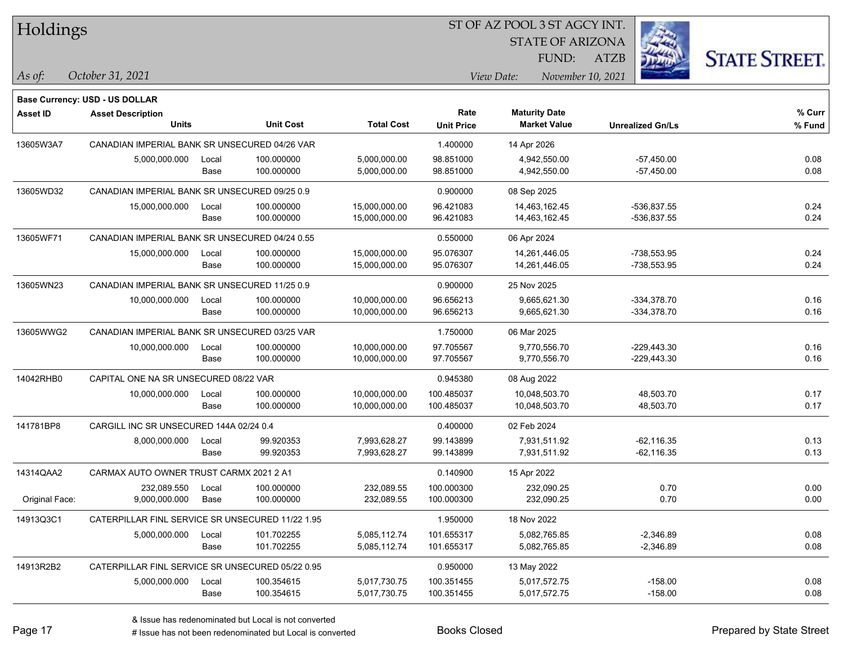| Holdings |  |
|----------|--|
|----------|--|

STATE OF ARIZONA

ATZB



**Base Currency: USD - US DOLLAR**

| <b>Asset ID</b> | <b>Asset Description</b>                         |       |                  |                   | Rate              | <b>Maturity Date</b> |                         | % Curr |
|-----------------|--------------------------------------------------|-------|------------------|-------------------|-------------------|----------------------|-------------------------|--------|
|                 | <b>Units</b>                                     |       | <b>Unit Cost</b> | <b>Total Cost</b> | <b>Unit Price</b> | <b>Market Value</b>  | <b>Unrealized Gn/Ls</b> | % Fund |
| 13605W3A7       | CANADIAN IMPERIAL BANK SR UNSECURED 04/26 VAR    |       |                  |                   | 1.400000          | 14 Apr 2026          |                         |        |
|                 | 5,000,000.000                                    | Local | 100.000000       | 5,000,000.00      | 98.851000         | 4,942,550.00         | $-57,450.00$            | 0.08   |
|                 |                                                  | Base  | 100.000000       | 5,000,000.00      | 98.851000         | 4,942,550.00         | $-57,450.00$            | 0.08   |
| 13605WD32       | CANADIAN IMPERIAL BANK SR UNSECURED 09/25 0.9    |       |                  |                   | 0.900000          | 08 Sep 2025          |                         |        |
|                 | 15,000,000.000                                   | Local | 100.000000       | 15,000,000.00     | 96.421083         | 14,463,162.45        | -536,837.55             | 0.24   |
|                 |                                                  | Base  | 100.000000       | 15,000,000.00     | 96.421083         | 14,463,162.45        | -536,837.55             | 0.24   |
| 13605WF71       | CANADIAN IMPERIAL BANK SR UNSECURED 04/24 0.55   |       |                  |                   | 0.550000          | 06 Apr 2024          |                         |        |
|                 | 15,000,000.000                                   | Local | 100.000000       | 15,000,000.00     | 95.076307         | 14,261,446.05        | $-738,553.95$           | 0.24   |
|                 |                                                  | Base  | 100.000000       | 15,000,000.00     | 95.076307         | 14,261,446.05        | -738,553.95             | 0.24   |
| 13605WN23       | CANADIAN IMPERIAL BANK SR UNSECURED 11/25 0.9    |       |                  |                   | 0.900000          | 25 Nov 2025          |                         |        |
|                 | 10,000,000.000                                   | Local | 100.000000       | 10,000,000.00     | 96.656213         | 9,665,621.30         | $-334,378.70$           | 0.16   |
|                 |                                                  | Base  | 100.000000       | 10,000,000.00     | 96.656213         | 9,665,621.30         | $-334,378.70$           | 0.16   |
| 13605WWG2       | CANADIAN IMPERIAL BANK SR UNSECURED 03/25 VAR    |       |                  |                   | 1.750000          | 06 Mar 2025          |                         |        |
|                 | 10,000,000.000                                   | Local | 100.000000       | 10,000,000.00     | 97.705567         | 9,770,556.70         | $-229,443.30$           | 0.16   |
|                 |                                                  | Base  | 100.000000       | 10,000,000.00     | 97.705567         | 9,770,556.70         | $-229,443.30$           | 0.16   |
| 14042RHB0       | CAPITAL ONE NA SR UNSECURED 08/22 VAR            |       |                  |                   | 0.945380          | 08 Aug 2022          |                         |        |
|                 | 10,000,000.000                                   | Local | 100.000000       | 10,000,000.00     | 100.485037        | 10,048,503.70        | 48,503.70               | 0.17   |
|                 |                                                  | Base  | 100.000000       | 10,000,000.00     | 100.485037        | 10,048,503.70        | 48,503.70               | 0.17   |
| 141781BP8       | CARGILL INC SR UNSECURED 144A 02/24 0.4          |       |                  |                   | 0.400000          | 02 Feb 2024          |                         |        |
|                 | 8,000,000.000                                    | Local | 99.920353        | 7,993,628.27      | 99.143899         | 7,931,511.92         | $-62, 116.35$           | 0.13   |
|                 |                                                  | Base  | 99.920353        | 7,993,628.27      | 99.143899         | 7,931,511.92         | $-62, 116.35$           | 0.13   |
| 14314QAA2       | CARMAX AUTO OWNER TRUST CARMX 2021 2 A1          |       |                  |                   | 0.140900          | 15 Apr 2022          |                         |        |
|                 | 232,089.550                                      | Local | 100.000000       | 232,089.55        | 100.000300        | 232,090.25           | 0.70                    | 0.00   |
| Original Face:  | 9,000,000.000                                    | Base  | 100.000000       | 232,089.55        | 100.000300        | 232,090.25           | 0.70                    | 0.00   |
| 14913Q3C1       | CATERPILLAR FINL SERVICE SR UNSECURED 11/22 1.95 |       |                  |                   | 1.950000          | 18 Nov 2022          |                         |        |
|                 | 5,000,000.000                                    | Local | 101.702255       | 5,085,112.74      | 101.655317        | 5,082,765.85         | $-2,346.89$             | 0.08   |
|                 |                                                  | Base  | 101.702255       | 5,085,112.74      | 101.655317        | 5,082,765.85         | $-2,346.89$             | 0.08   |
| 14913R2B2       | CATERPILLAR FINL SERVICE SR UNSECURED 05/22 0.95 |       |                  |                   | 0.950000          | 13 May 2022          |                         |        |
|                 | 5,000,000.000                                    | Local | 100.354615       | 5,017,730.75      | 100.351455        | 5,017,572.75         | $-158.00$               | 0.08   |
|                 |                                                  | Base  | 100.354615       | 5,017,730.75      | 100.351455        | 5,017,572.75         | $-158.00$               | 0.08   |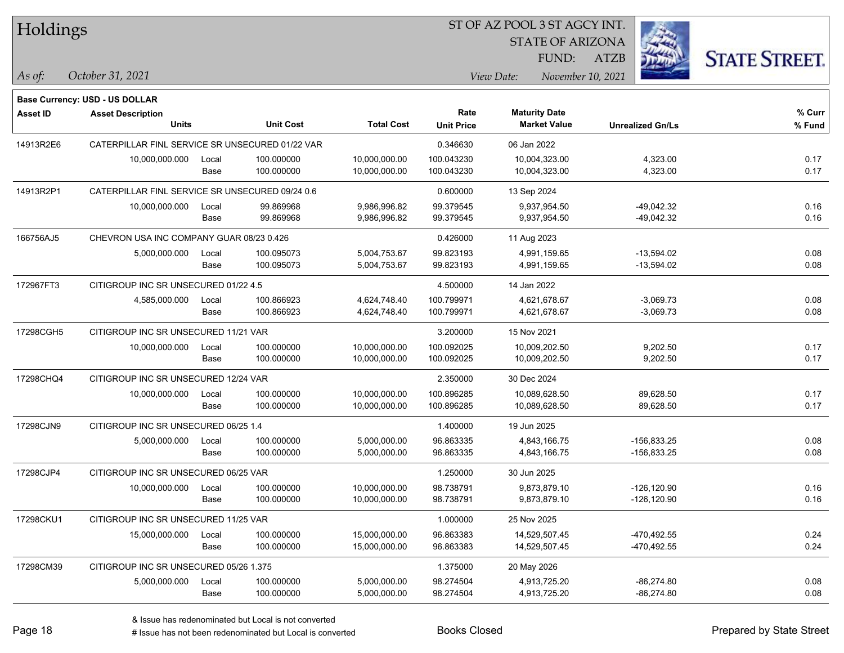| Holdings        |                                                 |       |                  |                   |                   | ST OF AZ POOL 3 ST AGCY INT. |                     |             |                         |                      |
|-----------------|-------------------------------------------------|-------|------------------|-------------------|-------------------|------------------------------|---------------------|-------------|-------------------------|----------------------|
|                 | <b>STATE OF ARIZONA</b>                         |       |                  |                   |                   |                              |                     |             |                         |                      |
|                 |                                                 |       |                  |                   |                   |                              | FUND:               | <b>ATZB</b> |                         | <b>STATE STREET.</b> |
| As of:          | October 31, 2021                                |       |                  |                   |                   | View Date:                   | November 10, 2021   |             |                         |                      |
|                 | <b>Base Currency: USD - US DOLLAR</b>           |       |                  |                   |                   |                              |                     |             |                         |                      |
| <b>Asset ID</b> | <b>Asset Description</b>                        |       |                  |                   | Rate              | <b>Maturity Date</b>         |                     |             |                         | $%$ Curr             |
|                 | <b>Units</b>                                    |       | <b>Unit Cost</b> | <b>Total Cost</b> | <b>Unit Price</b> |                              | <b>Market Value</b> |             | <b>Unrealized Gn/Ls</b> | % Fund               |
| 14913R2E6       | CATERPILLAR FINL SERVICE SR UNSECURED 01/22 VAR |       |                  |                   | 0.346630          | 06 Jan 2022                  |                     |             |                         |                      |
|                 | 10,000,000.000                                  | Local | 100.000000       | 10,000,000.00     | 100.043230        |                              | 10,004,323.00       |             | 4,323.00                | 0.17                 |
|                 |                                                 | Base  | 100.000000       | 10,000,000.00     | 100.043230        |                              | 10,004,323.00       |             | 4,323.00                | 0.17                 |
| 14913R2P1       | CATERPILLAR FINL SERVICE SR UNSECURED 09/24 0.6 |       |                  |                   | 0.600000          | 13 Sep 2024                  |                     |             |                         |                      |
|                 | 10,000,000.000                                  | Local | 99.869968        | 9,986,996.82      | 99.379545         |                              | 9,937,954.50        |             | $-49,042.32$            | 0.16                 |
|                 |                                                 | Base  | 99.869968        | 9,986,996.82      | 99.379545         |                              | 9,937,954.50        |             | $-49,042.32$            | 0.16                 |
| 166756AJ5       | CHEVRON USA INC COMPANY GUAR 08/23 0.426        |       |                  |                   | 0.426000          | 11 Aug 2023                  |                     |             |                         |                      |
|                 | 5,000,000.000                                   | Local | 100.095073       | 5,004,753.67      | 99.823193         |                              | 4,991,159.65        |             | $-13,594.02$            | 0.08                 |
|                 |                                                 | Base  | 100.095073       | 5,004,753.67      | 99.823193         |                              | 4,991,159.65        |             | $-13,594.02$            | 0.08                 |
| 172967FT3       | CITIGROUP INC SR UNSECURED 01/22 4.5            |       |                  |                   | 4.500000          | 14 Jan 2022                  |                     |             |                         |                      |
|                 | 4,585,000.000                                   | Local | 100.866923       | 4,624,748.40      | 100.799971        |                              | 4,621,678.67        |             | $-3,069.73$             | 0.08                 |
|                 |                                                 | Base  | 100.866923       | 4,624,748.40      | 100.799971        |                              | 4,621,678.67        |             | $-3,069.73$             | 0.08                 |
| 17298CGH5       | CITIGROUP INC SR UNSECURED 11/21 VAR            |       |                  |                   | 3.200000          | 15 Nov 2021                  |                     |             |                         |                      |
|                 | 10,000,000.000                                  | Local | 100.000000       | 10,000,000.00     | 100.092025        |                              | 10,009,202.50       |             | 9,202.50                | 0.17                 |
|                 |                                                 | Base  | 100.000000       | 10,000,000.00     | 100.092025        |                              | 10,009,202.50       |             | 9,202.50                | 0.17                 |
| 17298CHQ4       | CITIGROUP INC SR UNSECURED 12/24 VAR            |       |                  |                   | 2.350000          | 30 Dec 2024                  |                     |             |                         |                      |
|                 | 10,000,000.000                                  | Local | 100.000000       | 10,000,000.00     | 100.896285        |                              | 10,089,628.50       |             | 89,628.50               | 0.17                 |
|                 |                                                 | Base  | 100.000000       | 10,000,000.00     | 100.896285        |                              | 10,089,628.50       |             | 89,628.50               | 0.17                 |
| 17298CJN9       | CITIGROUP INC SR UNSECURED 06/25 1.4            |       |                  |                   | 1.400000          | 19 Jun 2025                  |                     |             |                         |                      |
|                 | 5,000,000.000                                   | Local | 100.000000       | 5,000,000.00      | 96.863335         |                              | 4,843,166.75        |             | $-156,833.25$           | 0.08                 |
|                 |                                                 | Base  | 100.000000       | 5,000,000.00      | 96.863335         |                              | 4,843,166.75        |             | $-156,833.25$           | 0.08                 |
| 17298CJP4       | CITIGROUP INC SR UNSECURED 06/25 VAR            |       |                  |                   | 1.250000          | 30 Jun 2025                  |                     |             |                         |                      |
|                 | 10,000,000.000                                  | Local | 100.000000       | 10,000,000.00     | 98.738791         |                              | 9,873,879.10        |             | -126,120.90             | 0.16                 |
|                 |                                                 | Base  | 100.000000       | 10,000,000.00     | 98.738791         |                              | 9,873,879.10        |             | $-126, 120.90$          | 0.16                 |
| 17298CKU1       | CITIGROUP INC SR UNSECURED 11/25 VAR            |       |                  |                   | 1.000000          | 25 Nov 2025                  |                     |             |                         |                      |
|                 | 15,000,000.000                                  | Local | 100.000000       | 15,000,000.00     | 96.863383         |                              | 14,529,507.45       |             | -470,492.55             | 0.24                 |
|                 |                                                 | Base  | 100.000000       | 15,000,000.00     | 96.863383         |                              | 14,529,507.45       |             | -470,492.55             | 0.24                 |
| 17298CM39       | CITIGROUP INC SR UNSECURED 05/26 1.375          |       |                  |                   | 1.375000          | 20 May 2026                  |                     |             |                         |                      |
|                 | 5,000,000.000                                   | Local | 100.000000       | 5,000,000.00      | 98.274504         |                              | 4,913,725.20        |             | $-86,274.80$            | 0.08                 |
|                 |                                                 | Base  | 100.000000       | 5,000,000.00      | 98.274504         |                              | 4,913,725.20        |             | $-86,274.80$            | 0.08                 |

 $\overline{\phantom{0}}$ 

 $\overline{\phantom{0}}$ 

 $\overline{\phantom{0}}$ 

 $\overline{\phantom{a}}$ 

 $\overline{\phantom{0}}$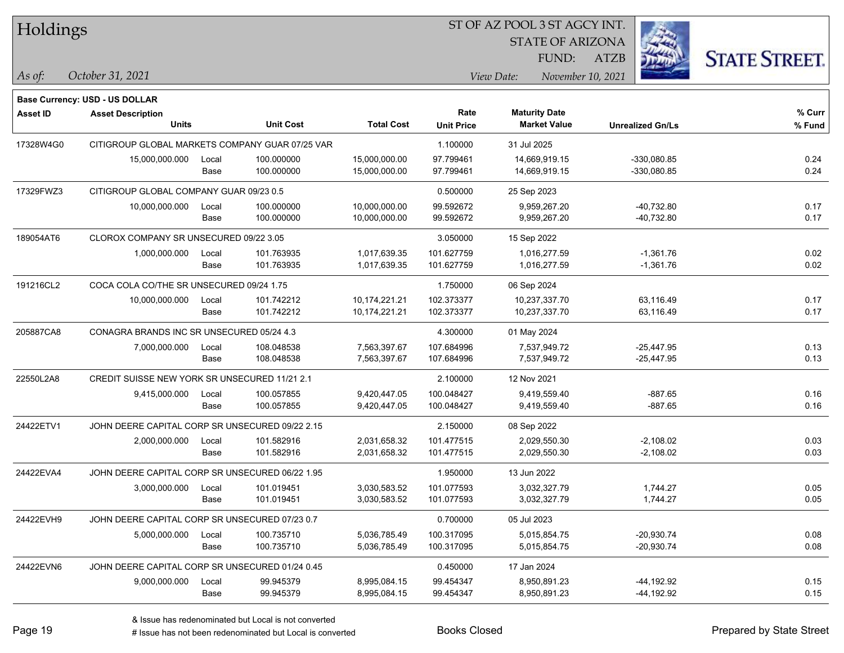| Holdings |
|----------|
|----------|

STATE OF ARIZONA

ATZB



**Base Currency: USD - US DOLLAR**

| <b>Asset ID</b> | <b>Asset Description</b>                        |       |                  |                   | Rate              | <b>Maturity Date</b> |                         | % Curr |
|-----------------|-------------------------------------------------|-------|------------------|-------------------|-------------------|----------------------|-------------------------|--------|
|                 | <b>Units</b>                                    |       | <b>Unit Cost</b> | <b>Total Cost</b> | <b>Unit Price</b> | <b>Market Value</b>  | <b>Unrealized Gn/Ls</b> | % Fund |
| 17328W4G0       | CITIGROUP GLOBAL MARKETS COMPANY GUAR 07/25 VAR |       |                  |                   | 1.100000          | 31 Jul 2025          |                         |        |
|                 | 15,000,000.000                                  | Local | 100.000000       | 15,000,000.00     | 97.799461         | 14,669,919.15        | -330,080.85             | 0.24   |
|                 |                                                 | Base  | 100.000000       | 15,000,000.00     | 97.799461         | 14,669,919.15        | -330,080.85             | 0.24   |
| 17329FWZ3       | CITIGROUP GLOBAL COMPANY GUAR 09/23 0.5         |       |                  |                   | 0.500000          | 25 Sep 2023          |                         |        |
|                 | 10,000,000.000                                  | Local | 100.000000       | 10,000,000.00     | 99.592672         | 9,959,267.20         | $-40,732.80$            | 0.17   |
|                 |                                                 | Base  | 100.000000       | 10,000,000.00     | 99.592672         | 9,959,267.20         | -40,732.80              | 0.17   |
| 189054AT6       | CLOROX COMPANY SR UNSECURED 09/22 3.05          |       |                  |                   | 3.050000          | 15 Sep 2022          |                         |        |
|                 | 1,000,000.000                                   | Local | 101.763935       | 1,017,639.35      | 101.627759        | 1,016,277.59         | $-1,361.76$             | 0.02   |
|                 |                                                 | Base  | 101.763935       | 1,017,639.35      | 101.627759        | 1,016,277.59         | $-1,361.76$             | 0.02   |
| 191216CL2       | COCA COLA CO/THE SR UNSECURED 09/24 1.75        |       |                  |                   | 1.750000          | 06 Sep 2024          |                         |        |
|                 | 10,000,000.000                                  | Local | 101.742212       | 10,174,221.21     | 102.373377        | 10,237,337.70        | 63,116.49               | 0.17   |
|                 |                                                 | Base  | 101.742212       | 10,174,221.21     | 102.373377        | 10,237,337.70        | 63,116.49               | 0.17   |
| 205887CA8       | CONAGRA BRANDS INC SR UNSECURED 05/24 4.3       |       |                  |                   | 4.300000          | 01 May 2024          |                         |        |
|                 | 7,000,000.000                                   | Local | 108.048538       | 7,563,397.67      | 107.684996        | 7,537,949.72         | $-25,447.95$            | 0.13   |
|                 |                                                 | Base  | 108.048538       | 7,563,397.67      | 107.684996        | 7,537,949.72         | $-25,447.95$            | 0.13   |
| 22550L2A8       | CREDIT SUISSE NEW YORK SR UNSECURED 11/21 2.1   |       |                  |                   | 2.100000          | 12 Nov 2021          |                         |        |
|                 | 9,415,000.000                                   | Local | 100.057855       | 9,420,447.05      | 100.048427        | 9,419,559.40         | $-887.65$               | 0.16   |
|                 |                                                 | Base  | 100.057855       | 9,420,447.05      | 100.048427        | 9,419,559.40         | $-887.65$               | 0.16   |
| 24422ETV1       | JOHN DEERE CAPITAL CORP SR UNSECURED 09/22 2.15 |       |                  |                   | 2.150000          | 08 Sep 2022          |                         |        |
|                 | 2,000,000.000                                   | Local | 101.582916       | 2,031,658.32      | 101.477515        | 2,029,550.30         | $-2,108.02$             | 0.03   |
|                 |                                                 | Base  | 101.582916       | 2,031,658.32      | 101.477515        | 2,029,550.30         | $-2,108.02$             | 0.03   |
| 24422EVA4       | JOHN DEERE CAPITAL CORP SR UNSECURED 06/22 1.95 |       |                  |                   | 1.950000          | 13 Jun 2022          |                         |        |
|                 | 3,000,000.000                                   | Local | 101.019451       | 3,030,583.52      | 101.077593        | 3,032,327.79         | 1,744.27                | 0.05   |
|                 |                                                 | Base  | 101.019451       | 3,030,583.52      | 101.077593        | 3,032,327.79         | 1,744.27                | 0.05   |
| 24422EVH9       | JOHN DEERE CAPITAL CORP SR UNSECURED 07/23 0.7  |       |                  | 0.700000          | 05 Jul 2023       |                      |                         |        |
|                 | 5,000,000.000                                   | Local | 100.735710       | 5,036,785.49      | 100.317095        | 5,015,854.75         | $-20,930.74$            | 0.08   |
|                 |                                                 | Base  | 100.735710       | 5,036,785.49      | 100.317095        | 5,015,854.75         | $-20,930.74$            | 0.08   |
| 24422EVN6       | JOHN DEERE CAPITAL CORP SR UNSECURED 01/24 0.45 |       |                  |                   | 0.450000          | 17 Jan 2024          |                         |        |
|                 | 9,000,000.000                                   | Local | 99.945379        | 8,995,084.15      | 99.454347         | 8,950,891.23         | -44,192.92              | 0.15   |
|                 |                                                 | Base  | 99.945379        | 8,995,084.15      | 99.454347         | 8,950,891.23         | -44,192.92              | 0.15   |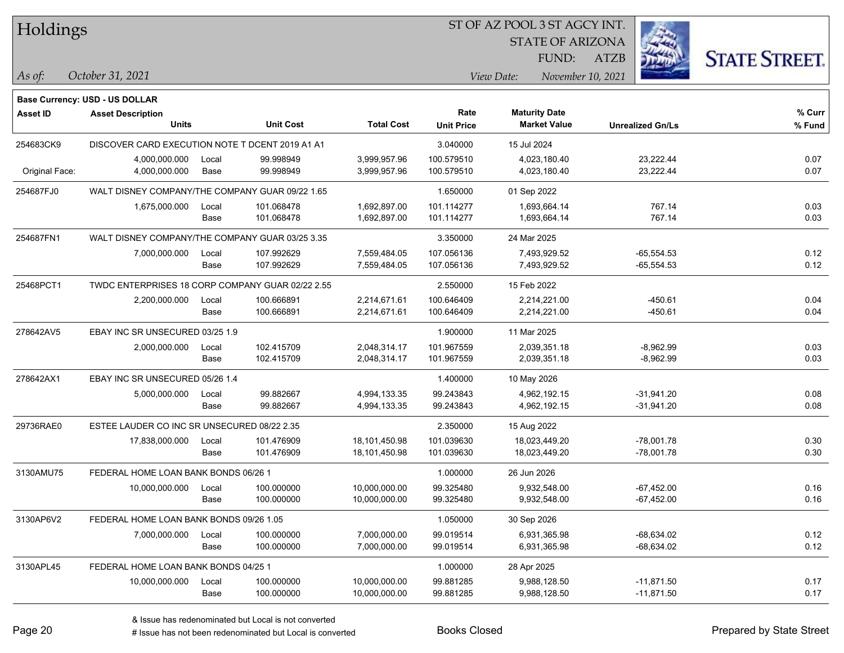| Holdings |
|----------|
|          |

STATE OF ARIZONA

ATZB



**Base Currency: USD - US DOLLAR**

| <b>Asset ID</b> | <b>Asset Description</b><br><b>Units</b>         |               | <b>Unit Cost</b>         | <b>Total Cost</b>              | Rate<br><b>Unit Price</b> | <b>Maturity Date</b><br><b>Market Value</b> | <b>Unrealized Gn/Ls</b>      | % Curr<br>% Fund |
|-----------------|--------------------------------------------------|---------------|--------------------------|--------------------------------|---------------------------|---------------------------------------------|------------------------------|------------------|
| 254683CK9       | DISCOVER CARD EXECUTION NOTE T DCENT 2019 A1 A1  |               |                          |                                | 3.040000                  | 15 Jul 2024                                 |                              |                  |
| Original Face:  | 4,000,000.000<br>4,000,000.000                   | Local<br>Base | 99.998949<br>99.998949   | 3,999,957.96<br>3,999,957.96   | 100.579510<br>100.579510  | 4,023,180.40<br>4,023,180.40                | 23,222.44<br>23,222.44       | 0.07<br>0.07     |
| 254687FJ0       | WALT DISNEY COMPANY/THE COMPANY GUAR 09/22 1.65  |               |                          |                                | 1.650000                  | 01 Sep 2022                                 |                              |                  |
|                 | 1,675,000.000                                    | Local<br>Base | 101.068478<br>101.068478 | 1,692,897.00<br>1,692,897.00   | 101.114277<br>101.114277  | 1,693,664.14<br>1,693,664.14                | 767.14<br>767.14             | 0.03<br>0.03     |
| 254687FN1       | WALT DISNEY COMPANY/THE COMPANY GUAR 03/25 3.35  |               |                          |                                | 3.350000                  | 24 Mar 2025                                 |                              |                  |
|                 | 7,000,000.000                                    | Local<br>Base | 107.992629<br>107.992629 | 7,559,484.05<br>7,559,484.05   | 107.056136<br>107.056136  | 7,493,929.52<br>7,493,929.52                | $-65,554.53$<br>$-65,554.53$ | 0.12<br>0.12     |
| 25468PCT1       | TWDC ENTERPRISES 18 CORP COMPANY GUAR 02/22 2.55 |               |                          |                                | 2.550000                  | 15 Feb 2022                                 |                              |                  |
|                 | 2,200,000.000                                    | Local<br>Base | 100.666891<br>100.666891 | 2,214,671.61<br>2,214,671.61   | 100.646409<br>100.646409  | 2,214,221.00<br>2,214,221.00                | $-450.61$<br>$-450.61$       | 0.04<br>0.04     |
| 278642AV5       | EBAY INC SR UNSECURED 03/25 1.9                  |               |                          |                                | 1.900000                  | 11 Mar 2025                                 |                              |                  |
|                 | 2,000,000.000                                    | Local<br>Base | 102.415709<br>102.415709 | 2,048,314.17<br>2,048,314.17   | 101.967559<br>101.967559  | 2,039,351.18<br>2,039,351.18                | $-8,962.99$<br>$-8,962.99$   | 0.03<br>0.03     |
| 278642AX1       | EBAY INC SR UNSECURED 05/26 1.4                  |               |                          |                                | 1.400000                  | 10 May 2026                                 |                              |                  |
|                 | 5,000,000.000                                    | Local<br>Base | 99.882667<br>99.882667   | 4,994,133.35<br>4,994,133.35   | 99.243843<br>99.243843    | 4,962,192.15<br>4,962,192.15                | $-31,941.20$<br>$-31,941.20$ | 0.08<br>0.08     |
| 29736RAE0       | ESTEE LAUDER CO INC SR UNSECURED 08/22 2.35      |               |                          |                                | 2.350000                  | 15 Aug 2022                                 |                              |                  |
|                 | 17,838,000.000                                   | Local<br>Base | 101.476909<br>101.476909 | 18,101,450.98<br>18,101,450.98 | 101.039630<br>101.039630  | 18,023,449.20<br>18,023,449.20              | $-78,001.78$<br>$-78,001.78$ | 0.30<br>0.30     |
| 3130AMU75       | FEDERAL HOME LOAN BANK BONDS 06/26 1             |               |                          |                                | 1.000000                  | 26 Jun 2026                                 |                              |                  |
|                 | 10,000,000.000                                   | Local<br>Base | 100.000000<br>100.000000 | 10,000,000.00<br>10,000,000.00 | 99.325480<br>99.325480    | 9.932.548.00<br>9,932,548.00                | $-67,452.00$<br>$-67,452.00$ | 0.16<br>0.16     |
| 3130AP6V2       | FEDERAL HOME LOAN BANK BONDS 09/26 1.05          |               |                          |                                | 1.050000                  | 30 Sep 2026                                 |                              |                  |
|                 | 7,000,000.000                                    | Local<br>Base | 100.000000<br>100.000000 | 7,000,000.00<br>7,000,000.00   | 99.019514<br>99.019514    | 6,931,365.98<br>6,931,365.98                | $-68,634.02$<br>$-68,634.02$ | 0.12<br>0.12     |
| 3130APL45       | FEDERAL HOME LOAN BANK BONDS 04/25 1             |               |                          |                                | 1.000000                  | 28 Apr 2025                                 |                              |                  |
|                 | 10,000,000.000                                   | Local<br>Base | 100.000000<br>100.000000 | 10,000,000.00<br>10,000,000.00 | 99.881285<br>99.881285    | 9,988,128.50<br>9,988,128.50                | $-11,871.50$<br>$-11,871.50$ | 0.17<br>0.17     |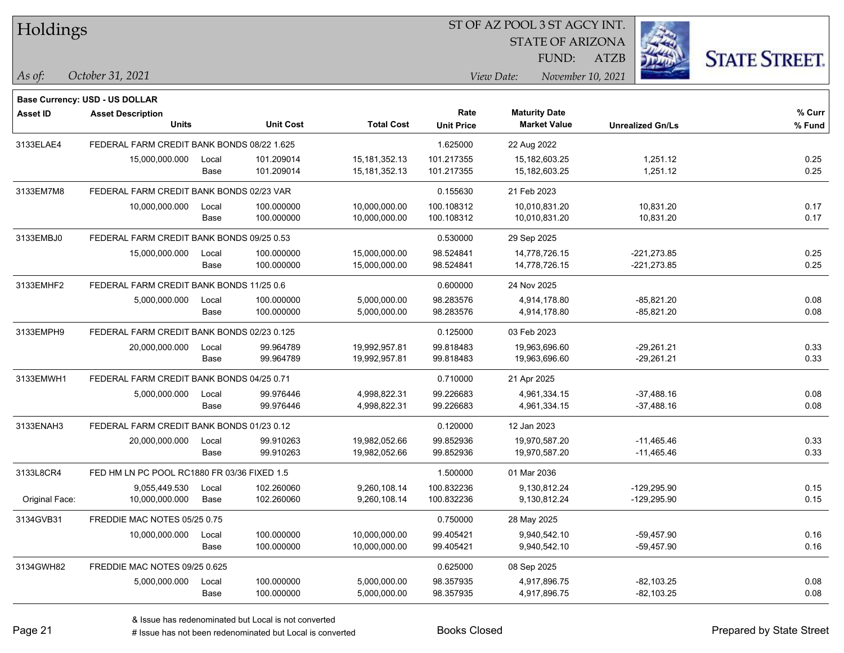| Holdings |
|----------|
|----------|

STATE OF ARIZONA FUND:

ATZB



*As of: View Date: November 10, 2021*

| As of: | October 31, 2021 |  |
|--------|------------------|--|
|        |                  |  |

|                 | Base Currency: USD - US DOLLAR              |       |                  |                   |                   |                      |                         |        |
|-----------------|---------------------------------------------|-------|------------------|-------------------|-------------------|----------------------|-------------------------|--------|
| <b>Asset ID</b> | <b>Asset Description</b>                    |       |                  |                   | Rate              | <b>Maturity Date</b> |                         | % Curr |
|                 | <b>Units</b>                                |       | <b>Unit Cost</b> | <b>Total Cost</b> | <b>Unit Price</b> | <b>Market Value</b>  | <b>Unrealized Gn/Ls</b> | % Fund |
| 3133ELAE4       | FEDERAL FARM CREDIT BANK BONDS 08/22 1.625  |       |                  |                   | 1.625000          | 22 Aug 2022          |                         |        |
|                 | 15,000,000.000                              | Local | 101.209014       | 15, 181, 352. 13  | 101.217355        | 15,182,603.25        | 1,251.12                | 0.25   |
|                 |                                             | Base  | 101.209014       | 15, 181, 352. 13  | 101.217355        | 15,182,603.25        | 1,251.12                | 0.25   |
| 3133EM7M8       | FEDERAL FARM CREDIT BANK BONDS 02/23 VAR    |       |                  |                   | 0.155630          | 21 Feb 2023          |                         |        |
|                 | 10,000,000.000                              | Local | 100.000000       | 10,000,000.00     | 100.108312        | 10,010,831.20        | 10,831.20               | 0.17   |
|                 |                                             | Base  | 100.000000       | 10,000,000.00     | 100.108312        | 10,010,831.20        | 10,831.20               | 0.17   |
| 3133EMBJ0       | FEDERAL FARM CREDIT BANK BONDS 09/25 0.53   |       |                  |                   | 0.530000          | 29 Sep 2025          |                         |        |
|                 | 15,000,000.000                              | Local | 100.000000       | 15,000,000.00     | 98.524841         | 14,778,726.15        | $-221,273.85$           | 0.25   |
|                 |                                             | Base  | 100.000000       | 15,000,000.00     | 98.524841         | 14,778,726.15        | $-221,273.85$           | 0.25   |
| 3133EMHF2       | FEDERAL FARM CREDIT BANK BONDS 11/25 0.6    |       |                  |                   | 0.600000          | 24 Nov 2025          |                         |        |
|                 | 5,000,000.000                               | Local | 100.000000       | 5,000,000.00      | 98.283576         | 4,914,178.80         | -85,821.20              | 0.08   |
|                 |                                             | Base  | 100.000000       | 5,000,000.00      | 98.283576         | 4,914,178.80         | $-85,821.20$            | 0.08   |
| 3133EMPH9       | FEDERAL FARM CREDIT BANK BONDS 02/23 0.125  |       |                  |                   | 0.125000          | 03 Feb 2023          |                         |        |
|                 | 20,000,000.000                              | Local | 99.964789        | 19,992,957.81     | 99.818483         | 19,963,696.60        | $-29,261.21$            | 0.33   |
|                 |                                             | Base  | 99.964789        | 19,992,957.81     | 99.818483         | 19,963,696.60        | $-29,261.21$            | 0.33   |
| 3133EMWH1       | FEDERAL FARM CREDIT BANK BONDS 04/25 0.71   |       |                  |                   | 0.710000          | 21 Apr 2025          |                         |        |
|                 | 5,000,000.000                               | Local | 99.976446        | 4,998,822.31      | 99.226683         | 4,961,334.15         | $-37,488.16$            | 0.08   |
|                 |                                             | Base  | 99.976446        | 4,998,822.31      | 99.226683         | 4,961,334.15         | $-37,488.16$            | 0.08   |
| 3133ENAH3       | FEDERAL FARM CREDIT BANK BONDS 01/23 0.12   |       |                  |                   | 0.120000          | 12 Jan 2023          |                         |        |
|                 | 20,000,000.000                              | Local | 99.910263        | 19,982,052.66     | 99.852936         | 19,970,587.20        | $-11,465.46$            | 0.33   |
|                 |                                             | Base  | 99.910263        | 19,982,052.66     | 99.852936         | 19,970,587.20        | $-11,465.46$            | 0.33   |
| 3133L8CR4       | FED HM LN PC POOL RC1880 FR 03/36 FIXED 1.5 |       |                  |                   | 1.500000          | 01 Mar 2036          |                         |        |
|                 | 9,055,449.530                               | Local | 102.260060       | 9,260,108.14      | 100.832236        | 9,130,812.24         | -129,295.90             | 0.15   |
| Original Face:  | 10,000,000.000                              | Base  | 102.260060       | 9,260,108.14      | 100.832236        | 9,130,812.24         | $-129,295.90$           | 0.15   |
| 3134GVB31       | FREDDIE MAC NOTES 05/25 0.75                |       |                  |                   | 0.750000          | 28 May 2025          |                         |        |
|                 | 10,000,000.000                              | Local | 100.000000       | 10,000,000.00     | 99.405421         | 9,940,542.10         | -59,457.90              | 0.16   |
|                 |                                             | Base  | 100.000000       | 10,000,000.00     | 99.405421         | 9,940,542.10         | -59,457.90              | 0.16   |
| 3134GWH82       | FREDDIE MAC NOTES 09/25 0.625               |       |                  |                   | 0.625000          | 08 Sep 2025          |                         |        |
|                 | 5,000,000.000                               | Local | 100.000000       | 5,000,000.00      | 98.357935         | 4,917,896.75         | $-82,103.25$            | 0.08   |
|                 |                                             | Base  | 100.000000       | 5,000,000.00      | 98.357935         | 4,917,896.75         | $-82,103.25$            | 0.08   |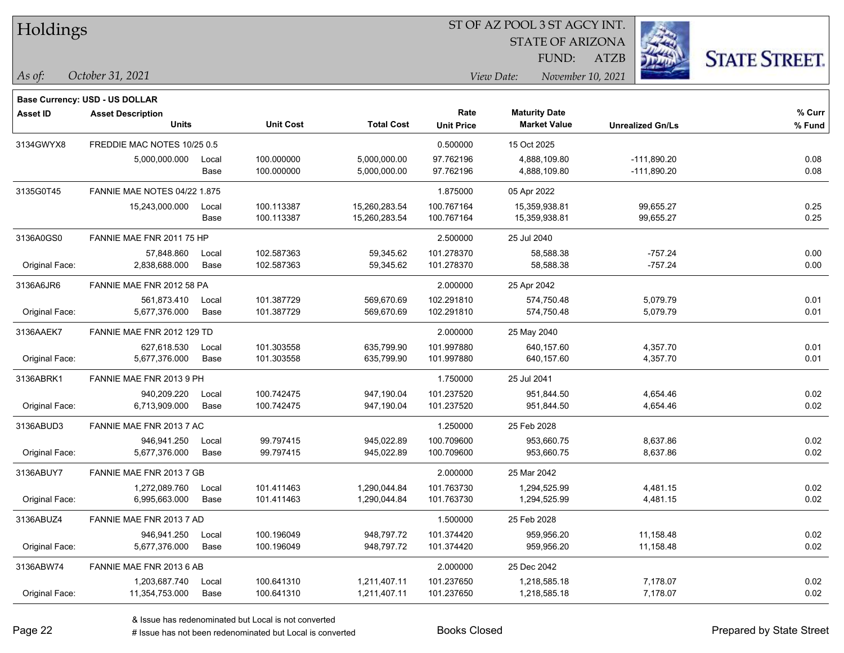#### ST OF AZ POOL 3 ST AGCY INT.

STATE OF ARIZONA

FUND:

ATZB



|                 | <b>Base Currency: USD - US DOLLAR</b> |       |                  |                   |                   |                      |                         |        |
|-----------------|---------------------------------------|-------|------------------|-------------------|-------------------|----------------------|-------------------------|--------|
| <b>Asset ID</b> | <b>Asset Description</b>              |       |                  |                   | Rate              | <b>Maturity Date</b> |                         | % Curr |
|                 | <b>Units</b>                          |       | <b>Unit Cost</b> | <b>Total Cost</b> | <b>Unit Price</b> | <b>Market Value</b>  | <b>Unrealized Gn/Ls</b> | % Fund |
| 3134GWYX8       | FREDDIE MAC NOTES 10/25 0.5           |       |                  |                   | 0.500000          | 15 Oct 2025          |                         |        |
|                 | 5,000,000.000                         | Local | 100.000000       | 5,000,000.00      | 97.762196         | 4,888,109.80         | $-111,890.20$           | 0.08   |
|                 |                                       | Base  | 100.000000       | 5,000,000.00      | 97.762196         | 4,888,109.80         | $-111,890.20$           | 0.08   |
| 3135G0T45       | <b>FANNIE MAE NOTES 04/22 1.875</b>   |       |                  |                   | 1.875000          | 05 Apr 2022          |                         |        |
|                 | 15,243,000.000                        | Local | 100.113387       | 15,260,283.54     | 100.767164        | 15,359,938.81        | 99,655.27               | 0.25   |
|                 |                                       | Base  | 100.113387       | 15,260,283.54     | 100.767164        | 15,359,938.81        | 99,655.27               | 0.25   |
| 3136A0GS0       | FANNIE MAE FNR 2011 75 HP             |       |                  |                   | 2.500000          | 25 Jul 2040          |                         |        |
|                 | 57,848.860                            | Local | 102.587363       | 59,345.62         | 101.278370        | 58,588.38            | $-757.24$               | 0.00   |
| Original Face:  | 2,838,688.000                         | Base  | 102.587363       | 59,345.62         | 101.278370        | 58,588.38            | $-757.24$               | 0.00   |
| 3136A6JR6       | FANNIE MAE FNR 2012 58 PA             |       |                  |                   | 2.000000          | 25 Apr 2042          |                         |        |
|                 | 561,873.410                           | Local | 101.387729       | 569,670.69        | 102.291810        | 574,750.48           | 5,079.79                | 0.01   |
| Original Face:  | 5,677,376.000                         | Base  | 101.387729       | 569,670.69        | 102.291810        | 574,750.48           | 5,079.79                | 0.01   |
| 3136AAEK7       | FANNIE MAE FNR 2012 129 TD            |       |                  |                   | 2.000000          | 25 May 2040          |                         |        |
|                 | 627,618.530                           | Local | 101.303558       | 635,799.90        | 101.997880        | 640,157.60           | 4,357.70                | 0.01   |
| Original Face:  | 5,677,376.000                         | Base  | 101.303558       | 635,799.90        | 101.997880        | 640,157.60           | 4,357.70                | 0.01   |
| 3136ABRK1       | FANNIE MAE FNR 2013 9 PH              |       |                  |                   | 1.750000          | 25 Jul 2041          |                         |        |
|                 | 940,209.220                           | Local | 100.742475       | 947,190.04        | 101.237520        | 951,844.50           | 4,654.46                | 0.02   |
| Original Face:  | 6,713,909.000                         | Base  | 100.742475       | 947,190.04        | 101.237520        | 951,844.50           | 4,654.46                | 0.02   |
| 3136ABUD3       | FANNIE MAE FNR 2013 7 AC              |       |                  |                   | 1.250000          | 25 Feb 2028          |                         |        |
|                 | 946,941.250                           | Local | 99.797415        | 945,022.89        | 100.709600        | 953,660.75           | 8,637.86                | 0.02   |
| Original Face:  | 5,677,376.000                         | Base  | 99.797415        | 945,022.89        | 100.709600        | 953,660.75           | 8,637.86                | 0.02   |
| 3136ABUY7       | FANNIE MAE FNR 2013 7 GB              |       |                  |                   | 2.000000          | 25 Mar 2042          |                         |        |
|                 | 1,272,089.760                         | Local | 101.411463       | 1,290,044.84      | 101.763730        | 1,294,525.99         | 4,481.15                | 0.02   |
| Original Face:  | 6,995,663.000                         | Base  | 101.411463       | 1,290,044.84      | 101.763730        | 1,294,525.99         | 4,481.15                | 0.02   |
| 3136ABUZ4       | FANNIE MAE FNR 2013 7 AD              |       |                  |                   | 1.500000          | 25 Feb 2028          |                         |        |
|                 | 946,941.250                           | Local | 100.196049       | 948,797.72        | 101.374420        | 959,956.20           | 11,158.48               | 0.02   |
| Original Face:  | 5,677,376.000                         | Base  | 100.196049       | 948,797.72        | 101.374420        | 959,956.20           | 11,158.48               | 0.02   |
| 3136ABW74       | FANNIE MAE FNR 2013 6 AB              |       |                  |                   | 2.000000          | 25 Dec 2042          |                         |        |
|                 | 1,203,687.740                         | Local | 100.641310       | 1,211,407.11      | 101.237650        | 1,218,585.18         | 7,178.07                | 0.02   |
| Original Face:  | 11,354,753.000                        | Base  | 100.641310       | 1,211,407.11      | 101.237650        | 1,218,585.18         | 7,178.07                | 0.02   |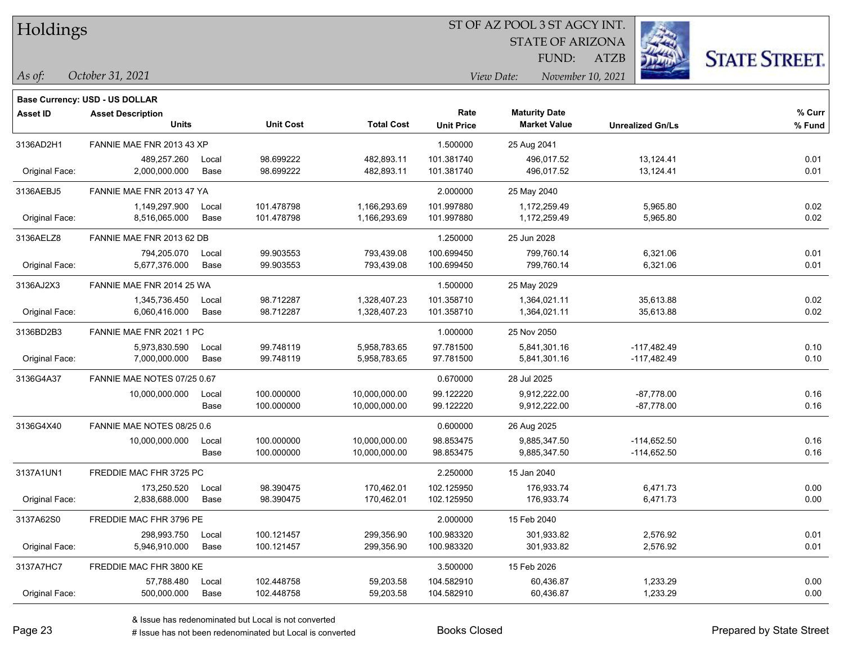#### ST OF AZ POOL 3 ST AGCY INT.

STATE OF ARIZONA FUND:

ATZB



*As of: View Date: November 10, 2021*

| October 31, 2021<br>As of: |
|----------------------------|
|----------------------------|

|                 | <b>Base Currency: USD - US DOLLAR</b> |       |                  |                   |                   |                      |                         |        |
|-----------------|---------------------------------------|-------|------------------|-------------------|-------------------|----------------------|-------------------------|--------|
| <b>Asset ID</b> | <b>Asset Description</b>              |       |                  |                   | Rate              | <b>Maturity Date</b> |                         | % Curr |
|                 | <b>Units</b>                          |       | <b>Unit Cost</b> | <b>Total Cost</b> | <b>Unit Price</b> | <b>Market Value</b>  | <b>Unrealized Gn/Ls</b> | % Fund |
| 3136AD2H1       | FANNIE MAE FNR 2013 43 XP             |       |                  |                   | 1.500000          | 25 Aug 2041          |                         |        |
|                 | 489,257.260                           | Local | 98.699222        | 482,893.11        | 101.381740        | 496,017.52           | 13,124.41               | 0.01   |
| Original Face:  | 2,000,000.000                         | Base  | 98.699222        | 482,893.11        | 101.381740        | 496,017.52           | 13,124.41               | 0.01   |
| 3136AEBJ5       | FANNIE MAE FNR 2013 47 YA             |       |                  |                   | 2.000000          | 25 May 2040          |                         |        |
|                 | 1,149,297.900                         | Local | 101.478798       | 1,166,293.69      | 101.997880        | 1,172,259.49         | 5,965.80                | 0.02   |
| Original Face:  | 8,516,065.000                         | Base  | 101.478798       | 1,166,293.69      | 101.997880        | 1,172,259.49         | 5,965.80                | 0.02   |
| 3136AELZ8       | FANNIE MAE FNR 2013 62 DB             |       |                  |                   | 1.250000          | 25 Jun 2028          |                         |        |
|                 | 794,205.070                           | Local | 99.903553        | 793,439.08        | 100.699450        | 799,760.14           | 6,321.06                | 0.01   |
| Original Face:  | 5,677,376.000                         | Base  | 99.903553        | 793,439.08        | 100.699450        | 799,760.14           | 6,321.06                | 0.01   |
| 3136AJ2X3       | FANNIE MAE FNR 2014 25 WA             |       |                  |                   | 1.500000          | 25 May 2029          |                         |        |
|                 | 1,345,736.450                         | Local | 98.712287        | 1,328,407.23      | 101.358710        | 1,364,021.11         | 35,613.88               | 0.02   |
| Original Face:  | 6,060,416.000                         | Base  | 98.712287        | 1,328,407.23      | 101.358710        | 1,364,021.11         | 35,613.88               | 0.02   |
| 3136BD2B3       | FANNIE MAE FNR 2021 1 PC              |       |                  |                   | 1.000000          | 25 Nov 2050          |                         |        |
|                 | 5,973,830.590                         | Local | 99.748119        | 5,958,783.65      | 97.781500         | 5,841,301.16         | $-117,482.49$           | 0.10   |
| Original Face:  | 7,000,000.000                         | Base  | 99.748119        | 5,958,783.65      | 97.781500         | 5,841,301.16         | $-117,482.49$           | 0.10   |
| 3136G4A37       | FANNIE MAE NOTES 07/25 0.67           |       |                  |                   | 0.670000          | 28 Jul 2025          |                         |        |
|                 | 10,000,000.000                        | Local | 100.000000       | 10,000,000.00     | 99.122220         | 9,912,222.00         | $-87,778.00$            | 0.16   |
|                 |                                       | Base  | 100.000000       | 10,000,000.00     | 99.122220         | 9,912,222.00         | $-87,778.00$            | 0.16   |
| 3136G4X40       | FANNIE MAE NOTES 08/25 0.6            |       |                  |                   | 0.600000          | 26 Aug 2025          |                         |        |
|                 | 10,000,000.000                        | Local | 100.000000       | 10,000,000.00     | 98.853475         | 9,885,347.50         | $-114,652.50$           | 0.16   |
|                 |                                       | Base  | 100.000000       | 10,000,000.00     | 98.853475         | 9,885,347.50         | $-114,652.50$           | 0.16   |
| 3137A1UN1       | FREDDIE MAC FHR 3725 PC               |       |                  |                   | 2.250000          | 15 Jan 2040          |                         |        |
|                 | 173,250.520                           | Local | 98.390475        | 170,462.01        | 102.125950        | 176,933.74           | 6,471.73                | 0.00   |
| Original Face:  | 2,838,688.000                         | Base  | 98.390475        | 170,462.01        | 102.125950        | 176,933.74           | 6,471.73                | 0.00   |
| 3137A62S0       | FREDDIE MAC FHR 3796 PE               |       |                  |                   | 2.000000          | 15 Feb 2040          |                         |        |
|                 | 298,993.750                           | Local | 100.121457       | 299,356.90        | 100.983320        | 301,933.82           | 2,576.92                | 0.01   |
| Original Face:  | 5,946,910.000                         | Base  | 100.121457       | 299,356.90        | 100.983320        | 301,933.82           | 2,576.92                | 0.01   |
| 3137A7HC7       | FREDDIE MAC FHR 3800 KE               |       |                  |                   | 3.500000          | 15 Feb 2026          |                         |        |
|                 | 57,788.480                            | Local | 102.448758       | 59,203.58         | 104.582910        | 60,436.87            | 1,233.29                | 0.00   |
| Original Face:  | 500,000.000                           | Base  | 102.448758       | 59,203.58         | 104.582910        | 60,436.87            | 1,233.29                | 0.00   |
|                 |                                       |       |                  |                   |                   |                      |                         |        |

# Issue has not been redenominated but Local is converted Books Closed Prepared by State Street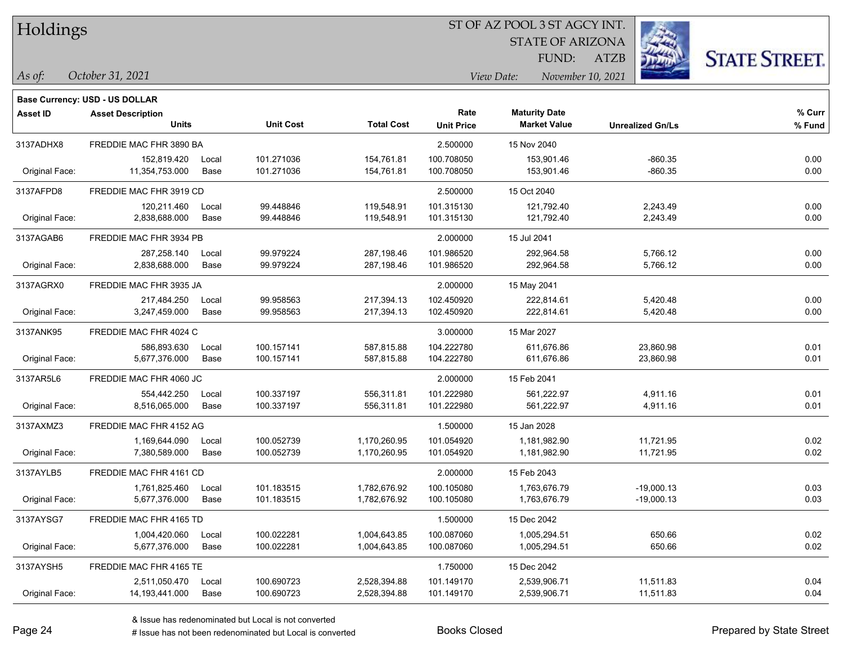#### ST OF AZ POOL 3 ST AGCY INT.

STATE OF ARIZONA FUND:

ATZB



*As of: View Date: November 10, 2021*

| As of: | October 31, 2021 |  |
|--------|------------------|--|
|--------|------------------|--|

|                 | Base Currency: USD - US DOLLAR |       |                  |                   |                   |                      |                         |        |
|-----------------|--------------------------------|-------|------------------|-------------------|-------------------|----------------------|-------------------------|--------|
| <b>Asset ID</b> | <b>Asset Description</b>       |       |                  |                   | Rate              | <b>Maturity Date</b> |                         | % Curr |
|                 | <b>Units</b>                   |       | <b>Unit Cost</b> | <b>Total Cost</b> | <b>Unit Price</b> | <b>Market Value</b>  | <b>Unrealized Gn/Ls</b> | % Fund |
| 3137ADHX8       | FREDDIE MAC FHR 3890 BA        |       |                  |                   | 2.500000          | 15 Nov 2040          |                         |        |
|                 | 152,819.420                    | Local | 101.271036       | 154,761.81        | 100.708050        | 153,901.46           | $-860.35$               | 0.00   |
| Original Face:  | 11,354,753.000                 | Base  | 101.271036       | 154,761.81        | 100.708050        | 153,901.46           | $-860.35$               | 0.00   |
| 3137AFPD8       | FREDDIE MAC FHR 3919 CD        |       |                  |                   | 2.500000          | 15 Oct 2040          |                         |        |
|                 | 120,211.460                    | Local | 99.448846        | 119,548.91        | 101.315130        | 121,792.40           | 2,243.49                | 0.00   |
| Original Face:  | 2,838,688.000                  | Base  | 99.448846        | 119,548.91        | 101.315130        | 121,792.40           | 2,243.49                | 0.00   |
| 3137AGAB6       | FREDDIE MAC FHR 3934 PB        |       |                  |                   | 2.000000          | 15 Jul 2041          |                         |        |
|                 | 287,258.140                    | Local | 99.979224        | 287,198.46        | 101.986520        | 292,964.58           | 5,766.12                | 0.00   |
| Original Face:  | 2,838,688.000                  | Base  | 99.979224        | 287,198.46        | 101.986520        | 292,964.58           | 5,766.12                | 0.00   |
| 3137AGRX0       | FREDDIE MAC FHR 3935 JA        |       |                  |                   | 2.000000          | 15 May 2041          |                         |        |
|                 | 217,484.250                    | Local | 99.958563        | 217,394.13        | 102.450920        | 222,814.61           | 5,420.48                | 0.00   |
| Original Face:  | 3,247,459.000                  | Base  | 99.958563        | 217,394.13        | 102.450920        | 222,814.61           | 5,420.48                | 0.00   |
| 3137ANK95       | FREDDIE MAC FHR 4024 C         |       |                  |                   | 3.000000          | 15 Mar 2027          |                         |        |
|                 | 586,893.630                    | Local | 100.157141       | 587,815.88        | 104.222780        | 611,676.86           | 23,860.98               | 0.01   |
| Original Face:  | 5,677,376.000                  | Base  | 100.157141       | 587,815.88        | 104.222780        | 611,676.86           | 23,860.98               | 0.01   |
| 3137AR5L6       | FREDDIE MAC FHR 4060 JC        |       |                  |                   | 2.000000          | 15 Feb 2041          |                         |        |
|                 | 554,442.250                    | Local | 100.337197       | 556,311.81        | 101.222980        | 561,222.97           | 4,911.16                | 0.01   |
| Original Face:  | 8,516,065.000                  | Base  | 100.337197       | 556,311.81        | 101.222980        | 561,222.97           | 4,911.16                | 0.01   |
| 3137AXMZ3       | FREDDIE MAC FHR 4152 AG        |       |                  |                   | 1.500000          | 15 Jan 2028          |                         |        |
|                 | 1,169,644.090                  | Local | 100.052739       | 1,170,260.95      | 101.054920        | 1,181,982.90         | 11,721.95               | 0.02   |
| Original Face:  | 7,380,589.000                  | Base  | 100.052739       | 1,170,260.95      | 101.054920        | 1,181,982.90         | 11,721.95               | 0.02   |
| 3137AYLB5       | FREDDIE MAC FHR 4161 CD        |       |                  |                   | 2.000000          | 15 Feb 2043          |                         |        |
|                 | 1,761,825.460                  | Local | 101.183515       | 1,782,676.92      | 100.105080        | 1,763,676.79         | $-19,000.13$            | 0.03   |
| Original Face:  | 5,677,376.000                  | Base  | 101.183515       | 1,782,676.92      | 100.105080        | 1,763,676.79         | $-19,000.13$            | 0.03   |
| 3137AYSG7       | FREDDIE MAC FHR 4165 TD        |       |                  |                   | 1.500000          | 15 Dec 2042          |                         |        |
|                 | 1,004,420.060                  | Local | 100.022281       | 1,004,643.85      | 100.087060        | 1,005,294.51         | 650.66                  | 0.02   |
| Original Face:  | 5,677,376.000                  | Base  | 100.022281       | 1,004,643.85      | 100.087060        | 1,005,294.51         | 650.66                  | 0.02   |
| 3137AYSH5       | FREDDIE MAC FHR 4165 TE        |       |                  |                   | 1.750000          | 15 Dec 2042          |                         |        |
|                 | 2,511,050.470                  | Local | 100.690723       | 2,528,394.88      | 101.149170        | 2,539,906.71         | 11,511.83               | 0.04   |
| Original Face:  | 14, 193, 441.000               | Base  | 100.690723       | 2,528,394.88      | 101.149170        | 2,539,906.71         | 11,511.83               | 0.04   |
|                 |                                |       |                  |                   |                   |                      |                         |        |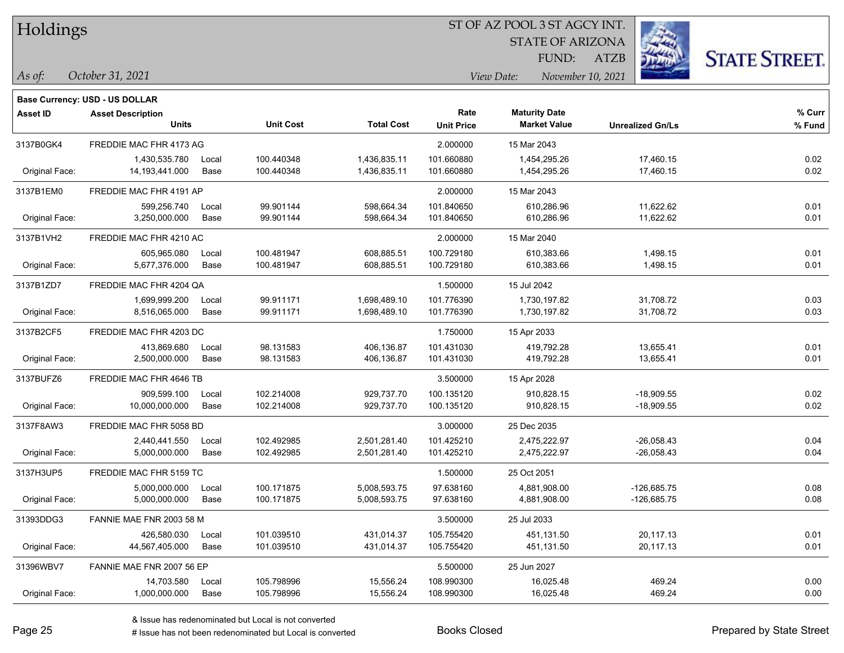#### ST OF AZ POOL 3 ST AGCY INT.

STATE OF ARIZONA FUND:

ATZB



*As of: View Date: November 10, 2021*

| As of: | October 31, 2021 |  |
|--------|------------------|--|
|        |                  |  |

|                 | <b>Base Currency: USD - US DOLLAR</b> |       |                  |                   |                   |                      |                         |        |
|-----------------|---------------------------------------|-------|------------------|-------------------|-------------------|----------------------|-------------------------|--------|
| <b>Asset ID</b> | <b>Asset Description</b>              |       |                  |                   | Rate              | <b>Maturity Date</b> |                         | % Curr |
|                 | <b>Units</b>                          |       | <b>Unit Cost</b> | <b>Total Cost</b> | <b>Unit Price</b> | <b>Market Value</b>  | <b>Unrealized Gn/Ls</b> | % Fund |
| 3137B0GK4       | FREDDIE MAC FHR 4173 AG               |       |                  |                   | 2.000000          | 15 Mar 2043          |                         |        |
|                 | 1,430,535.780                         | Local | 100.440348       | 1,436,835.11      | 101.660880        | 1,454,295.26         | 17,460.15               | 0.02   |
| Original Face:  | 14,193,441.000                        | Base  | 100.440348       | 1,436,835.11      | 101.660880        | 1,454,295.26         | 17,460.15               | 0.02   |
| 3137B1EM0       | FREDDIE MAC FHR 4191 AP               |       |                  |                   | 2.000000          | 15 Mar 2043          |                         |        |
|                 | 599,256.740                           | Local | 99.901144        | 598,664.34        | 101.840650        | 610,286.96           | 11,622.62               | 0.01   |
| Original Face:  | 3,250,000.000                         | Base  | 99.901144        | 598,664.34        | 101.840650        | 610,286.96           | 11,622.62               | 0.01   |
| 3137B1VH2       | FREDDIE MAC FHR 4210 AC               |       |                  |                   | 2.000000          | 15 Mar 2040          |                         |        |
|                 | 605,965.080                           | Local | 100.481947       | 608,885.51        | 100.729180        | 610,383.66           | 1,498.15                | 0.01   |
| Original Face:  | 5,677,376.000                         | Base  | 100.481947       | 608,885.51        | 100.729180        | 610,383.66           | 1,498.15                | 0.01   |
| 3137B1ZD7       | FREDDIE MAC FHR 4204 QA               |       |                  |                   | 1.500000          | 15 Jul 2042          |                         |        |
|                 | 1,699,999.200                         | Local | 99.911171        | 1,698,489.10      | 101.776390        | 1,730,197.82         | 31,708.72               | 0.03   |
| Original Face:  | 8,516,065.000                         | Base  | 99.911171        | 1,698,489.10      | 101.776390        | 1,730,197.82         | 31,708.72               | 0.03   |
| 3137B2CF5       | FREDDIE MAC FHR 4203 DC               |       |                  |                   | 1.750000          | 15 Apr 2033          |                         |        |
|                 | 413,869.680                           | Local | 98.131583        | 406,136.87        | 101.431030        | 419,792.28           | 13,655.41               | 0.01   |
| Original Face:  | 2,500,000.000                         | Base  | 98.131583        | 406,136.87        | 101.431030        | 419,792.28           | 13,655.41               | 0.01   |
| 3137BUFZ6       | FREDDIE MAC FHR 4646 TB               |       |                  |                   | 3.500000          | 15 Apr 2028          |                         |        |
|                 | 909,599.100                           | Local | 102.214008       | 929,737.70        | 100.135120        | 910,828.15           | $-18,909.55$            | 0.02   |
| Original Face:  | 10,000,000.000                        | Base  | 102.214008       | 929,737.70        | 100.135120        | 910,828.15           | $-18,909.55$            | 0.02   |
| 3137F8AW3       | FREDDIE MAC FHR 5058 BD               |       |                  |                   | 3.000000          | 25 Dec 2035          |                         |        |
|                 | 2,440,441.550                         | Local | 102.492985       | 2,501,281.40      | 101.425210        | 2,475,222.97         | $-26,058.43$            | 0.04   |
| Original Face:  | 5,000,000.000                         | Base  | 102.492985       | 2,501,281.40      | 101.425210        | 2,475,222.97         | $-26,058.43$            | 0.04   |
| 3137H3UP5       | FREDDIE MAC FHR 5159 TC               |       |                  |                   | 1.500000          | 25 Oct 2051          |                         |        |
|                 | 5,000,000.000                         | Local | 100.171875       | 5,008,593.75      | 97.638160         | 4,881,908.00         | $-126,685.75$           | 0.08   |
| Original Face:  | 5,000,000.000                         | Base  | 100.171875       | 5,008,593.75      | 97.638160         | 4,881,908.00         | $-126,685.75$           | 0.08   |
| 31393DDG3       | FANNIE MAE FNR 2003 58 M              |       |                  |                   | 3.500000          | 25 Jul 2033          |                         |        |
|                 | 426,580.030                           | Local | 101.039510       | 431,014.37        | 105.755420        | 451,131.50           | 20,117.13               | 0.01   |
| Original Face:  | 44,567,405.000                        | Base  | 101.039510       | 431,014.37        | 105.755420        | 451,131.50           | 20,117.13               | 0.01   |
| 31396WBV7       | FANNIE MAE FNR 2007 56 EP             |       |                  |                   | 5.500000          | 25 Jun 2027          |                         |        |
|                 | 14,703.580                            | Local | 105.798996       | 15,556.24         | 108.990300        | 16,025.48            | 469.24                  | 0.00   |
| Original Face:  | 1,000,000.000                         | Base  | 105.798996       | 15,556.24         | 108.990300        | 16,025.48            | 469.24                  | 0.00   |
|                 |                                       |       |                  |                   |                   |                      |                         |        |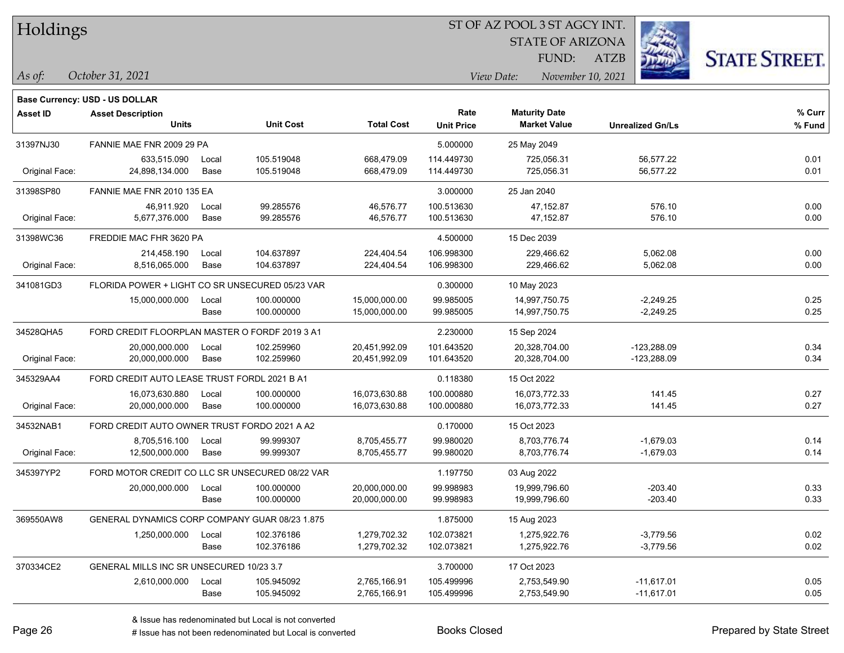| Holdings |
|----------|
|          |

STATE OF ARIZONA

ATZB



**Base Currency: USD - US DOLLAR**

| <b>Asset ID</b> | <b>Asset Description</b><br><b>Units</b>        |               | <b>Unit Cost</b>         | <b>Total Cost</b>              | Rate<br><b>Unit Price</b> | <b>Maturity Date</b><br><b>Market Value</b> | <b>Unrealized Gn/Ls</b>        | % Curr<br>% Fund |
|-----------------|-------------------------------------------------|---------------|--------------------------|--------------------------------|---------------------------|---------------------------------------------|--------------------------------|------------------|
| 31397NJ30       | FANNIE MAE FNR 2009 29 PA                       |               |                          |                                | 5.000000                  | 25 May 2049                                 |                                |                  |
| Original Face:  | 633.515.090<br>24,898,134.000                   | Local<br>Base | 105.519048<br>105.519048 | 668,479.09<br>668,479.09       | 114.449730<br>114.449730  | 725,056.31<br>725,056.31                    | 56,577.22<br>56,577.22         | 0.01<br>0.01     |
| 31398SP80       | FANNIE MAE FNR 2010 135 EA                      |               |                          |                                | 3.000000                  | 25 Jan 2040                                 |                                |                  |
| Original Face:  | 46,911.920<br>5,677,376.000                     | Local<br>Base | 99.285576<br>99.285576   | 46,576.77<br>46,576.77         | 100.513630<br>100.513630  | 47,152.87<br>47,152.87                      | 576.10<br>576.10               | 0.00<br>0.00     |
| 31398WC36       | FREDDIE MAC FHR 3620 PA                         |               |                          |                                | 4.500000                  | 15 Dec 2039                                 |                                |                  |
| Original Face:  | 214,458.190<br>8,516,065.000                    | Local<br>Base | 104.637897<br>104.637897 | 224,404.54<br>224,404.54       | 106.998300<br>106.998300  | 229,466.62<br>229,466.62                    | 5,062.08<br>5,062.08           | 0.00<br>0.00     |
| 341081GD3       | FLORIDA POWER + LIGHT CO SR UNSECURED 05/23 VAR |               |                          |                                | 0.300000                  | 10 May 2023                                 |                                |                  |
|                 | 15,000,000.000                                  | Local<br>Base | 100.000000<br>100.000000 | 15,000,000.00<br>15,000,000.00 | 99.985005<br>99.985005    | 14,997,750.75<br>14,997,750.75              | $-2,249.25$<br>$-2,249.25$     | 0.25<br>0.25     |
| 34528QHA5       | FORD CREDIT FLOORPLAN MASTER O FORDF 2019 3 A1  |               |                          |                                | 2.230000                  | 15 Sep 2024                                 |                                |                  |
| Original Face:  | 20,000,000.000<br>20,000,000.000                | Local<br>Base | 102.259960<br>102.259960 | 20,451,992.09<br>20,451,992.09 | 101.643520<br>101.643520  | 20,328,704.00<br>20,328,704.00              | $-123,288.09$<br>$-123,288.09$ | 0.34<br>0.34     |
| 345329AA4       | FORD CREDIT AUTO LEASE TRUST FORDL 2021 B A1    |               |                          |                                | 0.118380                  | 15 Oct 2022                                 |                                |                  |
| Original Face:  | 16,073,630.880<br>20,000,000.000                | Local<br>Base | 100.000000<br>100.000000 | 16,073,630.88<br>16,073,630.88 | 100.000880<br>100.000880  | 16,073,772.33<br>16,073,772.33              | 141.45<br>141.45               | 0.27<br>0.27     |
| 34532NAB1       | FORD CREDIT AUTO OWNER TRUST FORDO 2021 A A2    |               |                          |                                | 0.170000                  | 15 Oct 2023                                 |                                |                  |
| Original Face:  | 8,705,516.100<br>12,500,000.000                 | Local<br>Base | 99.999307<br>99.999307   | 8,705,455.77<br>8,705,455.77   | 99.980020<br>99.980020    | 8,703,776.74<br>8,703,776.74                | $-1,679.03$<br>$-1,679.03$     | 0.14<br>0.14     |
| 345397YP2       | FORD MOTOR CREDIT CO LLC SR UNSECURED 08/22 VAR |               |                          |                                | 1.197750                  | 03 Aug 2022                                 |                                |                  |
|                 | 20,000,000.000                                  | Local<br>Base | 100.000000<br>100.000000 | 20,000,000.00<br>20,000,000.00 | 99.998983<br>99.998983    | 19,999,796.60<br>19,999,796.60              | $-203.40$<br>$-203.40$         | 0.33<br>0.33     |
| 369550AW8       | GENERAL DYNAMICS CORP COMPANY GUAR 08/23 1.875  |               |                          |                                | 1.875000                  | 15 Aug 2023                                 |                                |                  |
|                 | 1,250,000.000                                   | Local<br>Base | 102.376186<br>102.376186 | 1,279,702.32<br>1,279,702.32   | 102.073821<br>102.073821  | 1,275,922.76<br>1,275,922.76                | $-3,779.56$<br>$-3,779.56$     | 0.02<br>0.02     |
| 370334CE2       | GENERAL MILLS INC SR UNSECURED 10/23 3.7        |               |                          |                                | 3.700000                  | 17 Oct 2023                                 |                                |                  |
|                 | 2,610,000.000                                   | Local<br>Base | 105.945092<br>105.945092 | 2,765,166.91<br>2,765,166.91   | 105.499996<br>105.499996  | 2,753,549.90<br>2,753,549.90                | $-11,617.01$<br>$-11,617.01$   | 0.05<br>0.05     |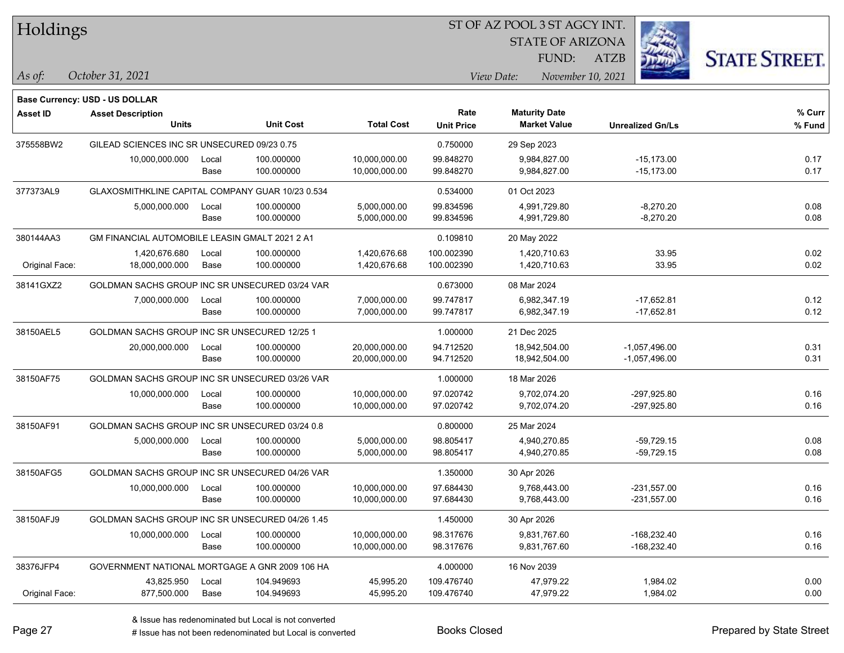| Holdings        |                                                  |       |                  |                   | 51 OF AZ POOL 351 AGCY INT. |                                             |                         |                      |  |  |
|-----------------|--------------------------------------------------|-------|------------------|-------------------|-----------------------------|---------------------------------------------|-------------------------|----------------------|--|--|
|                 |                                                  |       |                  |                   |                             | <b>STATE OF ARIZONA</b>                     |                         |                      |  |  |
|                 |                                                  |       |                  |                   |                             | FUND:                                       | <b>ATZB</b>             | <b>STATE STREET.</b> |  |  |
| As of:          | October 31, 2021                                 |       |                  |                   |                             | View Date:                                  | November 10, 2021       |                      |  |  |
|                 |                                                  |       |                  |                   |                             |                                             |                         |                      |  |  |
|                 | <b>Base Currency: USD - US DOLLAR</b>            |       |                  |                   |                             |                                             |                         |                      |  |  |
| <b>Asset ID</b> | <b>Asset Description</b><br><b>Units</b>         |       | <b>Unit Cost</b> | <b>Total Cost</b> | Rate                        | <b>Maturity Date</b><br><b>Market Value</b> |                         | % Curr               |  |  |
|                 |                                                  |       |                  |                   | <b>Unit Price</b>           |                                             | <b>Unrealized Gn/Ls</b> | % Fund               |  |  |
| 375558BW2       | GILEAD SCIENCES INC SR UNSECURED 09/23 0.75      |       |                  |                   | 0.750000                    | 29 Sep 2023                                 |                         |                      |  |  |
|                 | 10,000,000.000                                   | Local | 100.000000       | 10,000,000.00     | 99.848270                   | 9,984,827.00                                | $-15,173.00$            | 0.17                 |  |  |
|                 |                                                  | Base  | 100.000000       | 10,000,000.00     | 99.848270                   | 9,984,827.00                                | $-15,173.00$            | 0.17                 |  |  |
| 377373AL9       | GLAXOSMITHKLINE CAPITAL COMPANY GUAR 10/23 0.534 |       |                  |                   | 0.534000                    | 01 Oct 2023                                 |                         |                      |  |  |
|                 | 5,000,000.000                                    | Local | 100.000000       | 5,000,000.00      | 99.834596                   | 4,991,729.80                                | $-8,270.20$             | 0.08                 |  |  |
|                 |                                                  | Base  | 100.000000       | 5,000,000.00      | 99.834596                   | 4,991,729.80                                | $-8,270.20$             | 0.08                 |  |  |
| 380144AA3       | GM FINANCIAL AUTOMOBILE LEASIN GMALT 2021 2 A1   |       |                  |                   | 0.109810                    | 20 May 2022                                 |                         |                      |  |  |
|                 | 1,420,676.680                                    | Local | 100.000000       | 1,420,676.68      | 100.002390                  | 1,420,710.63                                | 33.95                   | 0.02                 |  |  |
| Original Face:  | 18,000,000.000                                   | Base  | 100.000000       | 1,420,676.68      | 100.002390                  | 1,420,710.63                                | 33.95                   | 0.02                 |  |  |
| 38141GXZ2       | GOLDMAN SACHS GROUP INC SR UNSECURED 03/24 VAR   |       |                  |                   | 0.673000                    | 08 Mar 2024                                 |                         |                      |  |  |
|                 | 7,000,000.000                                    | Local | 100.000000       | 7,000,000.00      | 99.747817                   | 6.982.347.19                                | $-17,652.81$            | 0.12                 |  |  |
|                 |                                                  | Base  | 100.000000       | 7,000,000.00      | 99.747817                   | 6,982,347.19                                | $-17,652.81$            | 0.12                 |  |  |
| 38150AEL5       | GOLDMAN SACHS GROUP INC SR UNSECURED 12/25 1     |       |                  |                   | 1.000000                    | 21 Dec 2025                                 |                         |                      |  |  |
|                 | 20,000,000.000                                   | Local | 100.000000       | 20,000,000.00     | 94.712520                   | 18,942,504.00                               | $-1,057,496.00$         | 0.31                 |  |  |
|                 |                                                  | Base  | 100.000000       | 20,000,000.00     | 94.712520                   | 18,942,504.00                               | $-1,057,496.00$         | 0.31                 |  |  |
| 38150AF75       | GOLDMAN SACHS GROUP INC SR UNSECURED 03/26 VAR   |       |                  |                   | 1.000000                    | 18 Mar 2026                                 |                         |                      |  |  |
|                 | 10,000,000.000                                   | Local | 100.000000       | 10,000,000.00     | 97.020742                   | 9,702,074.20                                | $-297,925.80$           | 0.16                 |  |  |
|                 |                                                  | Base  | 100.000000       | 10,000,000.00     | 97.020742                   | 9,702,074.20                                | $-297,925.80$           | 0.16                 |  |  |
| 38150AF91       | GOLDMAN SACHS GROUP INC SR UNSECURED 03/24 0.8   |       |                  |                   | 0.800000                    | 25 Mar 2024                                 |                         |                      |  |  |
|                 | 5,000,000.000                                    | Local | 100.000000       | 5,000,000.00      | 98.805417                   | 4,940,270.85                                | $-59,729.15$            | 0.08                 |  |  |
|                 |                                                  | Base  | 100.000000       | 5,000,000.00      | 98.805417                   | 4,940,270.85                                | $-59,729.15$            | 0.08                 |  |  |
| 38150AFG5       | GOLDMAN SACHS GROUP INC SR UNSECURED 04/26 VAR   |       |                  |                   | 1.350000                    | 30 Apr 2026                                 |                         |                      |  |  |
|                 | 10,000,000.000                                   | Local | 100.000000       | 10,000,000.00     | 97.684430                   | 9,768,443.00                                | $-231,557.00$           | 0.16                 |  |  |
|                 |                                                  | Base  | 100.000000       | 10,000,000.00     | 97.684430                   | 9,768,443.00                                | $-231,557.00$           | 0.16                 |  |  |
| 38150AFJ9       | GOLDMAN SACHS GROUP INC SR UNSECURED 04/26 1.45  |       |                  |                   | 1.450000                    | 30 Apr 2026                                 |                         |                      |  |  |
|                 | 10,000,000.000                                   | Local | 100.000000       | 10,000,000.00     | 98.317676                   | 9,831,767.60                                | $-168,232.40$           | 0.16                 |  |  |
|                 |                                                  | Base  | 100.000000       | 10,000,000.00     | 98.317676                   | 9,831,767.60                                | $-168,232.40$           | 0.16                 |  |  |
| 38376JFP4       | GOVERNMENT NATIONAL MORTGAGE A GNR 2009 106 HA   |       |                  |                   | 4.000000                    | 16 Nov 2039                                 |                         |                      |  |  |
|                 | 43,825.950                                       | Local | 104.949693       | 45,995.20         | 109.476740                  | 47,979.22                                   | 1,984.02                | 0.00                 |  |  |
| Original Face:  | 877,500.000                                      | Base  | 104.949693       | 45,995.20         | 109.476740                  | 47,979.22                                   | 1,984.02                | 0.00                 |  |  |

ST OF A Z POOL 2 ST ACCV INT

**CONTRACTOR**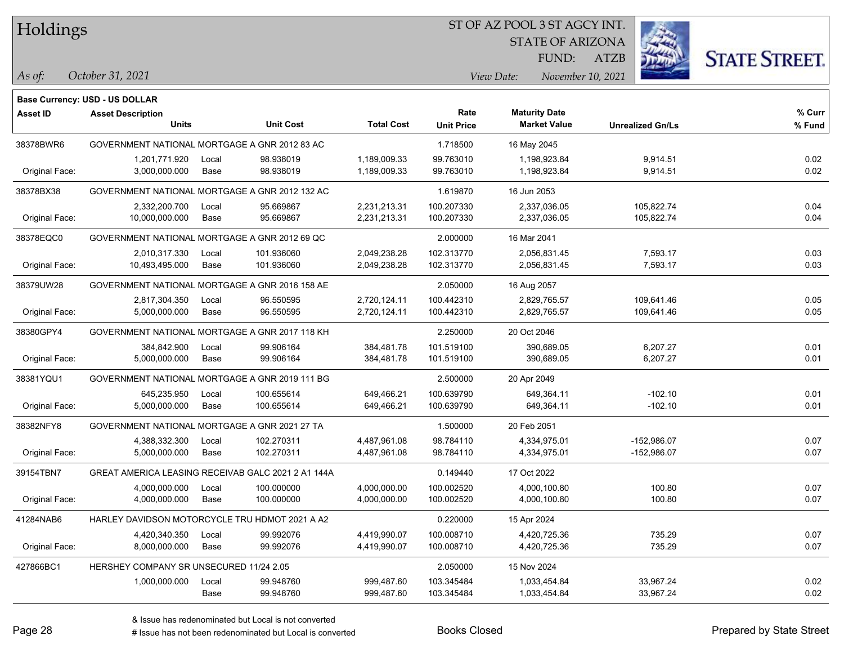#### ST OF AZ POOL 3 ST AGCY INT.

STATE OF ARIZONA

ATZB



*October 31, 2021*

**Base Currency: USD - US DOLLAR**

*As of: View Date: November 10, 2021* FUND:

| <b>Asset ID</b> | <b>Asset Description</b>                |                                                    |                   | Rate              | <b>Maturity Date</b> |                         | % Curr |
|-----------------|-----------------------------------------|----------------------------------------------------|-------------------|-------------------|----------------------|-------------------------|--------|
|                 | <b>Units</b>                            | <b>Unit Cost</b>                                   | <b>Total Cost</b> | <b>Unit Price</b> | <b>Market Value</b>  | <b>Unrealized Gn/Ls</b> | % Fund |
| 38378BWR6       |                                         | GOVERNMENT NATIONAL MORTGAGE A GNR 2012 83 AC      |                   | 1.718500          | 16 May 2045          |                         |        |
|                 | 1,201,771.920                           | 98.938019<br>Local                                 | 1,189,009.33      | 99.763010         | 1,198,923.84         | 9,914.51                | 0.02   |
| Original Face:  | 3,000,000.000                           | 98.938019<br>Base                                  | 1,189,009.33      | 99.763010         | 1,198,923.84         | 9,914.51                | 0.02   |
| 38378BX38       |                                         | GOVERNMENT NATIONAL MORTGAGE A GNR 2012 132 AC     |                   | 1.619870          | 16 Jun 2053          |                         |        |
|                 | 2,332,200.700                           | 95.669867<br>Local                                 | 2,231,213.31      | 100.207330        | 2,337,036.05         | 105,822.74              | 0.04   |
| Original Face:  | 10,000,000.000                          | Base<br>95.669867                                  | 2,231,213.31      | 100.207330        | 2,337,036.05         | 105,822.74              | 0.04   |
| 38378EQC0       |                                         | GOVERNMENT NATIONAL MORTGAGE A GNR 2012 69 QC      |                   | 2.000000          | 16 Mar 2041          |                         |        |
|                 | 2,010,317.330                           | 101.936060<br>Local                                | 2,049,238.28      | 102.313770        | 2,056,831.45         | 7,593.17                | 0.03   |
| Original Face:  | 10,493,495.000                          | Base<br>101.936060                                 | 2,049,238.28      | 102.313770        | 2,056,831.45         | 7,593.17                | 0.03   |
| 38379UW28       |                                         | GOVERNMENT NATIONAL MORTGAGE A GNR 2016 158 AE     |                   | 2.050000          | 16 Aug 2057          |                         |        |
|                 | 2,817,304.350                           | 96.550595<br>Local                                 | 2,720,124.11      | 100.442310        | 2,829,765.57         | 109,641.46              | 0.05   |
| Original Face:  | 5,000,000.000                           | 96.550595<br>Base                                  | 2,720,124.11      | 100.442310        | 2,829,765.57         | 109,641.46              | 0.05   |
| 38380GPY4       |                                         | GOVERNMENT NATIONAL MORTGAGE A GNR 2017 118 KH     |                   | 2.250000          | 20 Oct 2046          |                         |        |
|                 | 384,842.900                             | 99.906164<br>Local                                 | 384,481.78        | 101.519100        | 390,689.05           | 6,207.27                | 0.01   |
| Original Face:  | 5,000,000.000                           | 99.906164<br>Base                                  | 384,481.78        | 101.519100        | 390,689.05           | 6,207.27                | 0.01   |
| 38381YQU1       |                                         | GOVERNMENT NATIONAL MORTGAGE A GNR 2019 111 BG     |                   | 2.500000          | 20 Apr 2049          |                         |        |
|                 | 645.235.950                             | 100.655614<br>Local                                | 649,466.21        | 100.639790        | 649,364.11           | $-102.10$               | 0.01   |
| Original Face:  | 5,000,000.000                           | 100.655614<br>Base                                 | 649,466.21        | 100.639790        | 649,364.11           | $-102.10$               | 0.01   |
| 38382NFY8       |                                         | GOVERNMENT NATIONAL MORTGAGE A GNR 2021 27 TA      |                   | 1.500000          | 20 Feb 2051          |                         |        |
|                 | 4,388,332.300                           | 102.270311<br>Local                                | 4,487,961.08      | 98.784110         | 4,334,975.01         | $-152,986.07$           | 0.07   |
| Original Face:  | 5,000,000.000                           | 102.270311<br>Base                                 | 4,487,961.08      | 98.784110         | 4,334,975.01         | $-152,986.07$           | 0.07   |
| 39154TBN7       |                                         | GREAT AMERICA LEASING RECEIVAB GALC 2021 2 A1 144A |                   | 0.149440          | 17 Oct 2022          |                         |        |
|                 | 4,000,000.000                           | 100.000000<br>Local                                | 4,000,000.00      | 100.002520        | 4,000,100.80         | 100.80                  | 0.07   |
| Original Face:  | 4,000,000.000                           | Base<br>100.000000                                 | 4,000,000.00      | 100.002520        | 4,000,100.80         | 100.80                  | 0.07   |
| 41284NAB6       |                                         | HARLEY DAVIDSON MOTORCYCLE TRU HDMOT 2021 A A2     |                   | 0.220000          | 15 Apr 2024          |                         |        |
|                 | 4,420,340.350                           | 99.992076<br>Local                                 | 4,419,990.07      | 100.008710        | 4,420,725.36         | 735.29                  | 0.07   |
| Original Face:  | 8,000,000.000                           | Base<br>99.992076                                  | 4,419,990.07      | 100.008710        | 4,420,725.36         | 735.29                  | 0.07   |
| 427866BC1       | HERSHEY COMPANY SR UNSECURED 11/24 2.05 |                                                    |                   | 2.050000          | 15 Nov 2024          |                         |        |
|                 | 1,000,000.000                           | 99.948760<br>Local                                 | 999,487.60        | 103.345484        | 1,033,454.84         | 33,967.24               | 0.02   |
|                 |                                         | Base<br>99.948760                                  | 999,487.60        | 103.345484        | 1,033,454.84         | 33,967.24               | 0.02   |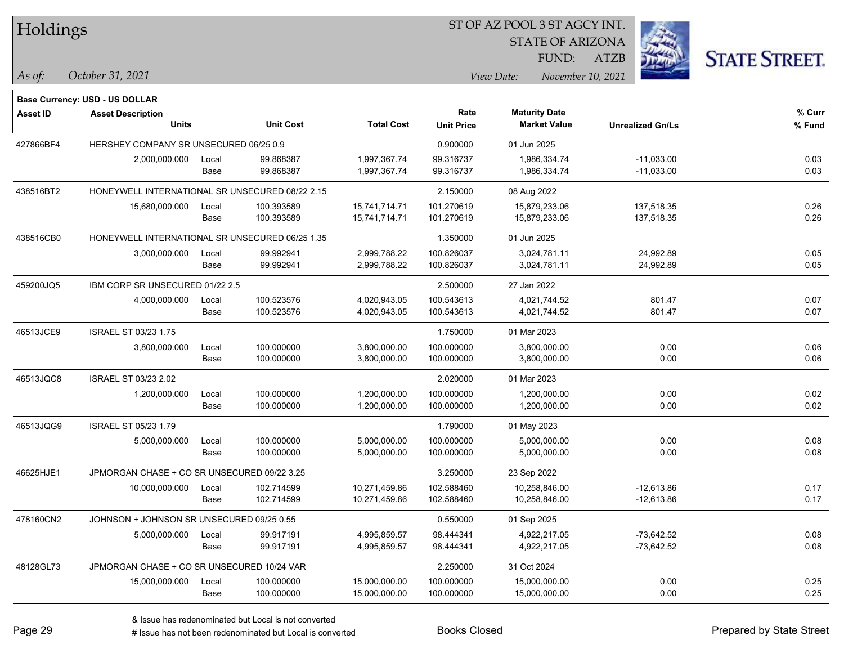| Holdings        |                                                 |       |                  |                   |                   | ST OF AZ POOL 3 ST AGCY INT. |                         |                      |
|-----------------|-------------------------------------------------|-------|------------------|-------------------|-------------------|------------------------------|-------------------------|----------------------|
|                 |                                                 |       |                  |                   |                   | <b>STATE OF ARIZONA</b>      |                         |                      |
|                 |                                                 |       |                  |                   |                   | FUND:                        | <b>ATZB</b>             | <b>STATE STREET.</b> |
| As of:          | October 31, 2021                                |       |                  |                   |                   | View Date:                   | November 10, 2021       |                      |
|                 | <b>Base Currency: USD - US DOLLAR</b>           |       |                  |                   |                   |                              |                         |                      |
| <b>Asset ID</b> | <b>Asset Description</b>                        |       |                  |                   | Rate              | <b>Maturity Date</b>         |                         | % Curr               |
|                 | <b>Units</b>                                    |       | <b>Unit Cost</b> | <b>Total Cost</b> | <b>Unit Price</b> | <b>Market Value</b>          | <b>Unrealized Gn/Ls</b> | % Fund               |
| 427866BF4       | HERSHEY COMPANY SR UNSECURED 06/25 0.9          |       |                  |                   | 0.900000          | 01 Jun 2025                  |                         |                      |
|                 | 2,000,000.000                                   | Local | 99.868387        | 1,997,367.74      | 99.316737         | 1,986,334.74                 | $-11,033.00$            | 0.03                 |
|                 |                                                 | Base  | 99.868387        | 1,997,367.74      | 99.316737         | 1,986,334.74                 | $-11,033.00$            | 0.03                 |
| 438516BT2       | HONEYWELL INTERNATIONAL SR UNSECURED 08/22 2.15 |       |                  |                   | 2.150000          | 08 Aug 2022                  |                         |                      |
|                 | 15,680,000.000                                  | Local | 100.393589       | 15,741,714.71     | 101.270619        | 15,879,233.06                | 137,518.35              | 0.26                 |
|                 |                                                 | Base  | 100.393589       | 15,741,714.71     | 101.270619        | 15,879,233.06                | 137,518.35              | 0.26                 |
| 438516CB0       | HONEYWELL INTERNATIONAL SR UNSECURED 06/25 1.35 |       |                  |                   | 1.350000          | 01 Jun 2025                  |                         |                      |
|                 | 3,000,000.000                                   | Local | 99.992941        | 2,999,788.22      | 100.826037        | 3,024,781.11                 | 24,992.89               | 0.05                 |
|                 |                                                 | Base  | 99.992941        | 2,999,788.22      | 100.826037        | 3,024,781.11                 | 24,992.89               | 0.05                 |
| 459200JQ5       | IBM CORP SR UNSECURED 01/22 2.5                 |       |                  |                   | 2.500000          | 27 Jan 2022                  |                         |                      |
|                 | 4,000,000.000                                   | Local | 100.523576       | 4,020,943.05      | 100.543613        | 4,021,744.52                 | 801.47                  | 0.07                 |
|                 |                                                 | Base  | 100.523576       | 4,020,943.05      | 100.543613        | 4,021,744.52                 | 801.47                  | 0.07                 |
| 46513JCE9       | ISRAEL ST 03/23 1.75                            |       |                  |                   | 1.750000          | 01 Mar 2023                  |                         |                      |
|                 | 3,800,000.000                                   | Local | 100.000000       | 3,800,000.00      | 100.000000        | 3,800,000.00                 | 0.00                    | 0.06                 |
|                 |                                                 | Base  | 100.000000       | 3,800,000.00      | 100.000000        | 3,800,000.00                 | 0.00                    | 0.06                 |
| 46513JQC8       | ISRAEL ST 03/23 2.02                            |       |                  |                   | 2.020000          | 01 Mar 2023                  |                         |                      |
|                 | 1,200,000.000                                   | Local | 100.000000       | 1,200,000.00      | 100.000000        | 1,200,000.00                 | 0.00                    | 0.02                 |
|                 |                                                 | Base  | 100.000000       | 1,200,000.00      | 100.000000        | 1,200,000.00                 | 0.00                    | 0.02                 |
| 46513JQG9       | ISRAEL ST 05/23 1.79                            |       |                  |                   | 1.790000          | 01 May 2023                  |                         |                      |
|                 | 5,000,000.000                                   | Local | 100.000000       | 5,000,000.00      | 100.000000        | 5,000,000.00                 | 0.00                    | 0.08                 |
|                 |                                                 | Base  | 100.000000       | 5,000,000.00      | 100.000000        | 5,000,000.00                 | 0.00                    | 0.08                 |
| 46625HJE1       | JPMORGAN CHASE + CO SR UNSECURED 09/22 3.25     |       |                  |                   | 3.250000          | 23 Sep 2022                  |                         |                      |
|                 | 10,000,000.000                                  | Local | 102.714599       | 10,271,459.86     | 102.588460        | 10,258,846.00                | $-12,613.86$            | 0.17                 |
|                 |                                                 | Base  | 102.714599       | 10,271,459.86     | 102.588460        | 10,258,846.00                | $-12,613.86$            | 0.17                 |
| 478160CN2       | JOHNSON + JOHNSON SR UNSECURED 09/25 0.55       |       |                  |                   | 0.550000          | 01 Sep 2025                  |                         |                      |
|                 | 5,000,000.000                                   | Local | 99.917191        | 4,995,859.57      | 98.444341         | 4,922,217.05                 | $-73,642.52$            | 0.08                 |
|                 |                                                 | Base  | 99.917191        | 4,995,859.57      | 98.444341         | 4,922,217.05                 | $-73,642.52$            | 0.08                 |
| 48128GL73       | JPMORGAN CHASE + CO SR UNSECURED 10/24 VAR      |       |                  |                   | 2.250000          | 31 Oct 2024                  |                         |                      |
|                 | 15,000,000.000                                  | Local | 100.000000       | 15,000,000.00     | 100.000000        | 15,000,000.00                | 0.00                    | 0.25                 |
|                 |                                                 | Base  | 100.000000       | 15,000,000.00     | 100.000000        | 15,000,000.00                | 0.00                    | 0.25                 |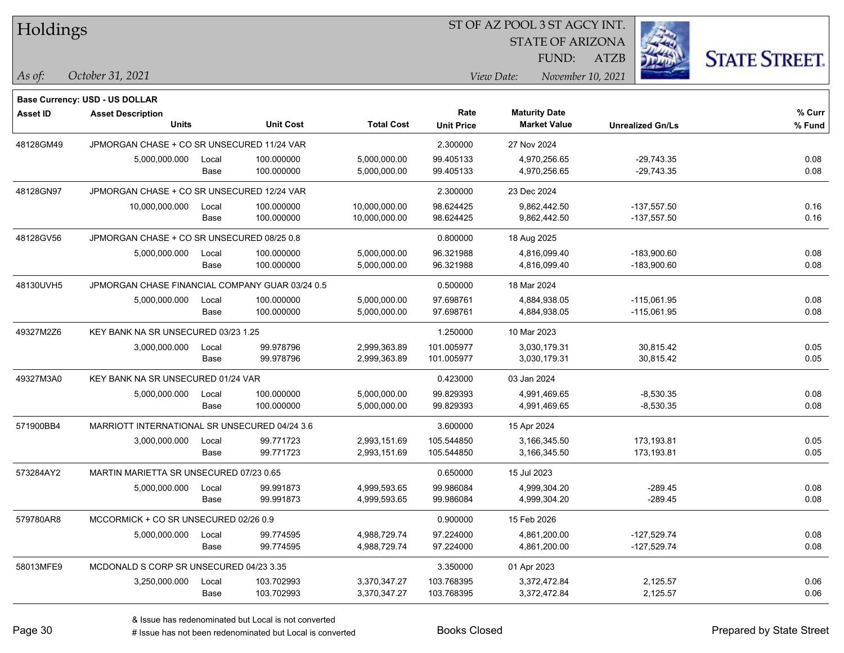| Holdings  |                                                 |       |                  |                   |                   | ST OF AZ POOL 3 ST AGCY INT. |                         |                      |
|-----------|-------------------------------------------------|-------|------------------|-------------------|-------------------|------------------------------|-------------------------|----------------------|
|           |                                                 |       |                  |                   |                   | <b>STATE OF ARIZONA</b>      |                         |                      |
|           |                                                 |       |                  |                   |                   | FUND:                        | <b>ATZB</b>             | <b>STATE STREET.</b> |
| As of:    | October 31, 2021                                |       |                  |                   |                   | View Date:                   | November 10, 2021       |                      |
|           | <b>Base Currency: USD - US DOLLAR</b>           |       |                  |                   |                   |                              |                         |                      |
| Asset ID  | <b>Asset Description</b>                        |       |                  |                   | Rate              | <b>Maturity Date</b>         |                         | % Curr               |
|           | <b>Units</b>                                    |       | <b>Unit Cost</b> | <b>Total Cost</b> | <b>Unit Price</b> | <b>Market Value</b>          | <b>Unrealized Gn/Ls</b> | % Fund               |
| 48128GM49 | JPMORGAN CHASE + CO SR UNSECURED 11/24 VAR      |       |                  |                   | 2.300000          | 27 Nov 2024                  |                         |                      |
|           | 5,000,000.000                                   | Local | 100.000000       | 5,000,000.00      | 99.405133         | 4.970.256.65                 | $-29,743.35$            | 0.08                 |
|           |                                                 | Base  | 100.000000       | 5,000,000.00      | 99.405133         | 4,970,256.65                 | $-29,743.35$            | 0.08                 |
| 48128GN97 | JPMORGAN CHASE + CO SR UNSECURED 12/24 VAR      |       |                  |                   | 2.300000          | 23 Dec 2024                  |                         |                      |
|           | 10,000,000.000                                  | Local | 100.000000       | 10,000,000.00     | 98.624425         | 9,862,442.50                 | $-137,557.50$           | 0.16                 |
|           |                                                 | Base  | 100.000000       | 10,000,000.00     | 98.624425         | 9,862,442.50                 | $-137,557.50$           | 0.16                 |
| 48128GV56 | JPMORGAN CHASE + CO SR UNSECURED 08/25 0.8      |       |                  |                   | 0.800000          | 18 Aug 2025                  |                         |                      |
|           | 5,000,000.000                                   | Local | 100.000000       | 5,000,000.00      | 96.321988         | 4,816,099.40                 | $-183,900.60$           | 0.08                 |
|           |                                                 | Base  | 100.000000       | 5,000,000.00      | 96.321988         | 4,816,099.40                 | -183,900.60             | 0.08                 |
| 48130UVH5 | JPMORGAN CHASE FINANCIAL COMPANY GUAR 03/24 0.5 |       |                  |                   | 0.500000          | 18 Mar 2024                  |                         |                      |
|           | 5,000,000.000                                   | Local | 100.000000       | 5,000,000.00      | 97.698761         | 4,884,938.05                 | $-115,061.95$           | 0.08                 |
|           |                                                 | Base  | 100.000000       | 5,000,000.00      | 97.698761         | 4,884,938.05                 | $-115,061.95$           | 0.08                 |
| 49327M2Z6 | KEY BANK NA SR UNSECURED 03/23 1.25             |       |                  |                   | 1.250000          | 10 Mar 2023                  |                         |                      |
|           | 3,000,000.000                                   | Local | 99.978796        | 2,999,363.89      | 101.005977        | 3,030,179.31                 | 30,815.42               | 0.05                 |
|           |                                                 | Base  | 99.978796        | 2,999,363.89      | 101.005977        | 3,030,179.31                 | 30,815.42               | 0.05                 |
| 49327M3A0 | KEY BANK NA SR UNSECURED 01/24 VAR              |       |                  |                   | 0.423000          | 03 Jan 2024                  |                         |                      |
|           | 5,000,000.000                                   | Local | 100.000000       | 5,000,000.00      | 99.829393         | 4,991,469.65                 | $-8,530.35$             | 0.08                 |
|           |                                                 | Base  | 100.000000       | 5,000,000.00      | 99.829393         | 4,991,469.65                 | $-8,530.35$             | 0.08                 |
| 571900BB4 | MARRIOTT INTERNATIONAL SR UNSECURED 04/24 3.6   |       |                  |                   | 3.600000          | 15 Apr 2024                  |                         |                      |
|           | 3,000,000.000                                   | Local | 99.771723        | 2,993,151.69      | 105.544850        | 3,166,345.50                 | 173,193.81              | 0.05                 |
|           |                                                 | Base  | 99.771723        | 2,993,151.69      | 105.544850        | 3,166,345.50                 | 173,193.81              | 0.05                 |
| 573284AY2 | MARTIN MARIETTA SR UNSECURED 07/23 0.65         |       |                  |                   | 0.650000          | 15 Jul 2023                  |                         |                      |
|           | 5,000,000.000                                   | Local | 99.991873        | 4,999,593.65      | 99.986084         | 4,999,304.20                 | -289.45                 | 0.08                 |
|           |                                                 | Base  | 99.991873        | 4,999,593.65      | 99.986084         | 4,999,304.20                 | $-289.45$               | 0.08                 |
| 579780AR8 | MCCORMICK + CO SR UNSECURED 02/26 0.9           |       |                  |                   | 0.900000          | 15 Feb 2026                  |                         |                      |
|           | 5,000,000.000                                   | Local | 99.774595        | 4,988,729.74      | 97.224000         | 4,861,200.00                 | $-127,529.74$           | 0.08                 |
|           |                                                 | Base  | 99.774595        | 4,988,729.74      | 97.224000         | 4,861,200.00                 | -127,529.74             | 0.08                 |
| 58013MFE9 | MCDONALD S CORP SR UNSECURED 04/23 3.35         |       |                  |                   | 3.350000          | 01 Apr 2023                  |                         |                      |
|           | 3,250,000.000                                   | Local | 103.702993       | 3,370,347.27      | 103.768395        | 3,372,472.84                 | 2,125.57                | 0.06                 |
|           |                                                 | Base  | 103.702993       | 3,370,347.27      | 103.768395        | 3,372,472.84                 | 2,125.57                | 0.06                 |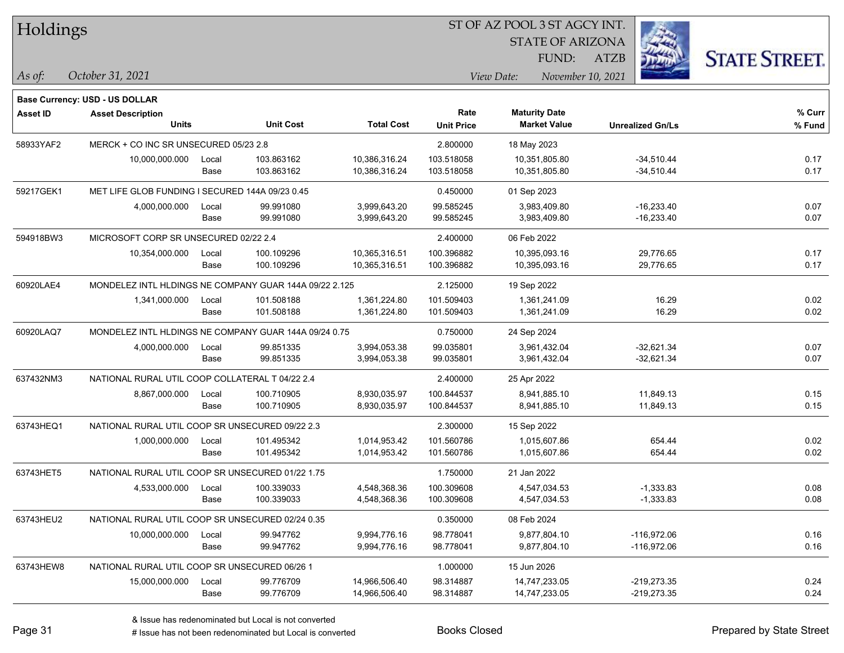| Holdings        |                                                        |       |                  |                   | 51 OF AZ POOL 3 51 AGCY INT. |                      |                         |                         |                      |  |
|-----------------|--------------------------------------------------------|-------|------------------|-------------------|------------------------------|----------------------|-------------------------|-------------------------|----------------------|--|
|                 |                                                        |       |                  |                   |                              |                      | <b>STATE OF ARIZONA</b> | ź.                      |                      |  |
|                 |                                                        |       |                  |                   |                              |                      | FUND:<br>ATZB           |                         | <b>STATE STREET.</b> |  |
| As of:          | October 31, 2021                                       |       |                  |                   |                              | View Date:           | November 10, 2021       |                         |                      |  |
|                 | <b>Base Currency: USD - US DOLLAR</b>                  |       |                  |                   |                              |                      |                         |                         |                      |  |
| <b>Asset ID</b> | <b>Asset Description</b>                               |       |                  |                   | Rate                         | <b>Maturity Date</b> |                         |                         | % Curr               |  |
|                 | <b>Units</b>                                           |       | <b>Unit Cost</b> | <b>Total Cost</b> | <b>Unit Price</b>            | <b>Market Value</b>  |                         | <b>Unrealized Gn/Ls</b> | % Fund               |  |
| 58933YAF2       | MERCK + CO INC SR UNSECURED 05/23 2.8                  |       |                  |                   | 2.800000                     | 18 May 2023          |                         |                         |                      |  |
|                 | 10,000,000.000                                         | Local | 103.863162       | 10,386,316.24     | 103.518058                   | 10,351,805.80        |                         | $-34,510.44$            | 0.17                 |  |
|                 |                                                        | Base  | 103.863162       | 10,386,316.24     | 103.518058                   | 10,351,805.80        |                         | $-34,510.44$            | 0.17                 |  |
| 59217GEK1       | MET LIFE GLOB FUNDING I SECURED 144A 09/23 0.45        |       |                  |                   | 0.450000                     | 01 Sep 2023          |                         |                         |                      |  |
|                 | 4,000,000.000                                          | Local | 99.991080        | 3,999,643.20      | 99.585245                    | 3,983,409.80         |                         | $-16,233.40$            | 0.07                 |  |
|                 |                                                        | Base  | 99.991080        | 3,999,643.20      | 99.585245                    | 3,983,409.80         |                         | $-16,233.40$            | 0.07                 |  |
| 594918BW3       | MICROSOFT CORP SR UNSECURED 02/22 2.4                  |       |                  |                   | 2.400000                     | 06 Feb 2022          |                         |                         |                      |  |
|                 | 10,354,000.000                                         | Local | 100.109296       | 10,365,316.51     | 100.396882                   | 10,395,093.16        |                         | 29,776.65               | 0.17                 |  |
|                 |                                                        | Base  | 100.109296       | 10,365,316.51     | 100.396882                   | 10,395,093.16        |                         | 29,776.65               | 0.17                 |  |
| 60920LAE4       | MONDELEZ INTL HLDINGS NE COMPANY GUAR 144A 09/22 2.125 |       |                  |                   | 2.125000                     | 19 Sep 2022          |                         |                         |                      |  |
|                 | 1,341,000.000                                          | Local | 101.508188       | 1,361,224.80      | 101.509403                   | 1,361,241.09         |                         | 16.29                   | 0.02                 |  |
|                 |                                                        | Base  | 101.508188       | 1,361,224.80      | 101.509403                   | 1,361,241.09         |                         | 16.29                   | 0.02                 |  |
| 60920LAQ7       | MONDELEZ INTL HLDINGS NE COMPANY GUAR 144A 09/24 0.75  |       |                  |                   | 0.750000                     | 24 Sep 2024          |                         |                         |                      |  |
|                 | 4,000,000.000                                          | Local | 99.851335        | 3,994,053.38      | 99.035801                    | 3,961,432.04         |                         | $-32,621.34$            | 0.07                 |  |
|                 |                                                        | Base  | 99.851335        | 3,994,053.38      | 99.035801                    | 3,961,432.04         |                         | $-32,621.34$            | 0.07                 |  |
| 637432NM3       | NATIONAL RURAL UTIL COOP COLLATERAL T 04/22 2.4        |       |                  |                   | 2.400000                     | 25 Apr 2022          |                         |                         |                      |  |
|                 | 8,867,000.000                                          | Local | 100.710905       | 8,930,035.97      | 100.844537                   | 8,941,885.10         |                         | 11,849.13               | 0.15                 |  |
|                 |                                                        | Base  | 100.710905       | 8,930,035.97      | 100.844537                   | 8,941,885.10         |                         | 11,849.13               | 0.15                 |  |
| 63743HEQ1       | NATIONAL RURAL UTIL COOP SR UNSECURED 09/22 2.3        |       |                  |                   | 2.300000                     | 15 Sep 2022          |                         |                         |                      |  |
|                 | 1,000,000.000                                          | Local | 101.495342       | 1,014,953.42      | 101.560786                   | 1,015,607.86         |                         | 654.44                  | 0.02                 |  |
|                 |                                                        | Base  | 101.495342       | 1,014,953.42      | 101.560786                   | 1,015,607.86         |                         | 654.44                  | 0.02                 |  |
| 63743HET5       | NATIONAL RURAL UTIL COOP SR UNSECURED 01/22 1.75       |       |                  |                   | 1.750000                     | 21 Jan 2022          |                         |                         |                      |  |
|                 | 4,533,000.000                                          | Local | 100.339033       | 4,548,368.36      | 100.309608                   | 4,547,034.53         |                         | $-1,333.83$             | 0.08                 |  |
|                 |                                                        | Base  | 100.339033       | 4,548,368.36      | 100.309608                   | 4,547,034.53         |                         | $-1,333.83$             | 0.08                 |  |
| 63743HEU2       | NATIONAL RURAL UTIL COOP SR UNSECURED 02/24 0.35       |       |                  |                   | 0.350000                     | 08 Feb 2024          |                         |                         |                      |  |
|                 | 10,000,000.000                                         | Local | 99.947762        | 9,994,776.16      | 98.778041                    | 9,877,804.10         |                         | $-116,972.06$           | 0.16                 |  |
|                 |                                                        | Base  | 99.947762        | 9,994,776.16      | 98.778041                    | 9,877,804.10         |                         | $-116,972.06$           | 0.16                 |  |
| 63743HEW8       | NATIONAL RURAL UTIL COOP SR UNSECURED 06/26 1          |       |                  |                   | 1.000000                     | 15 Jun 2026          |                         |                         |                      |  |
|                 | 15,000,000.000                                         | Local | 99.776709        | 14,966,506.40     | 98.314887                    | 14,747,233.05        |                         | $-219,273.35$           | 0.24                 |  |
|                 |                                                        | Base  | 99.776709        | 14,966,506.40     | 98.314887                    | 14,747,233.05        |                         | $-219,273.35$           | 0.24                 |  |

ST OF A Z POOL 2 ST AGGY INT

# Issue has not been redenominated but Local is converted Books Closed Prepared by State Street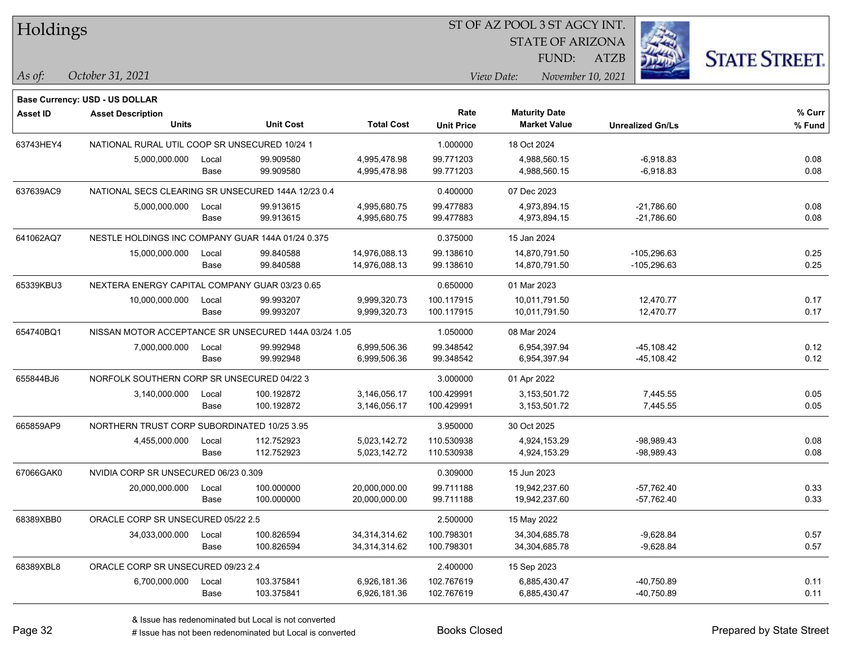| Holdings        |                                                      |       |                  |                   |                   | ST OF AZ POOL 3 ST AGCY INT.    |                         |                      |
|-----------------|------------------------------------------------------|-------|------------------|-------------------|-------------------|---------------------------------|-------------------------|----------------------|
|                 |                                                      |       |                  |                   |                   | <b>STATE OF ARIZONA</b>         |                         |                      |
|                 |                                                      |       |                  |                   |                   | FUND:                           | <b>ATZB</b>             | <b>STATE STREET.</b> |
| As of:          | October 31, 2021                                     |       |                  |                   |                   | November 10, 2021<br>View Date: |                         |                      |
|                 | <b>Base Currency: USD - US DOLLAR</b>                |       |                  |                   |                   |                                 |                         |                      |
| <b>Asset ID</b> | <b>Asset Description</b>                             |       |                  |                   | Rate              | <b>Maturity Date</b>            |                         | % Curr               |
|                 | <b>Units</b>                                         |       | <b>Unit Cost</b> | <b>Total Cost</b> | <b>Unit Price</b> | <b>Market Value</b>             | <b>Unrealized Gn/Ls</b> | % Fund               |
| 63743HEY4       | NATIONAL RURAL UTIL COOP SR UNSECURED 10/24 1        |       |                  |                   | 1.000000          | 18 Oct 2024                     |                         |                      |
|                 | 5,000,000.000                                        | Local | 99.909580        | 4,995,478.98      | 99.771203         | 4,988,560.15                    | $-6,918.83$             | 0.08                 |
|                 |                                                      | Base  | 99.909580        | 4,995,478.98      | 99.771203         | 4,988,560.15                    | $-6,918.83$             | 0.08                 |
| 637639AC9       | NATIONAL SECS CLEARING SR UNSECURED 144A 12/23 0.4   |       |                  |                   | 0.400000          | 07 Dec 2023                     |                         |                      |
|                 | 5,000,000.000                                        | Local | 99.913615        | 4,995,680.75      | 99.477883         | 4,973,894.15                    | $-21,786.60$            | 0.08                 |
|                 |                                                      | Base  | 99.913615        | 4,995,680.75      | 99.477883         | 4,973,894.15                    | $-21,786.60$            | 0.08                 |
| 641062AQ7       | NESTLE HOLDINGS INC COMPANY GUAR 144A 01/24 0.375    |       |                  |                   | 0.375000          | 15 Jan 2024                     |                         |                      |
|                 | 15,000,000.000                                       | Local | 99.840588        | 14,976,088.13     | 99.138610         | 14,870,791.50                   | $-105,296.63$           | 0.25                 |
|                 |                                                      | Base  | 99.840588        | 14,976,088.13     | 99.138610         | 14,870,791.50                   | $-105,296.63$           | 0.25                 |
| 65339KBU3       | NEXTERA ENERGY CAPITAL COMPANY GUAR 03/23 0.65       |       |                  |                   | 0.650000          | 01 Mar 2023                     |                         |                      |
|                 | 10,000,000.000                                       | Local | 99.993207        | 9,999,320.73      | 100.117915        | 10,011,791.50                   | 12,470.77               | 0.17                 |
|                 |                                                      | Base  | 99.993207        | 9,999,320.73      | 100.117915        | 10,011,791.50                   | 12,470.77               | 0.17                 |
| 654740BQ1       | NISSAN MOTOR ACCEPTANCE SR UNSECURED 144A 03/24 1.05 |       |                  |                   | 1.050000          | 08 Mar 2024                     |                         |                      |
|                 | 7,000,000.000                                        | Local | 99.992948        | 6,999,506.36      | 99.348542         | 6,954,397.94                    | $-45,108.42$            | 0.12                 |
|                 |                                                      | Base  | 99.992948        | 6,999,506.36      | 99.348542         | 6,954,397.94                    | $-45,108.42$            | 0.12                 |
| 655844BJ6       | NORFOLK SOUTHERN CORP SR UNSECURED 04/22 3           |       |                  |                   | 3.000000          | 01 Apr 2022                     |                         |                      |
|                 | 3,140,000.000                                        | Local | 100.192872       | 3,146,056.17      | 100.429991        | 3,153,501.72                    | 7,445.55                | 0.05                 |
|                 |                                                      | Base  | 100.192872       | 3,146,056.17      | 100.429991        | 3,153,501.72                    | 7,445.55                | 0.05                 |
| 665859AP9       | NORTHERN TRUST CORP SUBORDINATED 10/25 3.95          |       |                  |                   | 3.950000          | 30 Oct 2025                     |                         |                      |
|                 | 4,455,000.000                                        | Local | 112.752923       | 5,023,142.72      | 110.530938        | 4,924,153.29                    | $-98,989.43$            | 0.08                 |
|                 |                                                      | Base  | 112.752923       | 5,023,142.72      | 110.530938        | 4,924,153.29                    | -98,989.43              | 0.08                 |
| 67066GAK0       | NVIDIA CORP SR UNSECURED 06/23 0.309                 |       |                  |                   | 0.309000          | 15 Jun 2023                     |                         |                      |
|                 | 20,000,000.000                                       | Local | 100.000000       | 20,000,000.00     | 99.711188         | 19,942,237.60                   | $-57,762.40$            | 0.33                 |
|                 |                                                      | Base  | 100.000000       | 20,000,000.00     | 99.711188         | 19,942,237.60                   | $-57,762.40$            | 0.33                 |
| 68389XBB0       | ORACLE CORP SR UNSECURED 05/22 2.5                   |       |                  |                   | 2.500000          | 15 May 2022                     |                         |                      |
|                 | 34,033,000.000                                       | Local | 100.826594       | 34,314,314.62     | 100.798301        | 34,304,685.78                   | $-9,628.84$             | 0.57                 |
|                 |                                                      | Base  | 100.826594       | 34,314,314.62     | 100.798301        | 34,304,685.78                   | $-9,628.84$             | 0.57                 |
| 68389XBL8       | ORACLE CORP SR UNSECURED 09/23 2.4                   |       |                  |                   | 2.400000          | 15 Sep 2023                     |                         |                      |
|                 | 6,700,000.000                                        | Local | 103.375841       | 6,926,181.36      | 102.767619        | 6,885,430.47                    | -40,750.89              | 0.11                 |
|                 |                                                      | Base  | 103.375841       | 6,926,181.36      | 102.767619        | 6,885,430.47                    | -40,750.89              | 0.11                 |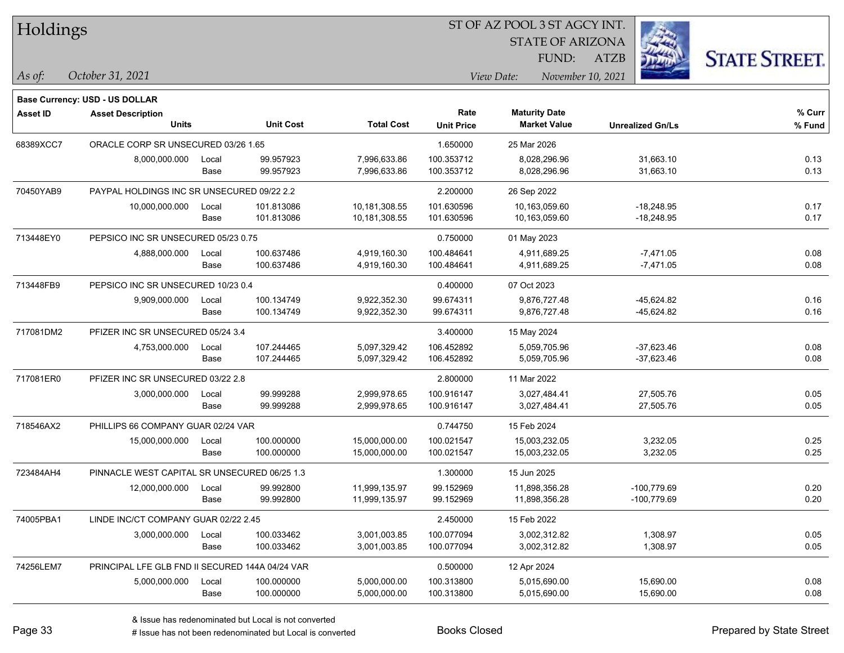| Holdings |  |
|----------|--|
|----------|--|

STATE OF ARIZONA

ATZB



**Base Currency: USD - US DOLLAR**

| <b>Asset ID</b> | <b>Asset Description</b>                        |       |                  |                   | Rate              | <b>Maturity Date</b> |                         | % Curr |
|-----------------|-------------------------------------------------|-------|------------------|-------------------|-------------------|----------------------|-------------------------|--------|
|                 | <b>Units</b>                                    |       | <b>Unit Cost</b> | <b>Total Cost</b> | <b>Unit Price</b> | <b>Market Value</b>  | <b>Unrealized Gn/Ls</b> | % Fund |
| 68389XCC7       | ORACLE CORP SR UNSECURED 03/26 1.65             |       |                  |                   | 1.650000          | 25 Mar 2026          |                         |        |
|                 | 8,000,000.000                                   | Local | 99.957923        | 7,996,633.86      | 100.353712        | 8,028,296.96         | 31,663.10               | 0.13   |
|                 |                                                 | Base  | 99.957923        | 7,996,633.86      | 100.353712        | 8,028,296.96         | 31,663.10               | 0.13   |
| 70450YAB9       | PAYPAL HOLDINGS INC SR UNSECURED 09/22 2.2      |       |                  |                   | 2.200000          | 26 Sep 2022          |                         |        |
|                 | 10,000,000.000                                  | Local | 101.813086       | 10,181,308.55     | 101.630596        | 10,163,059.60        | $-18,248.95$            | 0.17   |
|                 |                                                 | Base  | 101.813086       | 10,181,308.55     | 101.630596        | 10,163,059.60        | $-18,248.95$            | 0.17   |
| 713448EY0       | PEPSICO INC SR UNSECURED 05/23 0.75             |       |                  |                   | 0.750000          | 01 May 2023          |                         |        |
|                 | 4,888,000.000                                   | Local | 100.637486       | 4,919,160.30      | 100.484641        | 4,911,689.25         | $-7,471.05$             | 0.08   |
|                 |                                                 | Base  | 100.637486       | 4,919,160.30      | 100.484641        | 4,911,689.25         | $-7,471.05$             | 0.08   |
| 713448FB9       | PEPSICO INC SR UNSECURED 10/23 0.4              |       |                  |                   | 0.400000          | 07 Oct 2023          |                         |        |
|                 | 9,909,000.000                                   | Local | 100.134749       | 9,922,352.30      | 99.674311         | 9,876,727.48         | -45,624.82              | 0.16   |
|                 |                                                 | Base  | 100.134749       | 9,922,352.30      | 99.674311         | 9,876,727.48         | $-45,624.82$            | 0.16   |
| 717081DM2       | PFIZER INC SR UNSECURED 05/24 3.4               |       |                  |                   | 3.400000          | 15 May 2024          |                         |        |
|                 | 4,753,000.000                                   | Local | 107.244465       | 5,097,329.42      | 106.452892        | 5,059,705.96         | $-37,623.46$            | 0.08   |
|                 |                                                 | Base  | 107.244465       | 5,097,329.42      | 106.452892        | 5,059,705.96         | $-37,623.46$            | 0.08   |
| 717081ER0       | PFIZER INC SR UNSECURED 03/22 2.8               |       |                  |                   | 2.800000          | 11 Mar 2022          |                         |        |
|                 | 3,000,000.000                                   | Local | 99.999288        | 2,999,978.65      | 100.916147        | 3,027,484.41         | 27,505.76               | 0.05   |
|                 |                                                 | Base  | 99.999288        | 2,999,978.65      | 100.916147        | 3,027,484.41         | 27,505.76               | 0.05   |
| 718546AX2       | PHILLIPS 66 COMPANY GUAR 02/24 VAR              |       |                  |                   | 0.744750          | 15 Feb 2024          |                         |        |
|                 | 15,000,000.000                                  | Local | 100.000000       | 15,000,000.00     | 100.021547        | 15,003,232.05        | 3,232.05                | 0.25   |
|                 |                                                 | Base  | 100.000000       | 15,000,000.00     | 100.021547        | 15,003,232.05        | 3,232.05                | 0.25   |
| 723484AH4       | PINNACLE WEST CAPITAL SR UNSECURED 06/25 1.3    |       |                  |                   | 1.300000          | 15 Jun 2025          |                         |        |
|                 | 12,000,000.000                                  | Local | 99.992800        | 11,999,135.97     | 99.152969         | 11,898,356.28        | $-100,779.69$           | 0.20   |
|                 |                                                 | Base  | 99.992800        | 11,999,135.97     | 99.152969         | 11,898,356.28        | $-100,779.69$           | 0.20   |
| 74005PBA1       | LINDE INC/CT COMPANY GUAR 02/22 2.45            |       |                  |                   | 2.450000          | 15 Feb 2022          |                         |        |
|                 | 3,000,000.000                                   | Local | 100.033462       | 3,001,003.85      | 100.077094        | 3,002,312.82         | 1,308.97                | 0.05   |
|                 |                                                 | Base  | 100.033462       | 3,001,003.85      | 100.077094        | 3,002,312.82         | 1,308.97                | 0.05   |
| 74256LEM7       | PRINCIPAL LFE GLB FND II SECURED 144A 04/24 VAR |       |                  |                   | 0.500000          | 12 Apr 2024          |                         |        |
|                 | 5,000,000.000                                   | Local | 100.000000       | 5,000,000.00      | 100.313800        | 5,015,690.00         | 15,690.00               | 0.08   |
|                 |                                                 | Base  | 100.000000       | 5,000,000.00      | 100.313800        | 5,015,690.00         | 15,690.00               | 0.08   |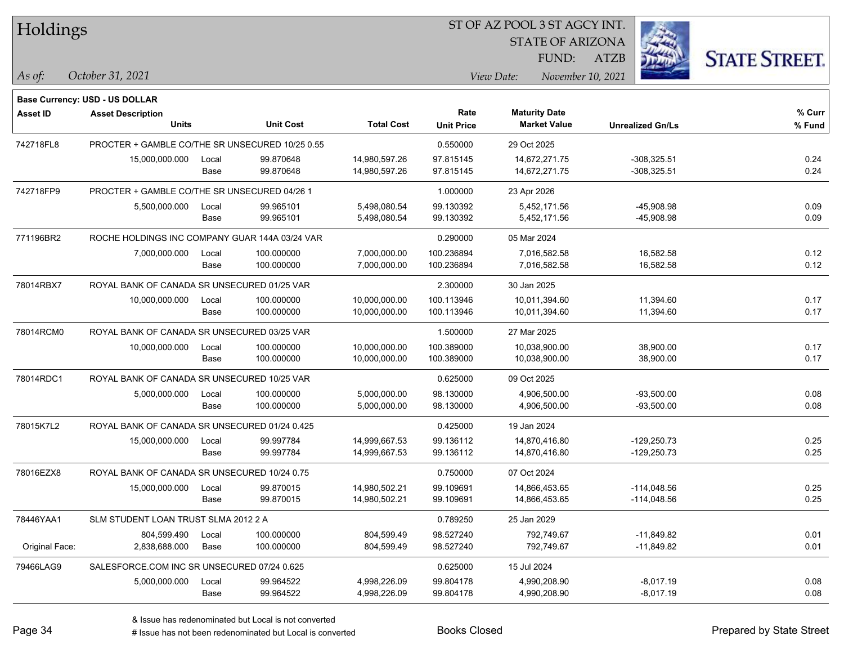| Holdings        |                                                 |       |                  |                   | ST OF AZ POOL 3 ST AGCY INT. |             |                         |             |                         |                      |
|-----------------|-------------------------------------------------|-------|------------------|-------------------|------------------------------|-------------|-------------------------|-------------|-------------------------|----------------------|
|                 |                                                 |       |                  |                   |                              |             | <b>STATE OF ARIZONA</b> |             |                         |                      |
|                 |                                                 |       |                  |                   |                              |             | FUND:                   | <b>ATZB</b> |                         | <b>STATE STREET.</b> |
| As of:          | October 31, 2021                                |       |                  |                   |                              | View Date:  | November 10, 2021       |             |                         |                      |
|                 | Base Currency: USD - US DOLLAR                  |       |                  |                   |                              |             |                         |             |                         |                      |
| <b>Asset ID</b> | <b>Asset Description</b>                        |       |                  |                   | Rate                         |             | <b>Maturity Date</b>    |             |                         | $%$ Curr             |
|                 | <b>Units</b>                                    |       | <b>Unit Cost</b> | <b>Total Cost</b> | <b>Unit Price</b>            |             | <b>Market Value</b>     |             | <b>Unrealized Gn/Ls</b> | % Fund               |
| 742718FL8       | PROCTER + GAMBLE CO/THE SR UNSECURED 10/25 0.55 |       |                  |                   | 0.550000                     | 29 Oct 2025 |                         |             |                         |                      |
|                 | 15,000,000.000                                  | Local | 99.870648        | 14,980,597.26     | 97.815145                    |             | 14,672,271.75           |             | $-308,325.51$           | 0.24                 |
|                 |                                                 | Base  | 99.870648        | 14,980,597.26     | 97.815145                    |             | 14,672,271.75           |             | $-308,325.51$           | 0.24                 |
| 742718FP9       | PROCTER + GAMBLE CO/THE SR UNSECURED 04/26 1    |       |                  |                   | 1.000000                     | 23 Apr 2026 |                         |             |                         |                      |
|                 | 5,500,000.000                                   | Local | 99.965101        | 5,498,080.54      | 99.130392                    |             | 5,452,171.56            |             | $-45,908.98$            | 0.09                 |
|                 |                                                 | Base  | 99.965101        | 5,498,080.54      | 99.130392                    |             | 5,452,171.56            |             | $-45,908.98$            | 0.09                 |
| 771196BR2       | ROCHE HOLDINGS INC COMPANY GUAR 144A 03/24 VAR  |       |                  |                   | 0.290000                     | 05 Mar 2024 |                         |             |                         |                      |
|                 | 7,000,000.000                                   | Local | 100.000000       | 7,000,000.00      | 100.236894                   |             | 7,016,582.58            |             | 16,582.58               | 0.12                 |
|                 |                                                 | Base  | 100.000000       | 7,000,000.00      | 100.236894                   |             | 7,016,582.58            |             | 16,582.58               | 0.12                 |
| 78014RBX7       | ROYAL BANK OF CANADA SR UNSECURED 01/25 VAR     |       |                  |                   | 2.300000                     | 30 Jan 2025 |                         |             |                         |                      |
|                 | 10,000,000.000                                  | Local | 100.000000       | 10,000,000.00     | 100.113946                   |             | 10,011,394.60           |             | 11,394.60               | 0.17                 |
|                 |                                                 | Base  | 100.000000       | 10,000,000.00     | 100.113946                   |             | 10,011,394.60           |             | 11,394.60               | 0.17                 |
| 78014RCM0       | ROYAL BANK OF CANADA SR UNSECURED 03/25 VAR     |       |                  |                   | 1.500000                     | 27 Mar 2025 |                         |             |                         |                      |
|                 | 10,000,000.000                                  | Local | 100.000000       | 10,000,000.00     | 100.389000                   |             | 10,038,900.00           |             | 38,900.00               | 0.17                 |
|                 |                                                 | Base  | 100.000000       | 10,000,000.00     | 100.389000                   |             | 10,038,900.00           |             | 38,900.00               | 0.17                 |
| 78014RDC1       | ROYAL BANK OF CANADA SR UNSECURED 10/25 VAR     |       |                  |                   | 0.625000                     | 09 Oct 2025 |                         |             |                         |                      |
|                 | 5,000,000.000                                   | Local | 100.000000       | 5,000,000.00      | 98.130000                    |             | 4,906,500.00            |             | -93,500.00              | 0.08                 |
|                 |                                                 | Base  | 100.000000       | 5,000,000.00      | 98.130000                    |             | 4,906,500.00            |             | -93,500.00              | 0.08                 |
| 78015K7L2       | ROYAL BANK OF CANADA SR UNSECURED 01/24 0.425   |       |                  |                   | 0.425000                     | 19 Jan 2024 |                         |             |                         |                      |
|                 | 15,000,000.000                                  | Local | 99.997784        | 14,999,667.53     | 99.136112                    |             | 14,870,416.80           |             | $-129,250.73$           | 0.25                 |
|                 |                                                 | Base  | 99.997784        | 14,999,667.53     | 99.136112                    |             | 14,870,416.80           |             | $-129,250.73$           | 0.25                 |
| 78016EZX8       | ROYAL BANK OF CANADA SR UNSECURED 10/24 0.75    |       |                  |                   | 0.750000                     | 07 Oct 2024 |                         |             |                         |                      |
|                 | 15,000,000.000                                  | Local | 99.870015        | 14,980,502.21     | 99.109691                    |             | 14,866,453.65           |             | $-114,048.56$           | 0.25                 |
|                 |                                                 | Base  | 99.870015        | 14,980,502.21     | 99.109691                    |             | 14,866,453.65           |             | $-114,048.56$           | 0.25                 |
| 78446YAA1       | SLM STUDENT LOAN TRUST SLMA 2012 2 A            |       |                  |                   | 0.789250                     | 25 Jan 2029 |                         |             |                         |                      |
|                 | 804,599.490                                     | Local | 100.000000       | 804,599.49        | 98.527240                    |             | 792,749.67              |             | $-11,849.82$            | 0.01                 |
| Original Face:  | 2,838,688.000                                   | Base  | 100.000000       | 804,599.49        | 98.527240                    |             | 792,749.67              |             | $-11,849.82$            | 0.01                 |
| 79466LAG9       | SALESFORCE.COM INC SR UNSECURED 07/24 0.625     |       |                  |                   | 0.625000                     | 15 Jul 2024 |                         |             |                         |                      |
|                 | 5,000,000.000                                   | Local | 99.964522        | 4,998,226.09      | 99.804178                    |             | 4,990,208.90            |             | $-8,017.19$             | 0.08                 |
|                 |                                                 | Base  | 99.964522        | 4,998,226.09      | 99.804178                    |             | 4,990,208.90            |             | $-8,017.19$             | 0.08                 |

 $\overline{\phantom{a}}$ 

 $\overline{\phantom{a}}$ 

 $\overline{\phantom{a}}$ 

 $\overline{\phantom{a}}$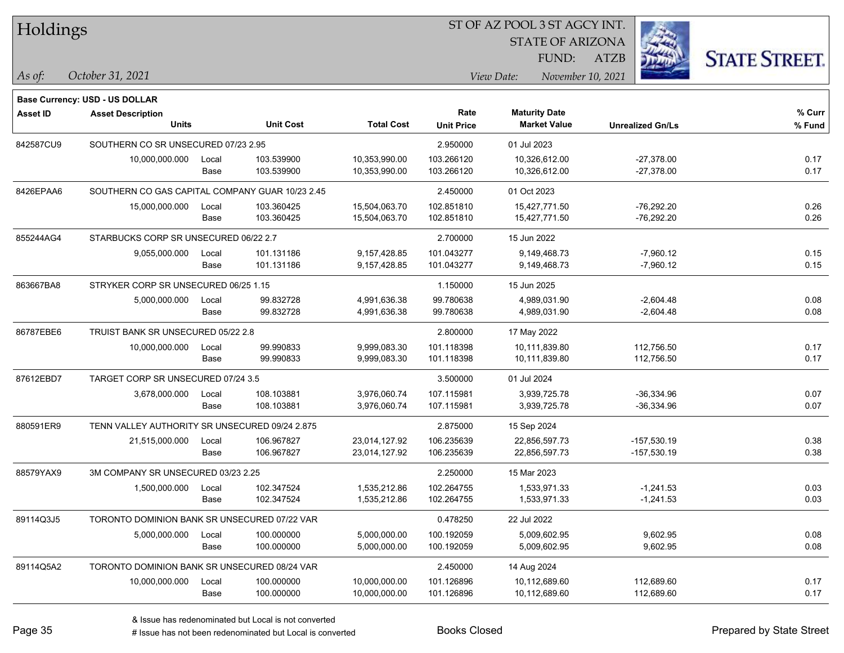| Holdings        |                                                 |       |                  |                   |                   | ST OF AZ POOL 3 ST AGCY INT. |                         |                      |
|-----------------|-------------------------------------------------|-------|------------------|-------------------|-------------------|------------------------------|-------------------------|----------------------|
|                 |                                                 |       |                  |                   |                   | <b>STATE OF ARIZONA</b>      |                         |                      |
|                 |                                                 |       |                  |                   |                   | FUND:                        | <b>ATZB</b>             | <b>STATE STREET.</b> |
| $ $ As of:      | October 31, 2021                                |       |                  |                   |                   | View Date:                   | November 10, 2021       |                      |
|                 | <b>Base Currency: USD - US DOLLAR</b>           |       |                  |                   |                   |                              |                         |                      |
| <b>Asset ID</b> | <b>Asset Description</b>                        |       |                  |                   | Rate              | <b>Maturity Date</b>         |                         | % Curr               |
|                 | <b>Units</b>                                    |       | <b>Unit Cost</b> | <b>Total Cost</b> | <b>Unit Price</b> | <b>Market Value</b>          | <b>Unrealized Gn/Ls</b> | % Fund               |
| 842587CU9       | SOUTHERN CO SR UNSECURED 07/23 2.95             |       |                  |                   | 2.950000          | 01 Jul 2023                  |                         |                      |
|                 | 10,000,000.000                                  | Local | 103.539900       | 10,353,990.00     | 103.266120        | 10,326,612.00                | $-27,378.00$            | 0.17                 |
|                 |                                                 | Base  | 103.539900       | 10,353,990.00     | 103.266120        | 10,326,612.00                | $-27,378.00$            | 0.17                 |
| 8426EPAA6       | SOUTHERN CO GAS CAPITAL COMPANY GUAR 10/23 2.45 |       |                  |                   | 2.450000          | 01 Oct 2023                  |                         |                      |
|                 | 15,000,000.000                                  | Local | 103.360425       | 15,504,063.70     | 102.851810        | 15,427,771.50                | $-76,292.20$            | 0.26                 |
|                 |                                                 | Base  | 103.360425       | 15,504,063.70     | 102.851810        | 15,427,771.50                | $-76,292.20$            | 0.26                 |
| 855244AG4       | STARBUCKS CORP SR UNSECURED 06/22 2.7           |       |                  |                   | 2.700000          | 15 Jun 2022                  |                         |                      |
|                 | 9,055,000.000                                   | Local | 101.131186       | 9,157,428.85      | 101.043277        | 9,149,468.73                 | $-7,960.12$             | 0.15                 |
|                 |                                                 | Base  | 101.131186       | 9,157,428.85      | 101.043277        | 9,149,468.73                 | $-7,960.12$             | 0.15                 |
| 863667BA8       | STRYKER CORP SR UNSECURED 06/25 1.15            |       |                  |                   | 1.150000          | 15 Jun 2025                  |                         |                      |
|                 | 5,000,000.000                                   | Local | 99.832728        | 4,991,636.38      | 99.780638         | 4,989,031.90                 | $-2,604.48$             | 0.08                 |
|                 |                                                 | Base  | 99.832728        | 4,991,636.38      | 99.780638         | 4,989,031.90                 | $-2,604.48$             | 0.08                 |
| 86787EBE6       | TRUIST BANK SR UNSECURED 05/22 2.8              |       |                  |                   | 2.800000          | 17 May 2022                  |                         |                      |
|                 | 10,000,000.000                                  | Local | 99.990833        | 9,999,083.30      | 101.118398        | 10,111,839.80                | 112,756.50              | 0.17                 |
|                 |                                                 | Base  | 99.990833        | 9,999,083.30      | 101.118398        | 10,111,839.80                | 112,756.50              | 0.17                 |
| 87612EBD7       | TARGET CORP SR UNSECURED 07/24 3.5              |       |                  |                   | 3.500000          | 01 Jul 2024                  |                         |                      |
|                 | 3,678,000.000                                   | Local | 108.103881       | 3,976,060.74      | 107.115981        | 3,939,725.78                 | $-36,334.96$            | 0.07                 |
|                 |                                                 | Base  | 108.103881       | 3,976,060.74      | 107.115981        | 3,939,725.78                 | -36,334.96              | 0.07                 |
| 880591ER9       | TENN VALLEY AUTHORITY SR UNSECURED 09/24 2.875  |       |                  |                   | 2.875000          | 15 Sep 2024                  |                         |                      |
|                 | 21,515,000.000                                  | Local | 106.967827       | 23,014,127.92     | 106.235639        | 22,856,597.73                | $-157,530.19$           | 0.38                 |
|                 |                                                 | Base  | 106.967827       | 23,014,127.92     | 106.235639        | 22,856,597.73                | $-157,530.19$           | 0.38                 |
| 88579YAX9       | 3M COMPANY SR UNSECURED 03/23 2.25              |       |                  |                   | 2.250000          | 15 Mar 2023                  |                         |                      |
|                 | 1,500,000.000                                   | Local | 102.347524       | 1,535,212.86      | 102.264755        | 1,533,971.33                 | $-1,241.53$             | 0.03                 |
|                 |                                                 | Base  | 102.347524       | 1,535,212.86      | 102.264755        | 1,533,971.33                 | $-1,241.53$             | 0.03                 |
| 89114Q3J5       | TORONTO DOMINION BANK SR UNSECURED 07/22 VAR    |       |                  |                   | 0.478250          | 22 Jul 2022                  |                         |                      |
|                 | 5,000,000.000                                   | Local | 100.000000       | 5,000,000.00      | 100.192059        | 5,009,602.95                 | 9,602.95                | 0.08                 |
|                 |                                                 | Base  | 100.000000       | 5,000,000.00      | 100.192059        | 5,009,602.95                 | 9,602.95                | 0.08                 |
| 89114Q5A2       | TORONTO DOMINION BANK SR UNSECURED 08/24 VAR    |       |                  |                   | 2.450000          | 14 Aug 2024                  |                         |                      |
|                 | 10,000,000.000                                  | Local | 100.000000       | 10,000,000.00     | 101.126896        | 10,112,689.60                | 112,689.60              | 0.17                 |
|                 |                                                 | Base  | 100.000000       | 10,000,000.00     | 101.126896        | 10,112,689.60                | 112,689.60              | 0.17                 |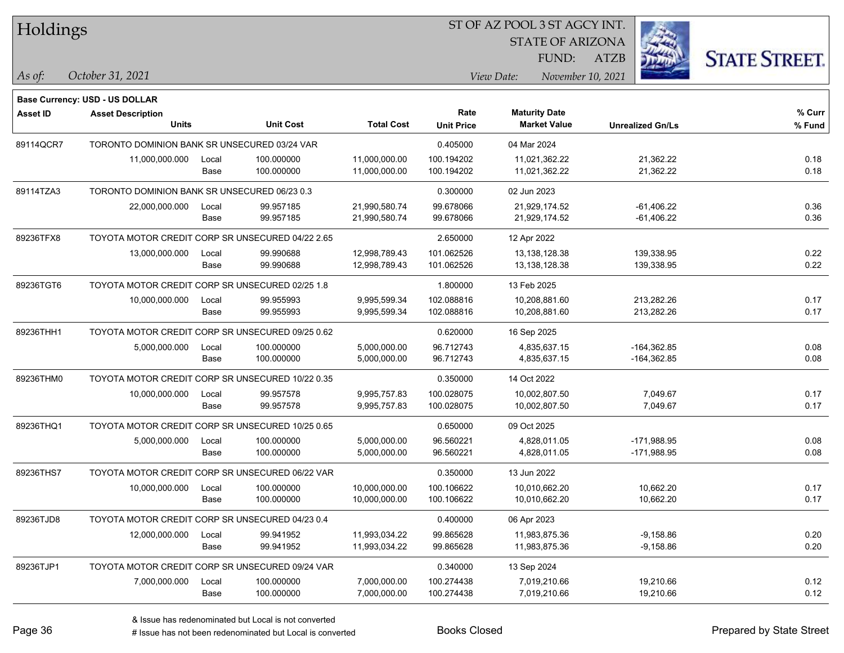| Holdings |
|----------|
|----------|

STATE OF ARIZONA

ATZB



**Base Currency: USD - US DOLLAR**

| <b>Asset ID</b> | <b>Asset Description</b>                         |       |                  |                   | Rate              | <b>Maturity Date</b> |                         | % Curr |
|-----------------|--------------------------------------------------|-------|------------------|-------------------|-------------------|----------------------|-------------------------|--------|
|                 | <b>Units</b>                                     |       | <b>Unit Cost</b> | <b>Total Cost</b> | <b>Unit Price</b> | <b>Market Value</b>  | <b>Unrealized Gn/Ls</b> | % Fund |
| 89114QCR7       | TORONTO DOMINION BANK SR UNSECURED 03/24 VAR     |       |                  |                   | 0.405000          | 04 Mar 2024          |                         |        |
|                 | 11,000,000.000                                   | Local | 100.000000       | 11,000,000.00     | 100.194202        | 11,021,362.22        | 21,362.22               | 0.18   |
|                 |                                                  | Base  | 100.000000       | 11,000,000.00     | 100.194202        | 11,021,362.22        | 21,362.22               | 0.18   |
| 89114TZA3       | TORONTO DOMINION BANK SR UNSECURED 06/23 0.3     |       |                  |                   | 0.300000          | 02 Jun 2023          |                         |        |
|                 | 22,000,000.000                                   | Local | 99.957185        | 21,990,580.74     | 99.678066         | 21,929,174.52        | $-61,406.22$            | 0.36   |
|                 |                                                  | Base  | 99.957185        | 21,990,580.74     | 99.678066         | 21,929,174.52        | $-61,406.22$            | 0.36   |
| 89236TFX8       | TOYOTA MOTOR CREDIT CORP SR UNSECURED 04/22 2.65 |       |                  |                   | 2.650000          | 12 Apr 2022          |                         |        |
|                 | 13,000,000.000                                   | Local | 99.990688        | 12,998,789.43     | 101.062526        | 13,138,128.38        | 139,338.95              | 0.22   |
|                 |                                                  | Base  | 99.990688        | 12,998,789.43     | 101.062526        | 13,138,128.38        | 139,338.95              | 0.22   |
| 89236TGT6       | TOYOTA MOTOR CREDIT CORP SR UNSECURED 02/25 1.8  |       |                  |                   | 1.800000          | 13 Feb 2025          |                         |        |
|                 | 10,000,000.000                                   | Local | 99.955993        | 9,995,599.34      | 102.088816        | 10,208,881.60        | 213,282.26              | 0.17   |
|                 |                                                  | Base  | 99.955993        | 9,995,599.34      | 102.088816        | 10,208,881.60        | 213,282.26              | 0.17   |
| 89236THH1       | TOYOTA MOTOR CREDIT CORP SR UNSECURED 09/25 0.62 |       |                  |                   | 0.620000          | 16 Sep 2025          |                         |        |
|                 | 5,000,000.000                                    | Local | 100.000000       | 5,000,000.00      | 96.712743         | 4,835,637.15         | $-164,362.85$           | 0.08   |
|                 |                                                  | Base  | 100.000000       | 5,000,000.00      | 96.712743         | 4,835,637.15         | $-164,362.85$           | 0.08   |
| 89236THM0       | TOYOTA MOTOR CREDIT CORP SR UNSECURED 10/22 0.35 |       |                  |                   | 0.350000          | 14 Oct 2022          |                         |        |
|                 | 10,000,000.000                                   | Local | 99.957578        | 9,995,757.83      | 100.028075        | 10,002,807.50        | 7,049.67                | 0.17   |
|                 |                                                  | Base  | 99.957578        | 9,995,757.83      | 100.028075        | 10,002,807.50        | 7,049.67                | 0.17   |
| 89236THQ1       | TOYOTA MOTOR CREDIT CORP SR UNSECURED 10/25 0.65 |       |                  |                   | 0.650000          | 09 Oct 2025          |                         |        |
|                 | 5,000,000.000                                    | Local | 100.000000       | 5,000,000.00      | 96.560221         | 4.828.011.05         | $-171,988.95$           | 0.08   |
|                 |                                                  | Base  | 100.000000       | 5,000,000.00      | 96.560221         | 4,828,011.05         | $-171,988.95$           | 0.08   |
| 89236THS7       | TOYOTA MOTOR CREDIT CORP SR UNSECURED 06/22 VAR  |       |                  |                   | 0.350000          | 13 Jun 2022          |                         |        |
|                 | 10,000,000.000                                   | Local | 100.000000       | 10,000,000.00     | 100.106622        | 10,010,662.20        | 10,662.20               | 0.17   |
|                 |                                                  | Base  | 100.000000       | 10,000,000.00     | 100.106622        | 10,010,662.20        | 10,662.20               | 0.17   |
| 89236TJD8       | TOYOTA MOTOR CREDIT CORP SR UNSECURED 04/23 0.4  |       |                  |                   | 0.400000          | 06 Apr 2023          |                         |        |
|                 | 12,000,000.000                                   | Local | 99.941952        | 11,993,034.22     | 99.865628         | 11,983,875.36        | $-9,158.86$             | 0.20   |
|                 |                                                  | Base  | 99.941952        | 11,993,034.22     | 99.865628         | 11,983,875.36        | $-9,158.86$             | 0.20   |
| 89236TJP1       | TOYOTA MOTOR CREDIT CORP SR UNSECURED 09/24 VAR  |       |                  |                   | 0.340000          | 13 Sep 2024          |                         |        |
|                 | 7,000,000.000                                    | Local | 100.000000       | 7,000,000.00      | 100.274438        | 7,019,210.66         | 19,210.66               | 0.12   |
|                 |                                                  | Base  | 100.000000       | 7,000,000.00      | 100.274438        | 7,019,210.66         | 19,210.66               | 0.12   |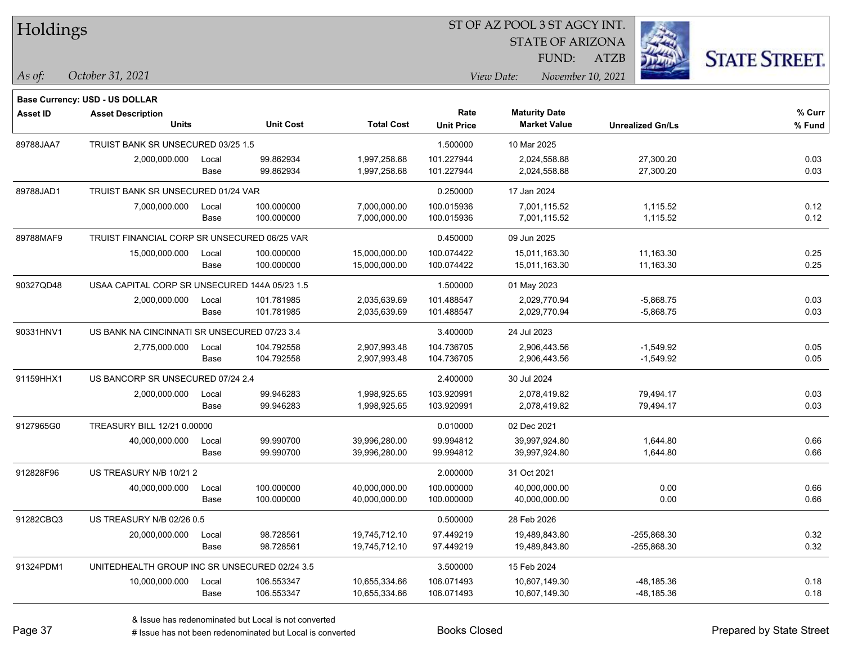|  | Holdings |
|--|----------|
|--|----------|

STATE OF ARIZONA

ATZB



**Base Currency: USD - US DOLLAR**

| <b>Asset ID</b> | <b>Asset Description</b>                      |       |                  |                   | Rate              | <b>Maturity Date</b> |                         | % Curr |
|-----------------|-----------------------------------------------|-------|------------------|-------------------|-------------------|----------------------|-------------------------|--------|
|                 | <b>Units</b>                                  |       | <b>Unit Cost</b> | <b>Total Cost</b> | <b>Unit Price</b> | <b>Market Value</b>  | <b>Unrealized Gn/Ls</b> | % Fund |
| 89788JAA7       | TRUIST BANK SR UNSECURED 03/25 1.5            |       |                  |                   | 1.500000          | 10 Mar 2025          |                         |        |
|                 | 2,000,000.000                                 | Local | 99.862934        | 1,997,258.68      | 101.227944        | 2,024,558.88         | 27,300.20               | 0.03   |
|                 |                                               | Base  | 99.862934        | 1,997,258.68      | 101.227944        | 2,024,558.88         | 27,300.20               | 0.03   |
| 89788JAD1       | TRUIST BANK SR UNSECURED 01/24 VAR            |       |                  |                   | 0.250000          | 17 Jan 2024          |                         |        |
|                 | 7,000,000.000                                 | Local | 100.000000       | 7,000,000.00      | 100.015936        | 7,001,115.52         | 1,115.52                | 0.12   |
|                 |                                               | Base  | 100.000000       | 7,000,000.00      | 100.015936        | 7,001,115.52         | 1,115.52                | 0.12   |
| 89788MAF9       | TRUIST FINANCIAL CORP SR UNSECURED 06/25 VAR  |       |                  |                   | 0.450000          | 09 Jun 2025          |                         |        |
|                 | 15,000,000.000                                | Local | 100.000000       | 15,000,000.00     | 100.074422        | 15,011,163.30        | 11,163.30               | 0.25   |
|                 |                                               | Base  | 100.000000       | 15,000,000.00     | 100.074422        | 15,011,163.30        | 11,163.30               | 0.25   |
| 90327QD48       | USAA CAPITAL CORP SR UNSECURED 144A 05/23 1.5 |       |                  |                   | 1.500000          | 01 May 2023          |                         |        |
|                 | 2,000,000.000                                 | Local | 101.781985       | 2,035,639.69      | 101.488547        | 2,029,770.94         | $-5,868.75$             | 0.03   |
|                 |                                               | Base  | 101.781985       | 2,035,639.69      | 101.488547        | 2,029,770.94         | $-5,868.75$             | 0.03   |
| 90331HNV1       | US BANK NA CINCINNATI SR UNSECURED 07/23 3.4  |       |                  |                   | 3.400000          | 24 Jul 2023          |                         |        |
|                 | 2,775,000.000                                 | Local | 104.792558       | 2,907,993.48      | 104.736705        | 2,906,443.56         | $-1,549.92$             | 0.05   |
|                 |                                               | Base  | 104.792558       | 2,907,993.48      | 104.736705        | 2,906,443.56         | $-1,549.92$             | 0.05   |
| 91159HHX1       | US BANCORP SR UNSECURED 07/24 2.4             |       |                  |                   | 2.400000          | 30 Jul 2024          |                         |        |
|                 | 2,000,000.000                                 | Local | 99.946283        | 1,998,925.65      | 103.920991        | 2,078,419.82         | 79,494.17               | 0.03   |
|                 |                                               | Base  | 99.946283        | 1,998,925.65      | 103.920991        | 2,078,419.82         | 79,494.17               | 0.03   |
| 9127965G0       | TREASURY BILL 12/21 0.00000                   |       |                  |                   | 0.010000          | 02 Dec 2021          |                         |        |
|                 | 40,000,000.000                                | Local | 99.990700        | 39,996,280.00     | 99.994812         | 39,997,924.80        | 1,644.80                | 0.66   |
|                 |                                               | Base  | 99.990700        | 39,996,280.00     | 99.994812         | 39,997,924.80        | 1,644.80                | 0.66   |
| 912828F96       | US TREASURY N/B 10/21 2                       |       |                  |                   | 2.000000          | 31 Oct 2021          |                         |        |
|                 | 40,000,000.000                                | Local | 100.000000       | 40,000,000.00     | 100.000000        | 40,000,000.00        | 0.00                    | 0.66   |
|                 |                                               | Base  | 100.000000       | 40,000,000.00     | 100.000000        | 40,000,000.00        | 0.00                    | 0.66   |
| 91282CBQ3       | US TREASURY N/B 02/26 0.5                     |       |                  |                   | 0.500000          | 28 Feb 2026          |                         |        |
|                 | 20,000,000.000                                | Local | 98.728561        | 19,745,712.10     | 97.449219         | 19,489,843.80        | $-255,868.30$           | 0.32   |
|                 |                                               | Base  | 98.728561        | 19,745,712.10     | 97.449219         | 19,489,843.80        | -255,868.30             | 0.32   |
| 91324PDM1       | UNITEDHEALTH GROUP INC SR UNSECURED 02/24 3.5 |       |                  |                   | 3.500000          | 15 Feb 2024          |                         |        |
|                 | 10,000,000.000                                | Local | 106.553347       | 10,655,334.66     | 106.071493        | 10,607,149.30        | -48,185.36              | 0.18   |
|                 |                                               | Base  | 106.553347       | 10,655,334.66     | 106.071493        | 10,607,149.30        | -48,185.36              | 0.18   |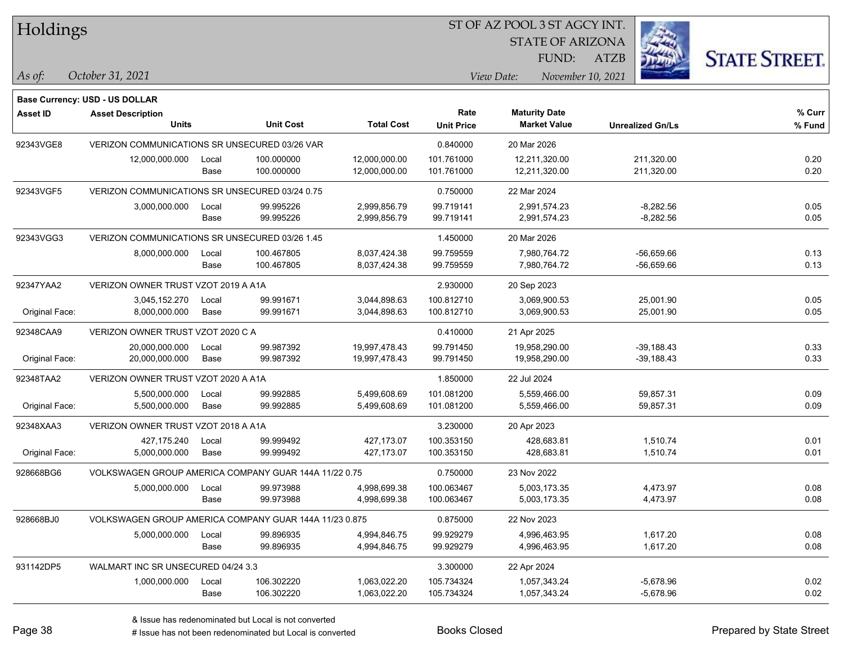#### ST OF AZ POOL 3 ST AGCY INT.

STATE OF ARIZONA

ATZB



**Base Currency: USD - US DOLLAR**

| <b>Asset ID</b> | <b>Asset Description</b>                               |       |                  |                   | Rate              | <b>Maturity Date</b> |                         | % Curr |
|-----------------|--------------------------------------------------------|-------|------------------|-------------------|-------------------|----------------------|-------------------------|--------|
|                 | <b>Units</b>                                           |       | <b>Unit Cost</b> | <b>Total Cost</b> | <b>Unit Price</b> | <b>Market Value</b>  | <b>Unrealized Gn/Ls</b> | % Fund |
| 92343VGE8       | VERIZON COMMUNICATIONS SR UNSECURED 03/26 VAR          |       |                  |                   | 0.840000          | 20 Mar 2026          |                         |        |
|                 | 12,000,000.000                                         | Local | 100.000000       | 12,000,000.00     | 101.761000        | 12,211,320.00        | 211,320.00              | 0.20   |
|                 |                                                        | Base  | 100.000000       | 12,000,000.00     | 101.761000        | 12,211,320.00        | 211,320.00              | 0.20   |
| 92343VGF5       | VERIZON COMMUNICATIONS SR UNSECURED 03/24 0.75         |       |                  |                   | 0.750000          | 22 Mar 2024          |                         |        |
|                 | 3,000,000.000                                          | Local | 99.995226        | 2,999,856.79      | 99.719141         | 2,991,574.23         | $-8,282.56$             | 0.05   |
|                 |                                                        | Base  | 99.995226        | 2,999,856.79      | 99.719141         | 2,991,574.23         | $-8,282.56$             | 0.05   |
| 92343VGG3       | VERIZON COMMUNICATIONS SR UNSECURED 03/26 1.45         |       |                  |                   | 1.450000          | 20 Mar 2026          |                         |        |
|                 | 8,000,000.000                                          | Local | 100.467805       | 8,037,424.38      | 99.759559         | 7,980,764.72         | $-56,659.66$            | 0.13   |
|                 |                                                        | Base  | 100.467805       | 8,037,424.38      | 99.759559         | 7,980,764.72         | $-56,659.66$            | 0.13   |
| 92347YAA2       | VERIZON OWNER TRUST VZOT 2019 A A1A                    |       |                  |                   | 2.930000          | 20 Sep 2023          |                         |        |
|                 | 3,045,152.270                                          | Local | 99.991671        | 3,044,898.63      | 100.812710        | 3,069,900.53         | 25,001.90               | 0.05   |
| Original Face:  | 8,000,000.000                                          | Base  | 99.991671        | 3,044,898.63      | 100.812710        | 3,069,900.53         | 25,001.90               | 0.05   |
| 92348CAA9       | VERIZON OWNER TRUST VZOT 2020 C A                      |       |                  |                   | 0.410000          | 21 Apr 2025          |                         |        |
|                 | 20,000,000.000                                         | Local | 99.987392        | 19,997,478.43     | 99.791450         | 19,958,290.00        | $-39,188.43$            | 0.33   |
| Original Face:  | 20,000,000.000                                         | Base  | 99.987392        | 19,997,478.43     | 99.791450         | 19,958,290.00        | $-39,188.43$            | 0.33   |
| 92348TAA2       | VERIZON OWNER TRUST VZOT 2020 A A1A                    |       |                  |                   | 1.850000          | 22 Jul 2024          |                         |        |
|                 | 5,500,000.000                                          | Local | 99.992885        | 5,499,608.69      | 101.081200        | 5,559,466.00         | 59,857.31               | 0.09   |
| Original Face:  | 5,500,000.000                                          | Base  | 99.992885        | 5,499,608.69      | 101.081200        | 5,559,466.00         | 59,857.31               | 0.09   |
| 92348XAA3       | VERIZON OWNER TRUST VZOT 2018 A A1A                    |       |                  |                   | 3.230000          | 20 Apr 2023          |                         |        |
|                 | 427,175.240                                            | Local | 99.999492        | 427,173.07        | 100.353150        | 428.683.81           | 1,510.74                | 0.01   |
| Original Face:  | 5,000,000.000                                          | Base  | 99.999492        | 427,173.07        | 100.353150        | 428,683.81           | 1,510.74                | 0.01   |
| 928668BG6       | VOLKSWAGEN GROUP AMERICA COMPANY GUAR 144A 11/22 0.75  |       |                  |                   | 0.750000          | 23 Nov 2022          |                         |        |
|                 | 5,000,000.000                                          | Local | 99.973988        | 4,998,699.38      | 100.063467        | 5,003,173.35         | 4,473.97                | 0.08   |
|                 |                                                        | Base  | 99.973988        | 4,998,699.38      | 100.063467        | 5,003,173.35         | 4,473.97                | 0.08   |
| 928668BJ0       | VOLKSWAGEN GROUP AMERICA COMPANY GUAR 144A 11/23 0.875 |       |                  |                   | 0.875000          | 22 Nov 2023          |                         |        |
|                 | 5,000,000.000                                          | Local | 99.896935        | 4,994,846.75      | 99.929279         | 4,996,463.95         | 1,617.20                | 0.08   |
|                 |                                                        | Base  | 99.896935        | 4,994,846.75      | 99.929279         | 4,996,463.95         | 1,617.20                | 0.08   |
| 931142DP5       | WALMART INC SR UNSECURED 04/24 3.3                     |       |                  |                   | 3.300000          | 22 Apr 2024          |                         |        |
|                 | 1,000,000.000                                          | Local | 106.302220       | 1,063,022.20      | 105.734324        | 1,057,343.24         | $-5,678.96$             | 0.02   |
|                 |                                                        | Base  | 106.302220       | 1,063,022.20      | 105.734324        | 1,057,343.24         | $-5,678.96$             | 0.02   |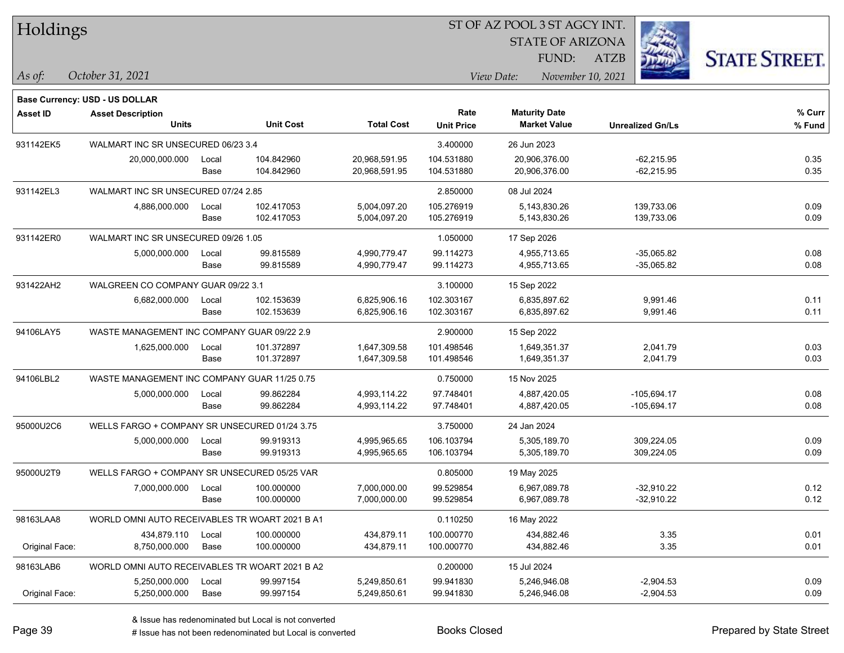| Holdings |
|----------|
|----------|

STATE OF ARIZONA

ATZB



**Base Currency: USD - US DOLLAR**

| <b>Asset ID</b> | <b>Asset Description</b>                       |       |                  |                   | Rate              | <b>Maturity Date</b> |                         | % Curr |
|-----------------|------------------------------------------------|-------|------------------|-------------------|-------------------|----------------------|-------------------------|--------|
|                 | <b>Units</b>                                   |       | <b>Unit Cost</b> | <b>Total Cost</b> | <b>Unit Price</b> | <b>Market Value</b>  | <b>Unrealized Gn/Ls</b> | % Fund |
| 931142EK5       | WALMART INC SR UNSECURED 06/23 3.4             |       |                  |                   | 3.400000          | 26 Jun 2023          |                         |        |
|                 | 20,000,000.000                                 | Local | 104.842960       | 20,968,591.95     | 104.531880        | 20,906,376.00        | $-62,215.95$            | 0.35   |
|                 |                                                | Base  | 104.842960       | 20,968,591.95     | 104.531880        | 20,906,376.00        | $-62,215.95$            | 0.35   |
| 931142EL3       | WALMART INC SR UNSECURED 07/24 2.85            |       |                  |                   | 2.850000          | 08 Jul 2024          |                         |        |
|                 | 4,886,000.000                                  | Local | 102.417053       | 5,004,097.20      | 105.276919        | 5,143,830.26         | 139,733.06              | 0.09   |
|                 |                                                | Base  | 102.417053       | 5,004,097.20      | 105.276919        | 5,143,830.26         | 139,733.06              | 0.09   |
| 931142ER0       | WALMART INC SR UNSECURED 09/26 1.05            |       |                  |                   | 1.050000          | 17 Sep 2026          |                         |        |
|                 | 5,000,000.000                                  | Local | 99.815589        | 4,990,779.47      | 99.114273         | 4,955,713.65         | $-35,065.82$            | 0.08   |
|                 |                                                | Base  | 99.815589        | 4,990,779.47      | 99.114273         | 4,955,713.65         | -35,065.82              | 0.08   |
| 931422AH2       | WALGREEN CO COMPANY GUAR 09/22 3.1             |       |                  |                   | 3.100000          | 15 Sep 2022          |                         |        |
|                 | 6,682,000.000                                  | Local | 102.153639       | 6,825,906.16      | 102.303167        | 6,835,897.62         | 9,991.46                | 0.11   |
|                 |                                                | Base  | 102.153639       | 6,825,906.16      | 102.303167        | 6,835,897.62         | 9,991.46                | 0.11   |
| 94106LAY5       | WASTE MANAGEMENT INC COMPANY GUAR 09/22 2.9    |       |                  |                   | 2.900000          | 15 Sep 2022          |                         |        |
|                 | 1,625,000.000                                  | Local | 101.372897       | 1,647,309.58      | 101.498546        | 1,649,351.37         | 2,041.79                | 0.03   |
|                 |                                                | Base  | 101.372897       | 1,647,309.58      | 101.498546        | 1,649,351.37         | 2,041.79                | 0.03   |
| 94106LBL2       | WASTE MANAGEMENT INC COMPANY GUAR 11/25 0.75   |       |                  |                   | 0.750000          | 15 Nov 2025          |                         |        |
|                 | 5,000,000.000                                  | Local | 99.862284        | 4,993,114.22      | 97.748401         | 4,887,420.05         | $-105,694.17$           | 0.08   |
|                 |                                                | Base  | 99.862284        | 4,993,114.22      | 97.748401         | 4,887,420.05         | $-105,694.17$           | 0.08   |
| 95000U2C6       | WELLS FARGO + COMPANY SR UNSECURED 01/24 3.75  |       |                  |                   | 3.750000          | 24 Jan 2024          |                         |        |
|                 | 5,000,000.000                                  | Local | 99.919313        | 4,995,965.65      | 106.103794        | 5,305,189.70         | 309,224.05              | 0.09   |
|                 |                                                | Base  | 99.919313        | 4,995,965.65      | 106.103794        | 5,305,189.70         | 309,224.05              | 0.09   |
| 95000U2T9       | WELLS FARGO + COMPANY SR UNSECURED 05/25 VAR   |       |                  |                   | 0.805000          | 19 May 2025          |                         |        |
|                 | 7,000,000.000                                  | Local | 100.000000       | 7,000,000.00      | 99.529854         | 6,967,089.78         | -32,910.22              | 0.12   |
|                 |                                                | Base  | 100.000000       | 7,000,000.00      | 99.529854         | 6,967,089.78         | $-32,910.22$            | 0.12   |
| 98163LAA8       | WORLD OMNI AUTO RECEIVABLES TR WOART 2021 B A1 |       |                  |                   | 0.110250          | 16 May 2022          |                         |        |
|                 | 434,879.110                                    | Local | 100.000000       | 434,879.11        | 100.000770        | 434,882.46           | 3.35                    | 0.01   |
| Original Face:  | 8,750,000.000                                  | Base  | 100.000000       | 434,879.11        | 100.000770        | 434,882.46           | 3.35                    | 0.01   |
| 98163LAB6       | WORLD OMNI AUTO RECEIVABLES TR WOART 2021 B A2 |       |                  |                   | 0.200000          | 15 Jul 2024          |                         |        |
|                 | 5,250,000.000                                  | Local | 99.997154        | 5,249,850.61      | 99.941830         | 5,246,946.08         | $-2,904.53$             | 0.09   |
| Original Face:  | 5,250,000.000                                  | Base  | 99.997154        | 5,249,850.61      | 99.941830         | 5,246,946.08         | $-2,904.53$             | 0.09   |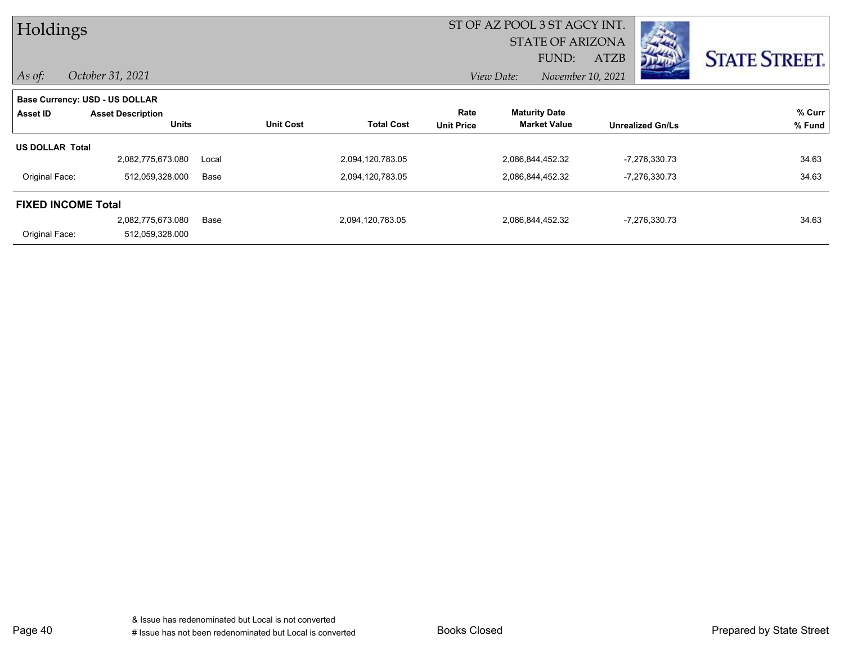| Holdings                  |                                |       | ST OF AZ POOL 3 ST AGCY INT. |                   |                   |                         |                   |                         |                      |
|---------------------------|--------------------------------|-------|------------------------------|-------------------|-------------------|-------------------------|-------------------|-------------------------|----------------------|
|                           |                                |       |                              |                   |                   | <b>STATE OF ARIZONA</b> |                   | <b>Controller</b>       |                      |
|                           |                                |       |                              |                   |                   | FUND:                   | <b>ATZB</b>       |                         | <b>STATE STREET.</b> |
| $\vert$ As of:            | October 31, 2021               |       |                              |                   |                   | View Date:              | November 10, 2021 |                         |                      |
|                           | Base Currency: USD - US DOLLAR |       |                              |                   |                   |                         |                   |                         |                      |
| Asset ID                  | <b>Asset Description</b>       |       |                              |                   | Rate              | <b>Maturity Date</b>    |                   |                         | % Curr               |
|                           | <b>Units</b>                   |       | <b>Unit Cost</b>             | <b>Total Cost</b> | <b>Unit Price</b> | <b>Market Value</b>     |                   | <b>Unrealized Gn/Ls</b> | % Fund               |
| <b>US DOLLAR Total</b>    |                                |       |                              |                   |                   |                         |                   |                         |                      |
|                           | 2,082,775,673.080              | Local |                              | 2,094,120,783.05  |                   | 2,086,844,452.32        |                   | -7,276,330.73           | 34.63                |
| Original Face:            | 512,059,328.000                | Base  |                              | 2,094,120,783.05  |                   | 2,086,844,452.32        |                   | -7,276,330.73           | 34.63                |
| <b>FIXED INCOME Total</b> |                                |       |                              |                   |                   |                         |                   |                         |                      |
|                           | 2,082,775,673.080              | Base  |                              | 2,094,120,783.05  |                   | 2,086,844,452.32        |                   | -7,276,330.73           | 34.63                |
| Original Face:            | 512,059,328.000                |       |                              |                   |                   |                         |                   |                         |                      |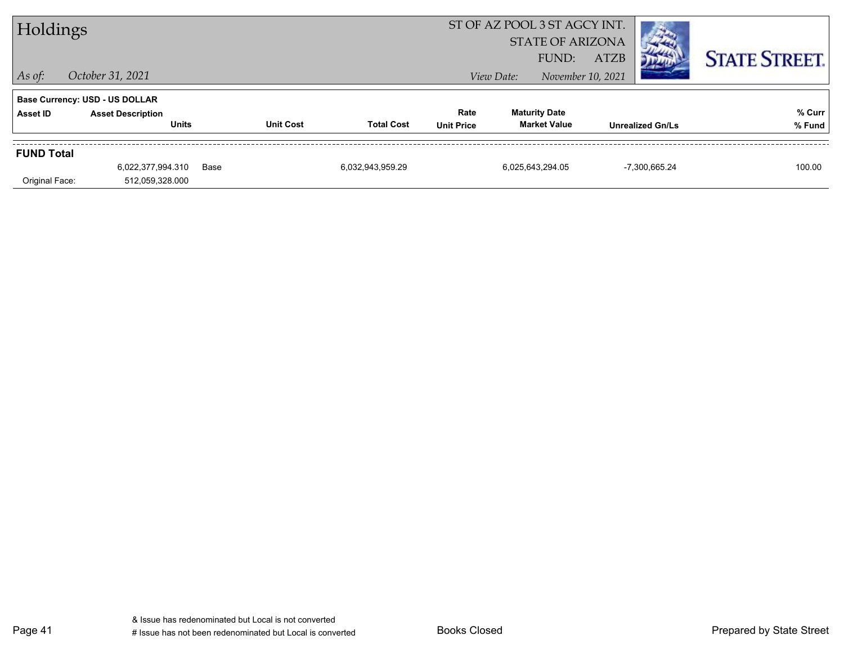| Holdings          |                                                                                   |      |                  |                   |                           | ST OF AZ POOL 3 ST AGCY INT.<br><b>STATE OF ARIZONA</b> |                                             |             |                         |                      |
|-------------------|-----------------------------------------------------------------------------------|------|------------------|-------------------|---------------------------|---------------------------------------------------------|---------------------------------------------|-------------|-------------------------|----------------------|
| $ $ As of:        | October 31, 2021                                                                  |      |                  |                   |                           | View Date:                                              | FUND:<br>November 10, 2021                  | <b>ATZB</b> |                         | <b>STATE STREET.</b> |
| Asset ID          | <b>Base Currency: USD - US DOLLAR</b><br><b>Asset Description</b><br><b>Units</b> |      | <b>Unit Cost</b> | <b>Total Cost</b> | Rate<br><b>Unit Price</b> |                                                         | <b>Maturity Date</b><br><b>Market Value</b> |             | <b>Unrealized Gn/Ls</b> | % Curr<br>% Fund     |
| <b>FUND Total</b> | 6,022,377,994.310                                                                 | Base |                  | 6,032,943,959.29  |                           |                                                         | 6,025,643,294.05                            |             | -7,300,665.24           | 100.00               |
| Original Face:    | 512,059,328.000                                                                   |      |                  |                   |                           |                                                         |                                             |             |                         |                      |

Page 41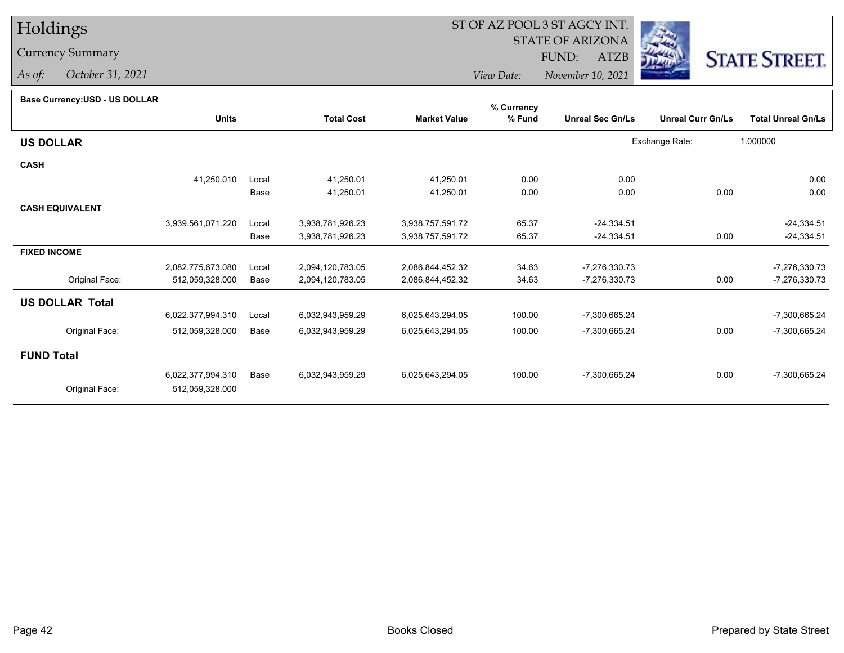### Currency Summary

*As of: October 31, 2021*

## ST OF AZ POOL 3 ST AGCY INT.

 STATE OF ARIZONAFUND:

ATZB



*View Date:November 10, 2021*

#### **Base Currency:USD - US DOLLAR**

|                        |                   |       |                   |                     | % Currency |                         |                          |                           |
|------------------------|-------------------|-------|-------------------|---------------------|------------|-------------------------|--------------------------|---------------------------|
|                        | <b>Units</b>      |       | <b>Total Cost</b> | <b>Market Value</b> | % Fund     | <b>Unreal Sec Gn/Ls</b> | <b>Unreal Curr Gn/Ls</b> | <b>Total Unreal Gn/Ls</b> |
| <b>US DOLLAR</b>       |                   |       |                   |                     |            |                         | Exchange Rate:           | 1.000000                  |
| <b>CASH</b>            |                   |       |                   |                     |            |                         |                          |                           |
|                        | 41,250.010        | Local | 41,250.01         | 41,250.01           | 0.00       | 0.00                    |                          | 0.00                      |
|                        |                   | Base  | 41,250.01         | 41,250.01           | 0.00       | 0.00                    | 0.00                     | 0.00                      |
| <b>CASH EQUIVALENT</b> |                   |       |                   |                     |            |                         |                          |                           |
|                        | 3,939,561,071.220 | Local | 3,938,781,926.23  | 3,938,757,591.72    | 65.37      | $-24,334.51$            |                          | $-24,334.51$              |
|                        |                   | Base  | 3,938,781,926.23  | 3,938,757,591.72    | 65.37      | $-24,334.51$            | 0.00                     | $-24,334.51$              |
| <b>FIXED INCOME</b>    |                   |       |                   |                     |            |                         |                          |                           |
|                        | 2,082,775,673.080 | Local | 2,094,120,783.05  | 2,086,844,452.32    | 34.63      | $-7,276,330.73$         |                          | -7,276,330.73             |
| Original Face:         | 512,059,328.000   | Base  | 2,094,120,783.05  | 2,086,844,452.32    | 34.63      | -7,276,330.73           | 0.00                     | -7,276,330.73             |
| <b>US DOLLAR Total</b> |                   |       |                   |                     |            |                         |                          |                           |
|                        | 6,022,377,994.310 | Local | 6,032,943,959.29  | 6,025,643,294.05    | 100.00     | -7,300,665.24           |                          | -7,300,665.24             |
| Original Face:         | 512,059,328.000   | Base  | 6,032,943,959.29  | 6,025,643,294.05    | 100.00     | -7,300,665.24           | 0.00                     | -7,300,665.24             |
| <b>FUND Total</b>      |                   |       |                   |                     |            |                         |                          |                           |
|                        | 6,022,377,994.310 | Base  | 6,032,943,959.29  | 6,025,643,294.05    | 100.00     | -7,300,665.24           | 0.00                     | -7,300,665.24             |
| Original Face:         | 512,059,328.000   |       |                   |                     |            |                         |                          |                           |
|                        |                   |       |                   |                     |            |                         |                          |                           |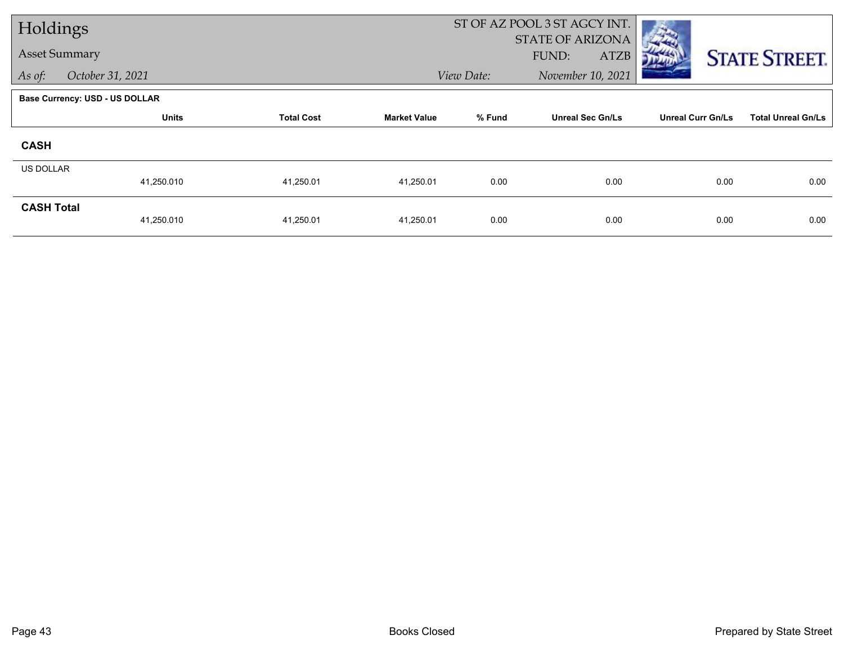| Holdings             |                                       |                   |                     | ST OF AZ POOL 3 ST AGCY INT. |                         |                          |                           |
|----------------------|---------------------------------------|-------------------|---------------------|------------------------------|-------------------------|--------------------------|---------------------------|
| <b>Asset Summary</b> |                                       |                   |                     |                              | <b>STATE OF ARIZONA</b> |                          |                           |
|                      |                                       |                   |                     |                              | FUND:<br>ATZB           |                          | <b>STATE STREET.</b>      |
| As of:               | October 31, 2021                      |                   |                     | View Date:                   | November 10, 2021       |                          |                           |
|                      | <b>Base Currency: USD - US DOLLAR</b> |                   |                     |                              |                         |                          |                           |
|                      | <b>Units</b>                          | <b>Total Cost</b> | <b>Market Value</b> | % Fund                       | <b>Unreal Sec Gn/Ls</b> | <b>Unreal Curr Gn/Ls</b> | <b>Total Unreal Gn/Ls</b> |
| <b>CASH</b>          |                                       |                   |                     |                              |                         |                          |                           |
| US DOLLAR            |                                       |                   |                     |                              |                         |                          |                           |
|                      | 41,250.010                            | 41,250.01         | 41,250.01           | 0.00                         | 0.00                    | 0.00                     | 0.00                      |
| <b>CASH Total</b>    |                                       |                   |                     |                              |                         |                          |                           |
|                      | 41,250.010                            | 41,250.01         | 41,250.01           | 0.00                         | 0.00                    | 0.00                     | 0.00                      |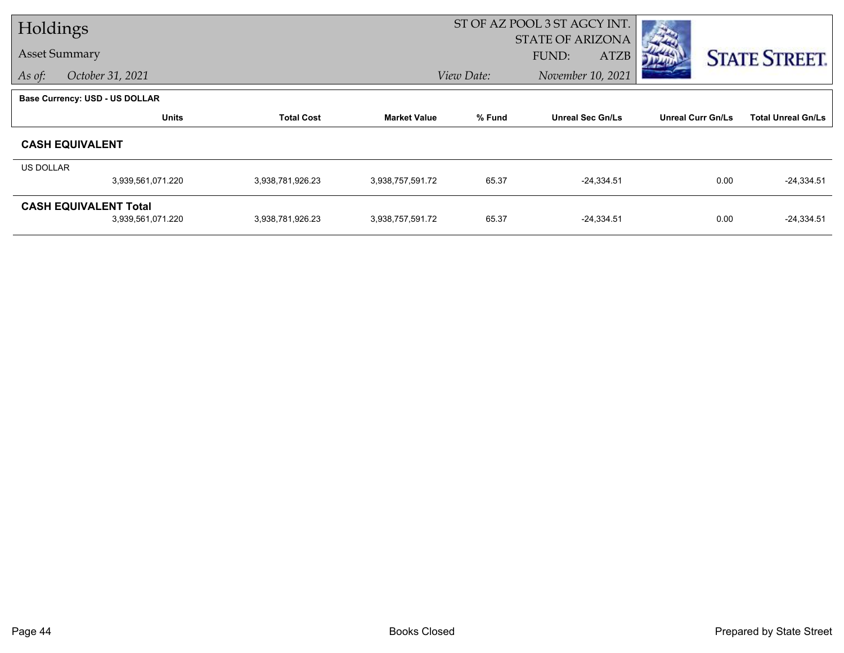| Holdings  |                                       |                   |                     | ST OF AZ POOL 3 ST AGCY INT. |                         |                          |                           |
|-----------|---------------------------------------|-------------------|---------------------|------------------------------|-------------------------|--------------------------|---------------------------|
|           |                                       |                   |                     |                              | <b>STATE OF ARIZONA</b> |                          |                           |
|           | <b>Asset Summary</b>                  |                   |                     |                              | <b>ATZB</b><br>FUND:    |                          | <b>STATE STREET.</b>      |
| As of:    | October 31, 2021                      |                   |                     | View Date:                   | November 10, 2021       |                          |                           |
|           | <b>Base Currency: USD - US DOLLAR</b> |                   |                     |                              |                         |                          |                           |
|           | <b>Units</b>                          | <b>Total Cost</b> | <b>Market Value</b> | % Fund                       | <b>Unreal Sec Gn/Ls</b> | <b>Unreal Curr Gn/Ls</b> | <b>Total Unreal Gn/Ls</b> |
|           | <b>CASH EQUIVALENT</b>                |                   |                     |                              |                         |                          |                           |
| US DOLLAR |                                       |                   |                     |                              |                         |                          |                           |
|           | 3,939,561,071.220                     | 3,938,781,926.23  | 3,938,757,591.72    | 65.37                        | $-24,334.51$            | 0.00                     | $-24,334.51$              |
|           | <b>CASH EQUIVALENT Total</b>          |                   |                     |                              |                         |                          |                           |
|           | 3,939,561,071.220                     | 3,938,781,926.23  | 3,938,757,591.72    | 65.37                        | $-24,334.51$            | 0.00                     | $-24,334.51$              |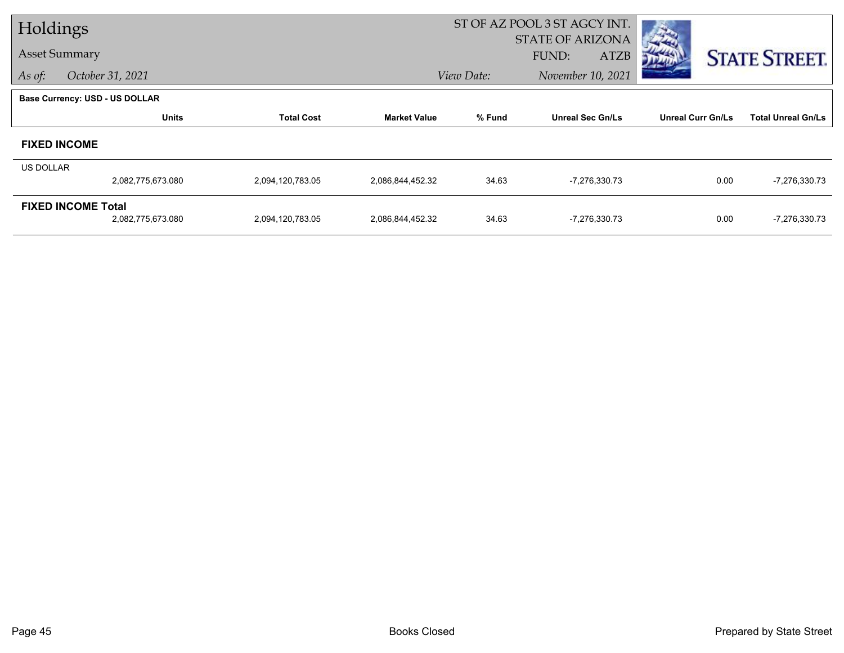| Holdings         |                                |                   |                     |            | ST OF AZ POOL 3 ST AGCY INT.                    |                          |                           |
|------------------|--------------------------------|-------------------|---------------------|------------|-------------------------------------------------|--------------------------|---------------------------|
|                  | <b>Asset Summary</b>           |                   |                     |            | <b>STATE OF ARIZONA</b><br>FUND:<br><b>ATZB</b> |                          |                           |
| As of:           | October 31, 2021               |                   |                     | View Date: | November 10, 2021                               |                          | <b>STATE STREET.</b>      |
|                  | Base Currency: USD - US DOLLAR |                   |                     |            |                                                 |                          |                           |
|                  | <b>Units</b>                   | <b>Total Cost</b> | <b>Market Value</b> | % Fund     | <b>Unreal Sec Gn/Ls</b>                         | <b>Unreal Curr Gn/Ls</b> | <b>Total Unreal Gn/Ls</b> |
|                  |                                |                   |                     |            |                                                 |                          |                           |
|                  | <b>FIXED INCOME</b>            |                   |                     |            |                                                 |                          |                           |
| <b>US DOLLAR</b> |                                |                   |                     |            |                                                 |                          |                           |
|                  | 2,082,775,673.080              | 2,094,120,783.05  | 2,086,844,452.32    | 34.63      | -7,276,330.73                                   | 0.00                     | -7,276,330.73             |
|                  | <b>FIXED INCOME Total</b>      |                   |                     |            |                                                 |                          |                           |
|                  | 2,082,775,673.080              | 2,094,120,783.05  | 2,086,844,452.32    | 34.63      | -7,276,330.73                                   | 0.00                     | -7,276,330.73             |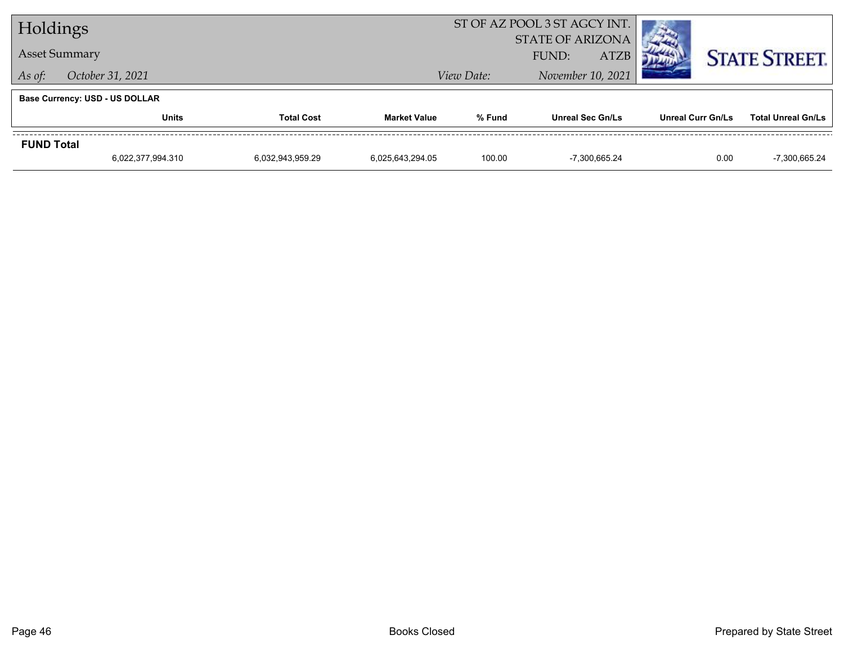| Holdings             |                                   |                  | ST OF AZ POOL 3 ST AGCY INT. |            |                                                 |                          |                           |
|----------------------|-----------------------------------|------------------|------------------------------|------------|-------------------------------------------------|--------------------------|---------------------------|
| <b>Asset Summary</b> |                                   |                  |                              |            | <b>STATE OF ARIZONA</b><br><b>ATZB</b><br>FUND: |                          | <b>STATE STREET.</b>      |
| As of:               | October 31, 2021                  |                  |                              | View Date: | November 10, 2021                               |                          |                           |
|                      | Base Currency: USD - US DOLLAR    |                  |                              |            |                                                 |                          |                           |
|                      | <b>Units</b><br><b>Total Cost</b> |                  | <b>Market Value</b>          | % Fund     | <b>Unreal Sec Gn/Ls</b>                         | <b>Unreal Curr Gn/Ls</b> | <b>Total Unreal Gn/Ls</b> |
| <b>FUND Total</b>    |                                   |                  |                              |            |                                                 |                          |                           |
|                      | 6,022,377,994.310                 | 6,032,943,959.29 | 6,025,643,294.05             | 100.00     | -7.300.665.24                                   | 0.00                     | -7,300,665.24             |